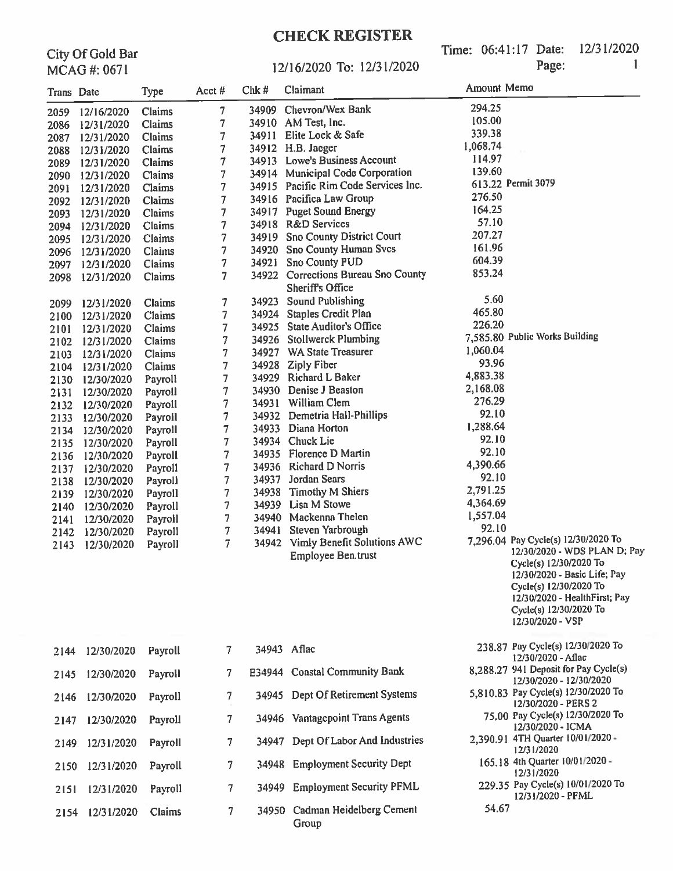Time: 06:41:17 Date: 12/31/2020 Page:

| City Of Gold Bar |
|------------------|
| MCAG #: 0671     |

#### 12/16/2020 To: 12/31/2020

|              | $MCMU \pi, VU1$          |                    |                   |                |                                                                 |             |                                                                                                                                                                                                                                        |
|--------------|--------------------------|--------------------|-------------------|----------------|-----------------------------------------------------------------|-------------|----------------------------------------------------------------------------------------------------------------------------------------------------------------------------------------------------------------------------------------|
| Trans Date   |                          | <b>Type</b>        | Acct#             | Chk#           | Claimant                                                        | Amount Memo |                                                                                                                                                                                                                                        |
| 2059         | 12/16/2020               | Claims             | 7                 |                | 34909 Chevron/Wex Bank                                          | 294.25      |                                                                                                                                                                                                                                        |
| 2086         | 12/31/2020               | Claims             | 7                 |                | 34910 AM Test, Inc.                                             | 105.00      |                                                                                                                                                                                                                                        |
| 2087         | 12/31/2020               | Claims             | 7                 |                | 34911 Elite Lock & Safe                                         | 339.38      |                                                                                                                                                                                                                                        |
| 2088         | 12/31/2020               | Claims             | 7                 |                | 34912 H.B. Jaeger                                               | 1,068.74    |                                                                                                                                                                                                                                        |
| 2089         | 12/31/2020               | Claims             | 7                 |                | 34913 Lowe's Business Account                                   | 114.97      |                                                                                                                                                                                                                                        |
| 2090         | 12/31/2020               | Claims             | 7                 |                | 34914 Municipal Code Corporation                                | 139.60      |                                                                                                                                                                                                                                        |
| 2091         | 12/31/2020               | Claims             | 7                 |                | 34915 Pacific Rim Code Services Inc.                            |             | 613.22 Permit 3079                                                                                                                                                                                                                     |
| 2092         | 12/31/2020               | Claims             | 7                 |                | 34916 Pacifica Law Group                                        | 276.50      |                                                                                                                                                                                                                                        |
| 2093         | 12/31/2020               | Claims             | 7                 |                | 34917 Puget Sound Energy                                        | 164.25      |                                                                                                                                                                                                                                        |
| 2094         | 12/31/2020               | Claims             | 7                 |                | 34918 R&D Services                                              | 57.10       |                                                                                                                                                                                                                                        |
| 2095         | 12/31/2020               | Claims             | 7                 | 34919          | <b>Sno County District Court</b>                                | 207.27      |                                                                                                                                                                                                                                        |
| 2096         | 12/31/2020               | Claims             | 7                 | 34920          | <b>Sno County Human Svcs</b>                                    | 161.96      |                                                                                                                                                                                                                                        |
| 2097         | 12/31/2020               | Claims             | $\overline{\tau}$ | 34921          | <b>Sno County PUD</b>                                           | 604.39      |                                                                                                                                                                                                                                        |
| 2098         | 12/31/2020               | Claims             | 7                 |                | 34922 Corrections Bureau Sno County<br><b>Sheriff's Office</b>  | 853.24      |                                                                                                                                                                                                                                        |
| 2099         | 12/31/2020               | Claims             | 7                 |                | 34923 Sound Publishing                                          | 5.60        |                                                                                                                                                                                                                                        |
| 2100         | 12/31/2020               | Claims             | 7                 |                | 34924 Staples Credit Plan                                       | 465.80      |                                                                                                                                                                                                                                        |
| 2101         | 12/31/2020               | Claims             | 7                 |                | 34925 State Auditor's Office                                    | 226.20      |                                                                                                                                                                                                                                        |
| 2102         | 12/31/2020               | Claims             | 7                 |                | 34926 Stollwerck Plumbing                                       |             | 7,585.80 Public Works Building                                                                                                                                                                                                         |
| 2103         | 12/31/2020               | Claims             | 7                 |                | 34927 WA State Treasurer                                        | 1,060.04    |                                                                                                                                                                                                                                        |
| 2104         | 12/31/2020               | Claims             | 7                 |                | 34928 Ziply Fiber                                               | 93.96       |                                                                                                                                                                                                                                        |
| 2130         | 12/30/2020               | Payroll            | 7                 |                | 34929 Richard L Baker                                           | 4,883.38    |                                                                                                                                                                                                                                        |
| 2131         | 12/30/2020               | Payroll            | 7                 |                | 34930 Denise J Beaston                                          | 2,168.08    |                                                                                                                                                                                                                                        |
| 2132         | 12/30/2020               | Payroll            | 7                 |                | 34931 William Clem                                              | 276.29      |                                                                                                                                                                                                                                        |
| 2133         | 12/30/2020               | Payroll            | 7                 |                | 34932 Demetria Hall-Phillips                                    | 92.10       |                                                                                                                                                                                                                                        |
| 2134         | 12/30/2020               | Payroll            | 7                 |                | 34933 Diana Horton                                              | 1,288.64    |                                                                                                                                                                                                                                        |
| 2135         | 12/30/2020               | Payroll            | 7                 |                | 34934 Chuck Lie                                                 | 92.10       |                                                                                                                                                                                                                                        |
| 2136         | 12/30/2020               | Payroll            | 7                 |                | 34935 Florence D Martin                                         | 92.10       |                                                                                                                                                                                                                                        |
| 2137         | 12/30/2020               | Payroll            | 7                 |                | 34936 Richard D Norris                                          | 4,390.66    |                                                                                                                                                                                                                                        |
| 2138         | 12/30/2020               | Payroll            | 7                 |                | 34937 Jordan Sears                                              | 92.10       |                                                                                                                                                                                                                                        |
| 2139         | 12/30/2020               | Payroll            | 7                 |                | 34938 Timothy M Shiers                                          | 2,791.25    |                                                                                                                                                                                                                                        |
| 2140         | 12/30/2020               | Payroll            | 7                 |                | 34939 Lisa M Stowe                                              | 4,364.69    |                                                                                                                                                                                                                                        |
| 2141         | 12/30/2020               | Payroll            | 7                 |                | 34940 Mackenna Thelen                                           | 1,557.04    |                                                                                                                                                                                                                                        |
| 2142         | 12/30/2020               | Payroll            | 7                 |                | 34941 Steven Yarbrough                                          | 92.10       |                                                                                                                                                                                                                                        |
| 2143         | 12/30/2020               | Payroll            | 7                 |                | 34942 Vimly Benefit Solutions AWC<br><b>Employee Ben.trust</b>  |             | 7,296.04 Pay Cycle(s) 12/30/2020 To<br>12/30/2020 - WDS PLAN D; Pay<br>Cycle(s) 12/30/2020 To<br>12/30/2020 - Basic Life; Pay<br>Cycle(s) 12/30/2020 To<br>12/30/2020 - HealthFirst; Pay<br>Cycle(s) 12/30/2020 To<br>12/30/2020 - VSP |
| 2144         | 12/30/2020               | Payroll            | 7                 |                | 34943 Aflac                                                     |             | 238.87 Pay Cycle(s) 12/30/2020 To<br>12/30/2020 - Aflac                                                                                                                                                                                |
| 2145         | 12/30/2020               | Payroll            | 7                 |                | E34944 Coastal Community Bank                                   |             | 8,288.27 941 Deposit for Pay Cycle(s)<br>12/30/2020 - 12/30/2020                                                                                                                                                                       |
| 2146         | 12/30/2020               | Payroll            | 7                 |                | 34945 Dept Of Retirement Systems                                |             | 5,810.83 Pay Cycle(s) 12/30/2020 To<br>12/30/2020 - PERS 2<br>75.00 Pay Cycle(s) 12/30/2020 To                                                                                                                                         |
| 2147         | 12/30/2020               | Payroll            | 7                 |                | 34946 Vantagepoint Trans Agents<br>Dept Of Labor And Industries |             | 12/30/2020 - ICMA<br>2,390.91 4TH Quarter 10/01/2020 -                                                                                                                                                                                 |
| 2149         | 12/31/2020               | Payroll            | 7                 | 34947<br>34948 | <b>Employment Security Dept</b>                                 |             | 12/31/2020<br>165.18 4th Quarter 10/01/2020 -                                                                                                                                                                                          |
| 2150<br>2151 | 12/31/2020<br>12/31/2020 | Payroll<br>Payroll | 7<br>7            |                | 34949 Employment Security PFML                                  |             | 12/31/2020<br>229.35 Pay Cycle(s) 10/01/2020 To                                                                                                                                                                                        |
|              | 2154 12/31/2020          | Claims             | 7                 |                | 34950 Cadman Heidelberg Cement                                  | 54.67       | 12/31/2020 - PFML                                                                                                                                                                                                                      |
|              |                          |                    |                   |                |                                                                 |             |                                                                                                                                                                                                                                        |

Group

54.67

 $\mathbf{1}$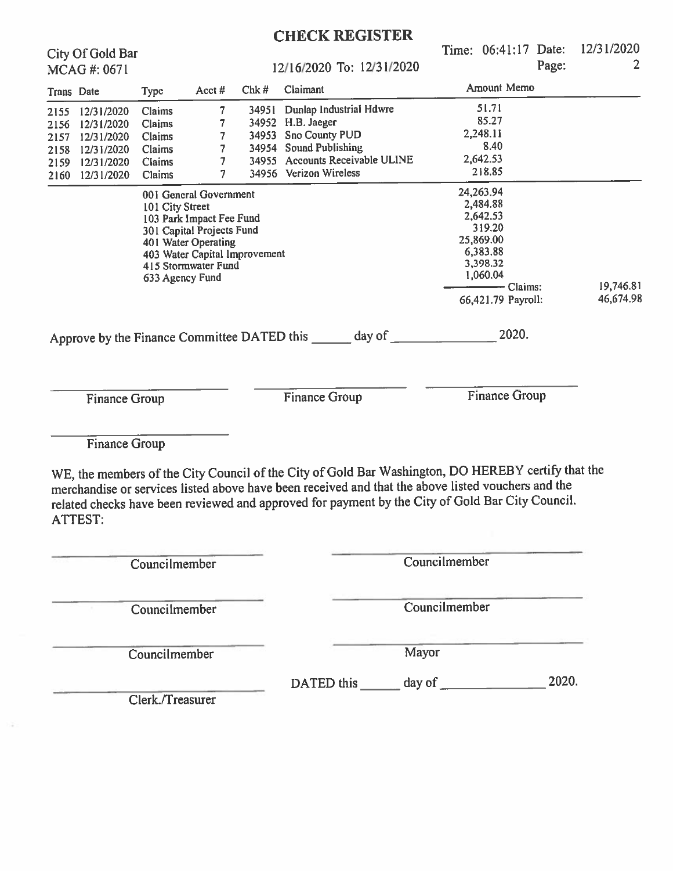|            |                                        |                 |                               |      | <b>CHECK REGISTER</b>                                                                                                                                                                                                                                                                                        |               |                      |       |            |
|------------|----------------------------------------|-----------------|-------------------------------|------|--------------------------------------------------------------------------------------------------------------------------------------------------------------------------------------------------------------------------------------------------------------------------------------------------------------|---------------|----------------------|-------|------------|
|            | City Of Gold Bar                       |                 |                               |      |                                                                                                                                                                                                                                                                                                              |               | Time: 06:41:17 Date: |       | 12/31/2020 |
|            | MCAG#: 0671                            |                 |                               |      | 12/16/2020 To: 12/31/2020                                                                                                                                                                                                                                                                                    |               |                      | Page: | 2          |
| Trans Date |                                        | <b>Type</b>     | Acct#                         | Chk# | Claimant                                                                                                                                                                                                                                                                                                     |               | Amount Memo          |       |            |
|            | 2155 12/31/2020                        | Claims          | 7                             |      | 34951 Dunlap Industrial Hdwre                                                                                                                                                                                                                                                                                |               | 51.71                |       |            |
| 2156       | 12/31/2020                             | Claims          | 7                             |      | 34952 H.B. Jaeger                                                                                                                                                                                                                                                                                            |               | 85.27                |       |            |
| 2157       | 12/31/2020                             | Claims          | 7                             |      | 34953 Sno County PUD                                                                                                                                                                                                                                                                                         |               | 2,248.11             |       |            |
| 2158       | 12/31/2020                             | Claims          | 7                             |      | 34954 Sound Publishing                                                                                                                                                                                                                                                                                       |               | 8.40                 |       |            |
| 2159       | 12/31/2020                             | <b>Claims</b>   | 7                             |      | 34955 Accounts Receivable ULINE                                                                                                                                                                                                                                                                              |               | 2,642.53             |       |            |
|            | 2160 12/31/2020                        | Claims          | 7                             |      | 34956 Verizon Wireless                                                                                                                                                                                                                                                                                       |               | 218.85               |       |            |
|            |                                        |                 | 001 General Government        |      |                                                                                                                                                                                                                                                                                                              |               | 24,263.94            |       |            |
|            |                                        | 101 City Street |                               |      |                                                                                                                                                                                                                                                                                                              |               | 2,484.88             |       |            |
|            |                                        |                 | 103 Park Impact Fee Fund      |      |                                                                                                                                                                                                                                                                                                              |               | 2,642.53             |       |            |
|            |                                        |                 | 301 Capital Projects Fund     |      |                                                                                                                                                                                                                                                                                                              |               | 319.20               |       |            |
|            |                                        |                 | 401 Water Operating           |      |                                                                                                                                                                                                                                                                                                              |               | 25,869.00            |       |            |
|            |                                        |                 | 403 Water Capital Improvement |      |                                                                                                                                                                                                                                                                                                              |               | 6,383.88<br>3,398.32 |       |            |
|            |                                        |                 | 415 Stormwater Fund           |      |                                                                                                                                                                                                                                                                                                              |               | 1,060.04             |       |            |
|            |                                        |                 | 633 Agency Fund               |      |                                                                                                                                                                                                                                                                                                              |               | – Claims:            |       | 19,746.81  |
|            |                                        |                 |                               |      |                                                                                                                                                                                                                                                                                                              |               | 66,421.79 Payroll:   |       | 46,674.98  |
|            | <b>Finance Group</b>                   |                 |                               |      | <b>Finance Group</b>                                                                                                                                                                                                                                                                                         |               | <b>Finance Group</b> |       |            |
|            | <b>Finance Group</b><br><b>ATTEST:</b> |                 |                               |      | WE, the members of the City Council of the City of Gold Bar Washington, DO HEREBY certify that the<br>merchandise or services listed above have been received and that the above listed vouchers and the<br>related checks have been reviewed and approved for payment by the City of Gold Bar City Council. |               |                      |       |            |
|            |                                        | Councilmember   |                               |      |                                                                                                                                                                                                                                                                                                              | Councilmember |                      |       |            |
|            |                                        | Councilmember   |                               |      |                                                                                                                                                                                                                                                                                                              | Councilmember |                      |       |            |
|            |                                        | Councilmember   |                               |      |                                                                                                                                                                                                                                                                                                              | Mayor         |                      |       |            |
|            |                                        |                 |                               |      | DATED this                                                                                                                                                                                                                                                                                                   | day of        |                      | 2020. |            |

Clerk./Treasurer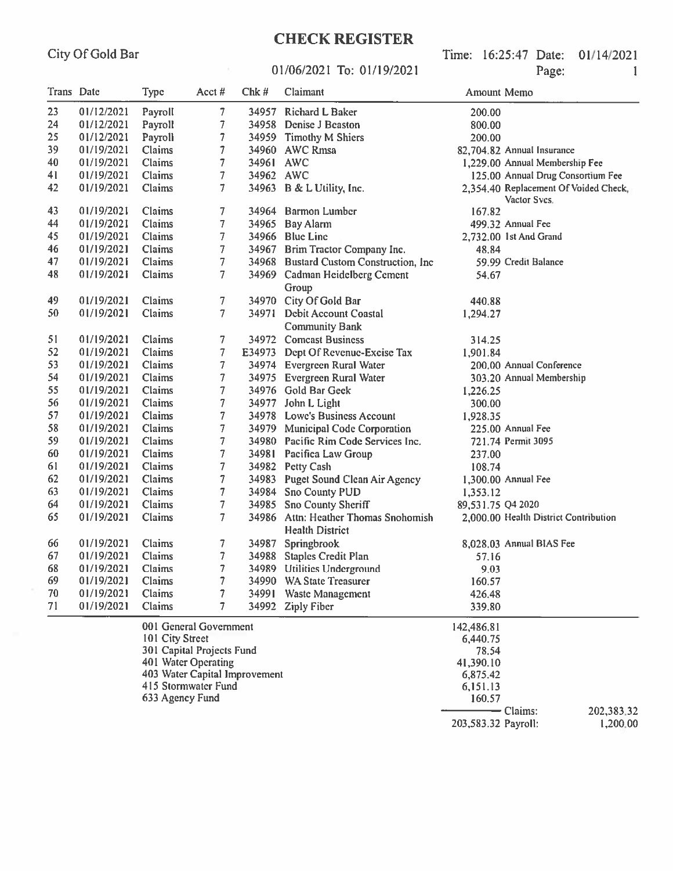### 01/06/2021 To: 01/19/2021

Time: 16:25:47 Date: 01/14/2021 Page:  $\mathbf{1}$ 

| Trans Date |            | Type                               | Acct#                                                                                                                              | Chk#      | Claimant                                                       | <b>Amount Memo</b>                                                             |                                                       |
|------------|------------|------------------------------------|------------------------------------------------------------------------------------------------------------------------------------|-----------|----------------------------------------------------------------|--------------------------------------------------------------------------------|-------------------------------------------------------|
| 23         | 01/12/2021 | Payroll                            | 7                                                                                                                                  | 34957     | <b>Richard L Baker</b>                                         | 200.00                                                                         |                                                       |
| 24         | 01/12/2021 | Payroll                            | 7                                                                                                                                  | 34958     | Denise J Beaston                                               | 800.00                                                                         |                                                       |
| 25         | 01/12/2021 | Payroll                            | 7                                                                                                                                  |           | 34959 Timothy M Shiers                                         | 200.00                                                                         |                                                       |
| 39         | 01/19/2021 | Claims                             | 7                                                                                                                                  |           | 34960 AWC Rmsa                                                 |                                                                                | 82,704.82 Annual Insurance                            |
| 40         | 01/19/2021 | Claims                             | $\overline{\mathcal{I}}$                                                                                                           | 34961 AWC |                                                                |                                                                                | 1,229.00 Annual Membership Fee                        |
| 41         | 01/19/2021 | Claims                             | $\overline{\phantom{a}}$                                                                                                           | 34962 AWC |                                                                |                                                                                | 125.00 Annual Drug Consortium Fee                     |
| 42         | 01/19/2021 | Claims                             | 7                                                                                                                                  |           | 34963 B & L Utility, Inc.                                      |                                                                                | 2,354.40 Replacement Of Voided Check,<br>Vactor Sves. |
| 43         | 01/19/2021 | Claims                             | 7                                                                                                                                  | 34964     | <b>Barmon Lumber</b>                                           | 167.82                                                                         |                                                       |
| 44         | 01/19/2021 | Claims                             | 7                                                                                                                                  | 34965     | <b>Bay Alarm</b>                                               |                                                                                | 499.32 Annual Fee                                     |
| 45         | 01/19/2021 | Claims                             | 7                                                                                                                                  | 34966     | <b>Blue Line</b>                                               |                                                                                | 2,732.00 1st And Grand                                |
| 46         | 01/19/2021 | Claims                             | 7                                                                                                                                  |           | 34967 Brim Tractor Company Inc.                                | 48.84                                                                          |                                                       |
| 47         | 01/19/2021 | Claims                             | 7                                                                                                                                  |           | 34968 Bustard Custom Construction, Inc                         |                                                                                | 59.99 Credit Balance                                  |
| 48         | 01/19/2021 | Claims                             | 7                                                                                                                                  |           | 34969 Cadman Heidelberg Cement<br>Group                        | 54.67                                                                          |                                                       |
| 49         | 01/19/2021 | Claims                             | 7                                                                                                                                  |           | 34970 City Of Gold Bar                                         | 440.88                                                                         |                                                       |
| 50         | 01/19/2021 | Claims                             | 7                                                                                                                                  | 34971     | Debit Account Coastal<br><b>Community Bank</b>                 | 1,294.27                                                                       |                                                       |
| 51         | 01/19/2021 | Claims                             | 7                                                                                                                                  |           | 34972 Comcast Business                                         | 314.25                                                                         |                                                       |
| 52         | 01/19/2021 | <b>Claims</b>                      | $\overline{7}$                                                                                                                     |           | E34973 Dept Of Revenue-Excise Tax                              | 1,901.84                                                                       |                                                       |
| 53         | 01/19/2021 | Claims                             | 7                                                                                                                                  |           | 34974 Evergreen Rural Water                                    |                                                                                | 200.00 Annual Conference                              |
| 54         | 01/19/2021 | Claims                             | 7                                                                                                                                  | 34975     | <b>Evergreen Rural Water</b>                                   |                                                                                | 303.20 Annual Membership                              |
| 55         | 01/19/2021 | Claims                             | 7                                                                                                                                  |           | 34976 Gold Bar Geek<br>1,226.25                                |                                                                                |                                                       |
| 56         | 01/19/2021 | Claims                             | 7                                                                                                                                  | 34977     | John L Light                                                   | 300.00                                                                         |                                                       |
| 57         | 01/19/2021 | Claims                             | 7                                                                                                                                  | 34978     | Lowe's Business Account                                        | 1,928.35                                                                       |                                                       |
| 58         | 01/19/2021 | Claims                             | $\overline{\phantom{a}}$                                                                                                           | 34979     | <b>Municipal Code Corporation</b>                              |                                                                                | 225.00 Annual Fee                                     |
| 59         | 01/19/2021 | Claims                             | 7                                                                                                                                  | 34980     | Pacific Rim Code Services Inc.                                 |                                                                                | 721.74 Permit 3095                                    |
| 60         | 01/19/2021 | Claims                             | 7                                                                                                                                  | 34981     | Pacifica Law Group                                             | 237.00                                                                         |                                                       |
| 61         | 01/19/2021 | Claims                             | 7                                                                                                                                  |           | 34982 Petty Cash                                               | 108.74                                                                         |                                                       |
| 62         | 01/19/2021 | Claims                             | 7                                                                                                                                  |           | 34983 Puget Sound Clean Air Agency                             |                                                                                | 1,300.00 Annual Fee                                   |
| 63         | 01/19/2021 | Claims                             | 7                                                                                                                                  | 34984     | <b>Sno County PUD</b>                                          | 1,353.12                                                                       |                                                       |
| 64         | 01/19/2021 | Claims                             | 7                                                                                                                                  | 34985     | Sno County Sheriff                                             | 89,531.75 Q4 2020                                                              |                                                       |
| 65         | 01/19/2021 | Claims                             | $\overline{7}$                                                                                                                     |           | 34986 Attn: Heather Thomas Snohomish<br><b>Health District</b> |                                                                                | 2,000.00 Health District Contribution                 |
| 66         | 01/19/2021 | Claims                             | 7                                                                                                                                  | 34987     | Springbrook                                                    |                                                                                | 8,028.03 Annual BIAS Fee                              |
| 67         | 01/19/2021 | Claims                             | 7                                                                                                                                  | 34988     | <b>Staples Credit Plan</b>                                     | 57.16                                                                          |                                                       |
| 68         | 01/19/2021 | Claims                             | 7                                                                                                                                  |           | 34989 Utilities Underground                                    | 9.03                                                                           |                                                       |
| 69         | 01/19/2021 | Claims                             | 7                                                                                                                                  |           | 34990 WA State Treasurer                                       | 160.57                                                                         |                                                       |
| 70         | 01/19/2021 | Claims                             | 7                                                                                                                                  | 34991     | Waste Management                                               | 426.48                                                                         |                                                       |
| 71         | 01/19/2021 | Claims                             | 7                                                                                                                                  | 34992     | <b>Ziply Fiber</b>                                             | 339.80                                                                         |                                                       |
|            |            | 101 City Street<br>633 Agency Fund | 001 General Government<br>301 Capital Projects Fund<br>401 Water Operating<br>403 Water Capital Improvement<br>415 Stormwater Fund |           |                                                                | 142,486.81<br>6,440.75<br>78.54<br>41,390.10<br>6,875.42<br>6,151.13<br>160.57 |                                                       |
|            |            |                                    |                                                                                                                                    |           |                                                                |                                                                                | - Claims:<br>202,383.32                               |

203,583.32 Payroll:

1,200.00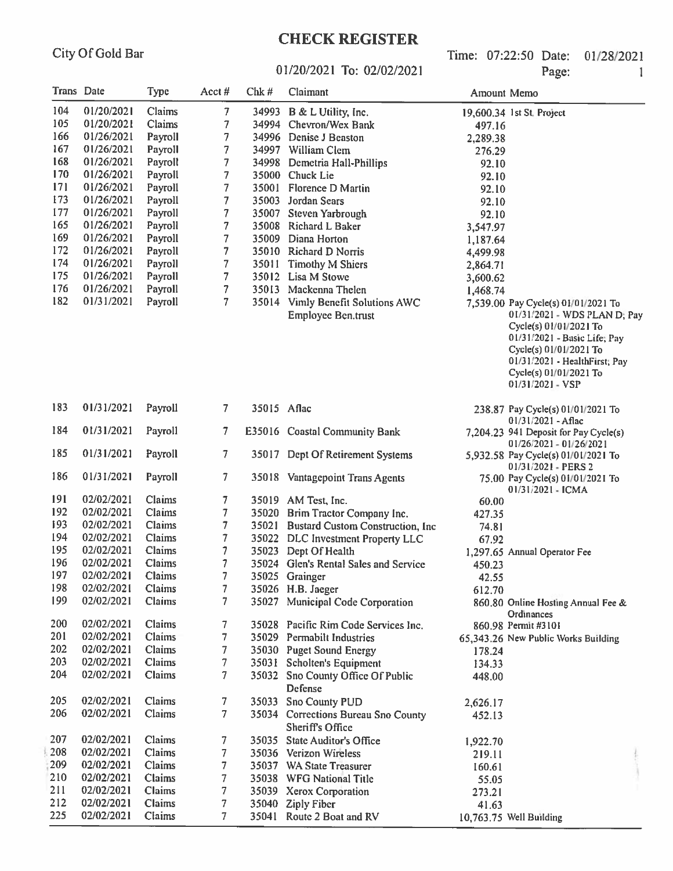# **CHECK REGISTER**

Time: 07:22:50 Date: 01/28/2021 Page:  $\mathbf{1}$ 

#### 01/20/2021 To: 02/02/2021

|     | Trans Date | Type    | Acct#             | Chk #       | Claimant                                     | Amount Memo |                                                                                                                                                                                                 |
|-----|------------|---------|-------------------|-------------|----------------------------------------------|-------------|-------------------------------------------------------------------------------------------------------------------------------------------------------------------------------------------------|
| 104 | 01/20/2021 | Claims  | 7                 |             | 34993 B & L Utility, Inc.                    |             | 19,600.34 1st St. Project                                                                                                                                                                       |
| 105 | 01/20/2021 | Claims  | 7                 |             | 34994 Chevron/Wex Bank                       | 497.16      |                                                                                                                                                                                                 |
| 166 | 01/26/2021 | Payroll | 7                 |             | 34996 Denise J Beaston                       | 2,289.38    |                                                                                                                                                                                                 |
| 167 | 01/26/2021 | Payroll | 7                 |             | 34997 William Clem                           | 276.29      |                                                                                                                                                                                                 |
| 168 | 01/26/2021 | Payroll | 7                 | 34998       | Demetria Hall-Phillips                       | 92.10       |                                                                                                                                                                                                 |
| 170 | 01/26/2021 | Payroll | 7                 |             | 35000 Chuck Lie                              | 92.10       |                                                                                                                                                                                                 |
| 171 | 01/26/2021 | Payroll | 7                 | 35001       | Florence D Martin                            | 92.10       |                                                                                                                                                                                                 |
| 173 | 01/26/2021 | Payroll | 7                 | 35003       | Jordan Sears                                 | 92.10       |                                                                                                                                                                                                 |
| 177 | 01/26/2021 | Payroll | 7                 | 35007       | Steven Yarbrough                             | 92.10       |                                                                                                                                                                                                 |
| 165 | 01/26/2021 | Payroll | 7                 | 35008       | Richard L Baker                              | 3,547.97    |                                                                                                                                                                                                 |
| 169 | 01/26/2021 | Payroll | 7                 | 35009       | Diana Horton                                 | 1,187.64    |                                                                                                                                                                                                 |
| 172 | 01/26/2021 | Payroll | 7                 |             | 35010 Richard D Norris                       | 4,499.98    |                                                                                                                                                                                                 |
| 174 | 01/26/2021 | Payroll | 7                 | 35011       | <b>Timothy M Shiers</b>                      | 2,864.71    |                                                                                                                                                                                                 |
| 175 | 01/26/2021 | Payroll | 7                 |             | 35012 Lisa M Stowe                           | 3,600.62    |                                                                                                                                                                                                 |
| 176 | 01/26/2021 | Payroll | 7                 | 35013       | Mackenna Thelen                              | 1,468.74    |                                                                                                                                                                                                 |
| 182 | 01/31/2021 | Payroll | 7                 |             | 35014 Vimly Benefit Solutions AWC            |             | 7,539.00 Pay Cycle(s) 01/01/2021 To                                                                                                                                                             |
|     |            |         |                   |             | <b>Employee Ben.trust</b>                    |             | 01/31/2021 - WDS PLAN D, Pay<br>Cycle(s) 01/01/2021 To<br>01/31/2021 - Basic Life; Pay<br>Cycle(s) 01/01/2021 To<br>01/31/2021 - HealthFirst; Pay<br>Cycle(s) 01/01/2021 To<br>01/31/2021 - VSP |
| 183 | 01/31/2021 | Payroll | 7                 | 35015 Aflac |                                              |             | 238.87 Pay Cycle(s) 01/01/2021 To<br>01/31/2021 - Aflac                                                                                                                                         |
| 184 | 01/31/2021 | Payroll | 7.                |             | E35016 Coastal Community Bank                |             | 7,204.23 941 Deposit for Pay Cycle(s)<br>01/26/2021 - 01/26/2021                                                                                                                                |
| 185 | 01/31/2021 | Payroll | 7                 |             | 35017 Dept Of Retirement Systems             |             | 5,932.58 Pay Cycle(s) 01/01/2021 To<br>01/31/2021 - PERS 2                                                                                                                                      |
| 186 | 01/31/2021 | Payroll | 7                 |             | 35018 Vantagepoint Trans Agents              |             | 75.00 Pay Cycle(s) 01/01/2021 To<br>$01/31/2021 - ICMA$                                                                                                                                         |
| 191 | 02/02/2021 | Claims  | 7                 |             | 35019 AM Test, Inc.                          | 60.00       |                                                                                                                                                                                                 |
| 192 | 02/02/2021 | Claims  | 7                 |             | 35020 Brim Tractor Company Inc.              | 427.35      |                                                                                                                                                                                                 |
| 193 | 02/02/2021 | Claims  | $\overline{\tau}$ |             | 35021 Bustard Custom Construction, Inc.      | 74.81       |                                                                                                                                                                                                 |
| 194 | 02/02/2021 | Claims  | 7                 |             | 35022 DLC Investment Property LLC            | 67.92       |                                                                                                                                                                                                 |
| 195 | 02/02/2021 | Claims  |                   |             | 35023 Dept Of Health                         |             | 1,297.65 Annual Operator Fee                                                                                                                                                                    |
| 196 | 02/02/2021 | Claims  |                   |             | 35024 Glen's Rental Sales and Service        | 450.23      |                                                                                                                                                                                                 |
| 197 | 02/02/2021 | Claims  | 7                 |             | 35025 Grainger                               | 42.55       |                                                                                                                                                                                                 |
| 198 | 02/02/2021 | Claims  | 7                 |             | 35026 H.B. Jaeger                            | 612.70      |                                                                                                                                                                                                 |
| 199 | 02/02/2021 | Claims  | 7.                |             | 35027 Municipal Code Corporation             |             | 860.80 Online Hosting Annual Fee &<br>Ordinances                                                                                                                                                |
| 200 | 02/02/2021 | Claims  | 7.                |             | 35028 Pacific Rim Code Services Inc.         |             | 860.98 Permit #3101                                                                                                                                                                             |
| 201 | 02/02/2021 | Claims  | 7                 |             | 35029 Permabilt Industries                   |             | 65,343.26 New Public Works Building                                                                                                                                                             |
| 202 | 02/02/2021 | Claims  | 7                 |             | 35030 Puget Sound Energy                     | 178.24      |                                                                                                                                                                                                 |
| 203 | 02/02/2021 | Claims  | 7                 |             | 35031 Scholten's Equipment                   | 134.33      |                                                                                                                                                                                                 |
| 204 | 02/02/2021 | Claims  | 7                 |             | 35032 Sno County Office Of Public<br>Defense | 448.00      |                                                                                                                                                                                                 |
| 205 | 02/02/2021 | Claims  | 7                 |             | 35033 Sno County PUD                         | 2,626.17    |                                                                                                                                                                                                 |
| 206 | 02/02/2021 | Claims  | 7.                |             | 35034 Corrections Bureau Sno County          | 452.13      |                                                                                                                                                                                                 |
|     |            |         |                   |             | Sheriff's Office                             |             |                                                                                                                                                                                                 |
| 207 | 02/02/2021 | Claims  | 7                 |             | 35035 State Auditor's Office                 | 1,922.70    |                                                                                                                                                                                                 |
| 208 | 02/02/2021 | Claims  | 7                 |             | 35036 Verizon Wireless                       | 219.11      |                                                                                                                                                                                                 |
| 209 | 02/02/2021 | Claims  | 7                 |             | 35037 WA State Treasurer                     | 160.61      |                                                                                                                                                                                                 |
| 210 | 02/02/2021 | Claims  | 7                 |             | 35038 WFG National Title                     | 55.05       |                                                                                                                                                                                                 |
| 211 | 02/02/2021 | Claims  | 7                 |             | 35039 Xerox Corporation                      | 273.21      |                                                                                                                                                                                                 |
| 212 | 02/02/2021 | Claims  | 7                 |             | 35040 Ziply Fiber                            | 41.63       |                                                                                                                                                                                                 |
| 225 | 02/02/2021 | Claims  | 7                 |             | 35041 Route 2 Boat and RV                    |             | 10,763.75 Well Building                                                                                                                                                                         |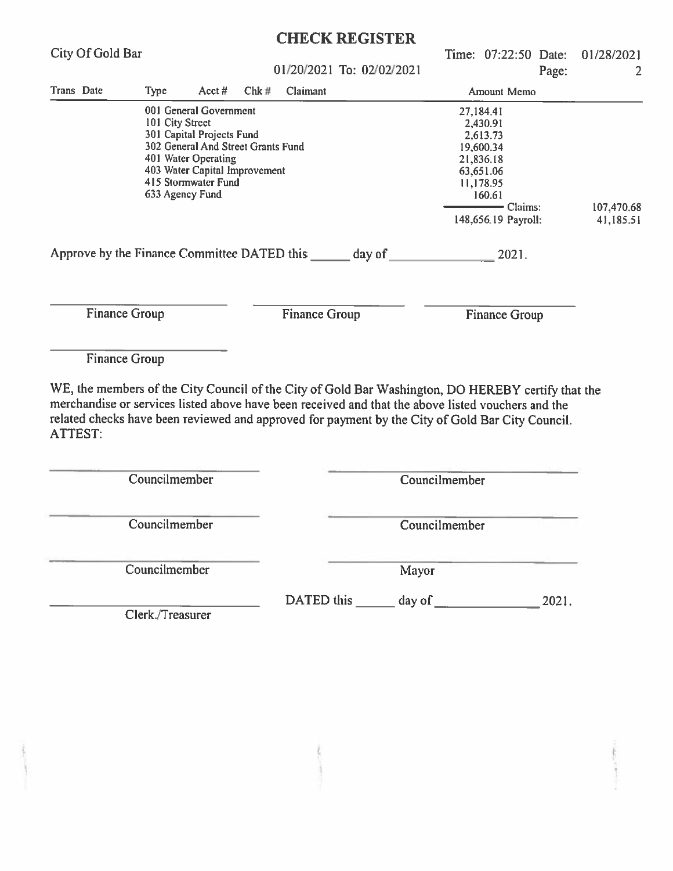| City Of Gold Bar     |                  |                                                      |      |                      |                                                                                                                                                                                                                                                                                                              |               | Time: 07:22:50 Date:   |       | 01/28/2021<br>2         |
|----------------------|------------------|------------------------------------------------------|------|----------------------|--------------------------------------------------------------------------------------------------------------------------------------------------------------------------------------------------------------------------------------------------------------------------------------------------------------|---------------|------------------------|-------|-------------------------|
|                      |                  |                                                      |      |                      | 01/20/2021 To: 02/02/2021                                                                                                                                                                                                                                                                                    |               |                        | Page: |                         |
| Trans Date           | Type             | Acct $#$                                             | Chk# | Claimant             |                                                                                                                                                                                                                                                                                                              |               | Amount Memo            |       |                         |
|                      | 101 City Street  | 001 General Government                               |      |                      |                                                                                                                                                                                                                                                                                                              |               | 27,184.41<br>2,430.91  |       |                         |
|                      |                  | 301 Capital Projects Fund                            |      |                      |                                                                                                                                                                                                                                                                                                              |               | 2,613.73               |       |                         |
|                      |                  | 302 General And Street Grants Fund                   |      |                      |                                                                                                                                                                                                                                                                                                              |               | 19,600.34              |       |                         |
|                      |                  | 401 Water Operating<br>403 Water Capital Improvement |      |                      |                                                                                                                                                                                                                                                                                                              |               | 21,836.18<br>63,651.06 |       |                         |
|                      |                  | 415 Stormwater Fund                                  |      |                      |                                                                                                                                                                                                                                                                                                              |               | 11,178.95              |       |                         |
|                      | 633 Agency Fund  |                                                      |      |                      |                                                                                                                                                                                                                                                                                                              |               | 160.61<br>- Claims:    |       |                         |
|                      |                  |                                                      |      |                      |                                                                                                                                                                                                                                                                                                              |               | 148,656.19 Payroll:    |       | 107,470.68<br>41,185.51 |
|                      |                  |                                                      |      |                      | Approve by the Finance Committee DATED this _______ day of _____________________                                                                                                                                                                                                                             |               | 2021.                  |       |                         |
|                      |                  |                                                      |      |                      |                                                                                                                                                                                                                                                                                                              |               |                        |       |                         |
| <b>Finance Group</b> |                  |                                                      |      | <b>Finance Group</b> |                                                                                                                                                                                                                                                                                                              |               | Finance Group          |       |                         |
| Finance Group        |                  |                                                      |      |                      |                                                                                                                                                                                                                                                                                                              |               |                        |       |                         |
|                      |                  |                                                      |      |                      | WE, the members of the City Council of the City of Gold Bar Washington, DO HEREBY certify that the<br>merchandise or services listed above have been received and that the above listed vouchers and the<br>related checks have been reviewed and approved for payment by the City of Gold Bar City Council. |               |                        |       |                         |
|                      | Councilmember    |                                                      |      |                      |                                                                                                                                                                                                                                                                                                              | Councilmember |                        |       |                         |
|                      |                  |                                                      |      |                      |                                                                                                                                                                                                                                                                                                              |               |                        |       |                         |
|                      | Councilmember    |                                                      |      |                      |                                                                                                                                                                                                                                                                                                              | Councilmember |                        |       |                         |
|                      | Councilmember    |                                                      |      |                      | Mayor                                                                                                                                                                                                                                                                                                        |               |                        |       |                         |
|                      |                  |                                                      |      |                      |                                                                                                                                                                                                                                                                                                              |               |                        |       |                         |
|                      | Clerk./Treasurer |                                                      |      |                      |                                                                                                                                                                                                                                                                                                              |               |                        |       |                         |
|                      |                  |                                                      |      |                      |                                                                                                                                                                                                                                                                                                              |               |                        |       |                         |
|                      |                  |                                                      |      |                      |                                                                                                                                                                                                                                                                                                              |               |                        |       |                         |
|                      |                  |                                                      |      |                      |                                                                                                                                                                                                                                                                                                              |               |                        |       |                         |
|                      |                  |                                                      |      |                      |                                                                                                                                                                                                                                                                                                              |               |                        |       |                         |
|                      |                  |                                                      |      |                      |                                                                                                                                                                                                                                                                                                              |               |                        |       |                         |
| <b>ATTEST:</b>       |                  |                                                      |      |                      |                                                                                                                                                                                                                                                                                                              |               |                        |       |                         |
|                      |                  |                                                      |      |                      |                                                                                                                                                                                                                                                                                                              |               |                        |       |                         |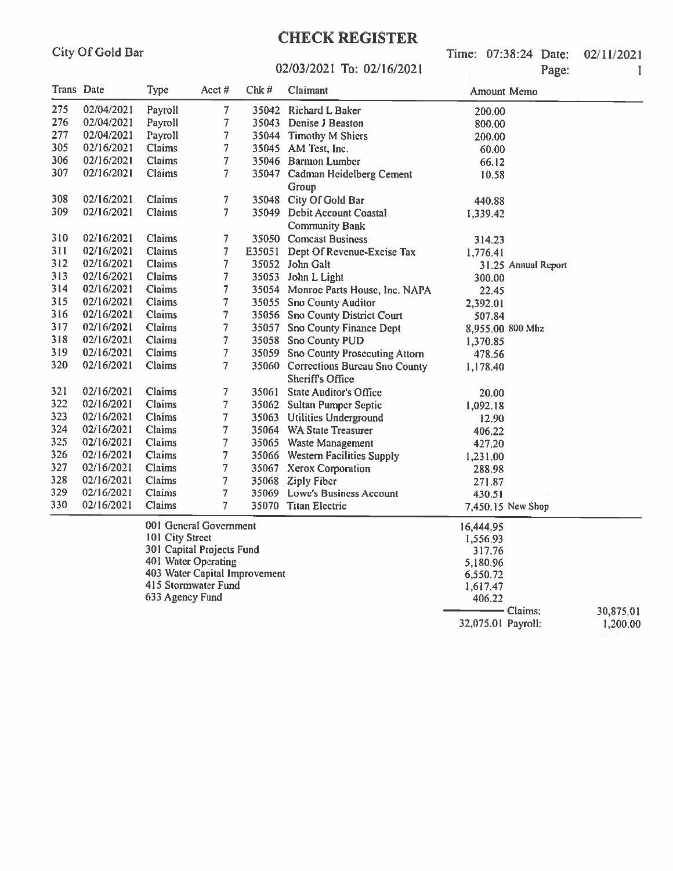Time: 07:38:24 Date: 02/11/2021 Page:

#### 02/03/2021 To: 02/16/2021

| Trans Date |            | Type          | Acct#                  | Chk#   | Claimant                                                | Amount Memo         |  |
|------------|------------|---------------|------------------------|--------|---------------------------------------------------------|---------------------|--|
| 275        | 02/04/2021 | Payroll       | 7                      | 35042  | Richard L Baker                                         | 200.00              |  |
| 276        | 02/04/2021 | Payroll       | 7                      |        | 35043 Denise J Beaston                                  | 800.00              |  |
| 277        | 02/04/2021 | Payroll       | 7                      |        | 35044 Timothy M Shiers                                  | 200.00              |  |
| 305        | 02/16/2021 | Claims        | 7                      |        | 35045 AM Test, Inc.                                     | 60.00               |  |
| 306        | 02/16/2021 | <b>Claims</b> | $\overline{7}$         |        | 35046 Barmon Lumber                                     | 66.12               |  |
| 307        | 02/16/2021 | Claims        | 7                      |        | 35047 Cadman Heidelberg Cement                          | 10.58               |  |
|            |            |               |                        |        | Group                                                   |                     |  |
| 308        | 02/16/2021 | Claims        | 7                      | 35048  | City Of Gold Bar                                        | 440.88              |  |
| 309        | 02/16/2021 | Claims        | 7                      |        | 35049 Debit Account Coastal                             | 1,339.42            |  |
|            |            |               |                        |        | <b>Community Bank</b>                                   |                     |  |
| 310        | 02/16/2021 | Claims        | 7                      |        | 35050 Comcast Business                                  | 314.23              |  |
| 311        | 02/16/2021 | Claims        | 7                      | E35051 | Dept Of Revenue-Excise Tax                              | 1,776.41            |  |
| 312        | 02/16/2021 | Claims        | 7                      |        | 35052 John Galt                                         | 31.25 Annual Report |  |
| 313        | 02/16/2021 | Claims        | 7                      | 35053  | John L Light                                            | 300.00              |  |
| 314        | 02/16/2021 | Claims        | 7                      |        | 35054 Monroe Parts House, Inc. NAPA                     | 22.45               |  |
| 315        | 02/16/2021 | Claims        | 7                      | 35055  | <b>Sno County Auditor</b>                               | 2,392.01            |  |
| 316        | 02/16/2021 | Claims        | 7                      |        | 35056 Sno County District Court                         | 507.84              |  |
| 317        | 02/16/2021 | Claims        | $\overline{7}$         | 35057  | <b>Sno County Finance Dept</b>                          | 8,955.00 800 Mhz    |  |
| 318        | 02/16/2021 | Claims        | $\overline{7}$         |        | 35058 Sno County PUD                                    | 1,370.85            |  |
| 319        | 02/16/2021 | Claims        | 7                      | 35059  | <b>Sno County Prosecuting Attorn</b>                    | 478.56              |  |
| 320        | 02/16/2021 | Claims        | 7                      |        | 35060 Corrections Bureau Sno County<br>Sheriff's Office | 1,178.40            |  |
| 321        | 02/16/2021 | Claims        | 7                      | 35061  | <b>State Auditor's Office</b>                           | 20.00               |  |
| 322        | 02/16/2021 | Claims        | 7                      | 35062  | <b>Sultan Pumper Septic</b>                             | 1,092.18            |  |
| 323        | 02/16/2021 | Claims        | 7                      |        | 35063 Utilities Underground                             | 12.90               |  |
| 324        | 02/16/2021 | Claims        | 7                      |        | 35064 WA State Treasurer                                | 406.22              |  |
| 325        | 02/16/2021 | Claims        | 7                      |        | 35065 Waste Management                                  | 427.20              |  |
| 326        | 02/16/2021 | Claims        | 7                      |        | 35066 Western Facilities Supply                         | 1,231.00            |  |
| 327        | 02/16/2021 | Claims        | 7                      |        | 35067 Xerox Corporation                                 | 288.98              |  |
| 328        | 02/16/2021 | Claims        | $\overline{7}$         |        | 35068 Ziply Fiber                                       | 271.87              |  |
| 329        | 02/16/2021 | Claims        | 7                      |        | 35069 Lowe's Business Account                           | 430.51              |  |
| 330        | 02/16/2021 | Claims        | 7                      |        | 35070 Titan Electric                                    | 7,450.15 New Shop   |  |
|            |            |               | 001 General Government |        |                                                         | 16.444.95           |  |

101 City Street<br>
101 City Street<br>
301 Capital Projects Fund<br>
401 Water Operating<br>
403 Water Capital Improvement<br>
415 Stormwater Fund<br>
633 Agency Fund 1,556.93 317.76 5,180.96 6,550.72 1,617.47 406.22  $-$  Claims: 30,875,01 32,075.01 Payroll: 1,200.00

 $\mathbf{I}$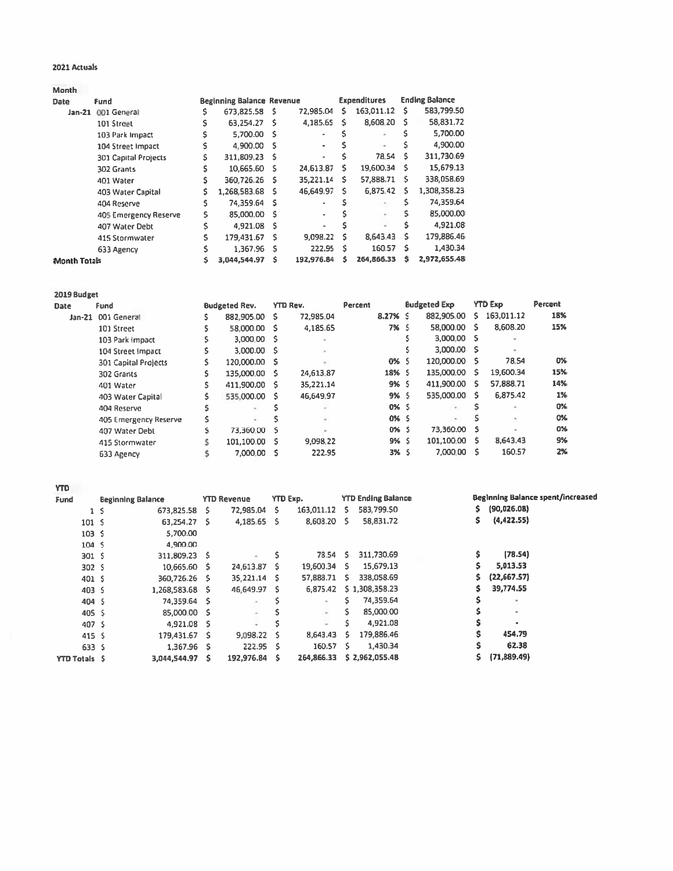#### 2021 Actuals

**Month** 

| <b>Date</b>         | Fund                        |    | <b>Beginning Balance Revenue</b> |     |            |   | <b>Expenditures</b> |    | <b>Ending Balance</b> |
|---------------------|-----------------------------|----|----------------------------------|-----|------------|---|---------------------|----|-----------------------|
| $Jan-21$            | 001 General                 |    | 673,825.58 \$                    |     | 72,985.04  | s | 163,011.12          | s  | 583,799.50            |
|                     | 101 Street                  | Ś  | 63.254.27                        | - S | 4,185.65   | s | 8,608.20            | s  | 58,831.72             |
|                     | 103 Park Impact             |    | 5.700.00 S                       |     |            |   |                     |    | 5.700.00              |
|                     | 104 Street Impact           |    | 4.900.00 S                       |     | ÷          |   | ٠                   |    | 4,900.00              |
|                     | <b>301 Capital Projects</b> | s  | 311,809,23 \$                    |     | ä,         |   | 78.54               | s  | 311,730.69            |
|                     | 302 Grants                  |    | 10.665.60                        | s   | 24,613.87  | s | 19,600.34           | s  | 15,679.13             |
|                     | 401 Water                   | s. | 360.726.26                       | -S. | 35,221.14  | s | 57,888.71           | -S | 338,058.69            |
|                     | 403 Water Capital           | Ś. | 1.268.583.68                     | s   | 46,649.97  | s | 6,875.42            | s  | 1,308,358.23          |
|                     | 404 Reserve                 | Ś. | 74,359.64                        | s   | ٠          |   | $\sim$              |    | 74,359.64             |
|                     | 405 Emergency Reserve       | Ś. | 85,000.00                        | s   | ÷          |   | $\sim$              |    | 85,000.00             |
|                     | 407 Water Debt              | Ś. | 4,921.08                         | Ś   | ٠          |   |                     |    | 4,921.08              |
|                     | 415 Stormwater              | Ś  | 179.431.67                       | Ś   | 9,098.22   | s | 8,643.43            | s  | 179,886.46            |
|                     | 633 Agency                  | s  | 1.367.96                         | S   | 222.95     | S | 160.57              | s  | 1,430.34              |
| <b>Month Totals</b> |                             |    | 3,044,544.97                     | Ś   | 192,976.84 | s | 264,866.33          | s  | 2,972,655.48          |

| 2019 Budget |                             |    |                      |   |                 |         |         |    |                          |     |                |         |
|-------------|-----------------------------|----|----------------------|---|-----------------|---------|---------|----|--------------------------|-----|----------------|---------|
| <b>Date</b> | Fund                        |    | <b>Budgeted Rev.</b> |   | <b>YTD Rev.</b> | Percent |         |    | <b>Budgeted Exp</b>      |     | <b>YTD Exp</b> | Percent |
| $Jan-21$    | 001 General                 |    | 882,905.00           | s | 72.985.04       |         | 8.27% S |    | 882,905.00               | s.  | 163,011.12     | 18%     |
|             | 101 Street                  | \$ | 58.000.00            | s | 4,185.65        |         | 7% S    |    | 58,000.00                | s   | 8,608.20       | 15%     |
|             | 103 Park Impact             | \$ | 3,000.00             | s |                 |         |         |    | 3,000.00 S               |     |                |         |
|             | 104 Street Impact           | \$ | 3.000.00             | s |                 |         |         |    | 3,000.00 \$              |     | $\sim$         |         |
|             | <b>301 Capital Projects</b> | \$ | 120,000.00           | s |                 |         | 0% S    |    | 120,000.00               | s   | 78.54          | 0%      |
|             | 302 Grants                  | Ś  | 135,000.00           | s | 24.613.87       |         | 18% S   |    | 135,000.00               | -S. | 19,600.34      | 15%     |
|             | 401 Water                   | Ś  | 411,900.00           | s | 35,221.14       |         | 9% S    |    | 411,900.00               | s   | 57,888.71      | 14%     |
|             | 403 Water Capital           | \$ | 535,000.00           | s | 46,649.97       |         | 9%      | -S | 535,000.00               | s   | 6,875.42       | 1%      |
|             | 404 Reserve                 | Ś  | $\sim$               | Ś |                 |         | 0% S    |    | $+1$                     | s   |                | 0%      |
|             | 405 Emergency Reserve       | Ś  | $\sim$               | Ś | ÷               |         | 0% S    |    | $\overline{\phantom{a}}$ |     |                | 0%      |
|             | 407 Water Debt              | Ŝ. | 73.360.00            | Ś | $\sim$          |         | $0\%$ S |    | 73,360.00                | s   |                | 0%      |
|             | 415 Stormwater              |    | 101.100.00           | s | 9.098.22        |         | 9% S    |    | 101,100.00               | s   | 8,643.43       | 9%      |
|             | 633 Agency                  |    | 7.000.00             | s | 222.95          |         | 3% S    |    | 7,000.00                 | s   | 160.57         | 2%      |
|             |                             |    |                      |   |                 |         |         |    |                          |     |                |         |

**YTD** 

| Fund                 | <b>Beginning Balance</b> |                 |   | <b>YTD Revenue</b>       | YTD Exp. |              |    | <b>YTD Ending Balance</b> |   | Beginning Balance spent/increased |
|----------------------|--------------------------|-----------------|---|--------------------------|----------|--------------|----|---------------------------|---|-----------------------------------|
| $1\sqrt{5}$          |                          | 673,825.58      | s | 72,985.04                | s        | 163,011.12   | S. | 583,799.50                |   | (90,026.08)                       |
| 101 <sub>5</sub>     |                          | 63,254.27 \$    |   | 4,185.65 \$              |          | 8,608.20 \$  |    | 58,831.72                 | s | (4, 422.55)                       |
| 103 <sub>5</sub>     |                          | 5,700.00        |   |                          |          |              |    |                           |   |                                   |
| 104 <sub>5</sub>     |                          | 4,900.00        |   |                          |          |              |    |                           |   |                                   |
| 301S                 |                          | 311,809.23 S    |   |                          |          | 78.54 S      |    | 311,730.69                |   | (78.54)                           |
| 302S                 |                          | 10,665.60 \$    |   | 24,613.87                | s        | 19,600.34 \$ |    | 15,679.13                 | S | 5,013.53                          |
| 401 S                |                          | 360,726.26 \$   |   | 35.221.14                | -S       | 57,888.71 \$ |    | 338,058.69                |   | (22,667.57)                       |
| 403 <sup>5</sup>     |                          | 1,268,583.68 \$ |   | 46.649.97                | -S       | 6,875.42     |    | \$1,308,358.23            |   | 39,774.55                         |
| 404 \$               |                          | 74,359.64 \$    |   | $\sim$                   |          | $\sim$       |    | 74,359.64                 |   | ٠                                 |
| 405 \$               |                          | 85,000.00 \$    |   | $\sim$                   |          | u.           |    | 85,000.00                 |   | ۰                                 |
| 407 S                |                          | 4,921.08 \$     |   | $\overline{\phantom{a}}$ |          |              |    | 4,921.08                  |   |                                   |
| 415 <sup>5</sup>     |                          | 179.431.67 \$   |   | 9,098.22 \$              |          | 8,643.43     | s  | 179,886.46                | Ś | 454.79                            |
| 633 S                |                          | 1.367.96 \$     |   | $222.95$ S               |          | 160.57 \$    |    | 1,430.34                  |   | 62.38                             |
| <b>YTD Totals \$</b> |                          | 3,044,544.97    | s | 192,976.84 \$            |          | 264,866.33   |    | \$2,962,055.48            |   | (71, 889.49)                      |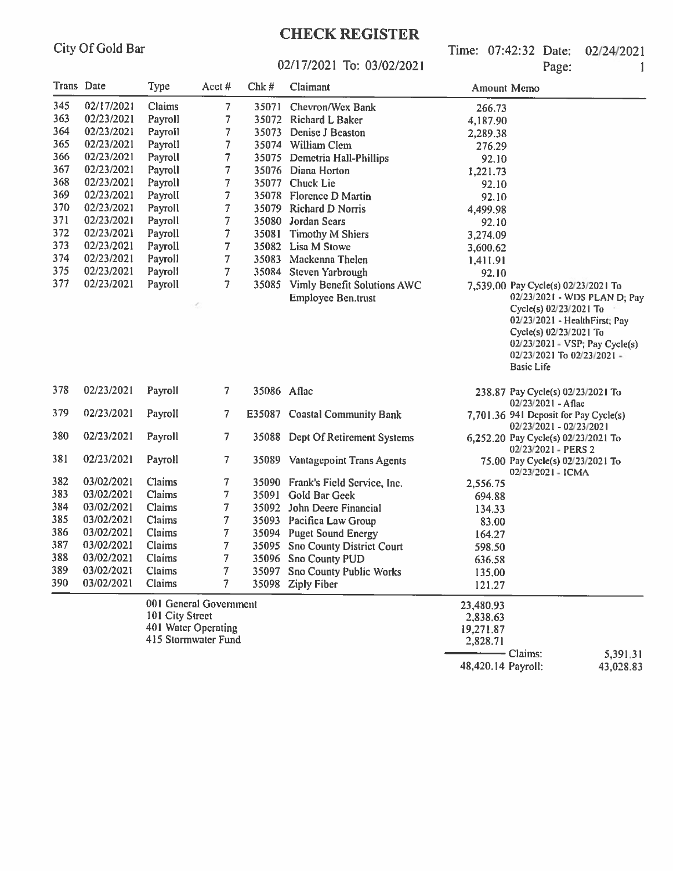## **CHECK REGISTER**

Time: 07:42:32 Date: 02/24/2021 Page:

 $\overline{1}$ 

#### 02/17/2021 To: 03/02/2021

| Trans Date |            | Type            | Acct#                      | Chk#        | Claimant                          | Amount Memo        |                                                                                                                                      |                                                                   |
|------------|------------|-----------------|----------------------------|-------------|-----------------------------------|--------------------|--------------------------------------------------------------------------------------------------------------------------------------|-------------------------------------------------------------------|
| 345        | 02/17/2021 | Claims          | 7                          |             | 35071 Chevron/Wex Bank            | 266.73             |                                                                                                                                      |                                                                   |
| 363        | 02/23/2021 | Payroll         | 7                          |             | 35072 Richard L Baker             | 4,187.90           |                                                                                                                                      |                                                                   |
| 364        | 02/23/2021 | Payroll         | 7                          |             | 35073 Denise J Beaston            | 2,289.38           |                                                                                                                                      |                                                                   |
| 365        | 02/23/2021 | Payroll         | 7                          |             | 35074 William Clem                | 276.29             |                                                                                                                                      |                                                                   |
| 366        | 02/23/2021 | Payroll         | 7                          |             | 35075 Demetria Hall-Phillips      | 92.10              |                                                                                                                                      |                                                                   |
| 367        | 02/23/2021 | Payroll         | 7                          |             | 35076 Diana Horton                | 1,221.73           |                                                                                                                                      |                                                                   |
| 368        | 02/23/2021 | Payroll         | 7                          |             | 35077 Chuck Lie                   | 92.10              |                                                                                                                                      |                                                                   |
| 369        | 02/23/2021 | Payroll         | 7                          |             | 35078 Florence D Martin           | 92.10              |                                                                                                                                      |                                                                   |
| 370        | 02/23/2021 | Payroll         | $\overline{\mathfrak{I}}$  |             | 35079 Richard D Norris            | 4,499.98           |                                                                                                                                      |                                                                   |
| 371        | 02/23/2021 | Payroll         | 7                          |             | 35080 Jordan Sears                | 92.10              |                                                                                                                                      |                                                                   |
| 372        | 02/23/2021 | Payroll         | $\overline{\phantom{a}}$   | 35081       | <b>Timothy M Shiers</b>           | 3,274.09           |                                                                                                                                      |                                                                   |
| 373        | 02/23/2021 | Payroll         | 7                          |             | 35082 Lisa M Stowe                | 3,600.62           |                                                                                                                                      |                                                                   |
| 374        | 02/23/2021 | Payroll         | 7                          |             | 35083 Mackenna Thelen             | 1,411.91           |                                                                                                                                      |                                                                   |
| 375        | 02/23/2021 | Payroll         | 7                          |             | 35084 Steven Yarbrough            | 92.10              |                                                                                                                                      |                                                                   |
| 377        | 02/23/2021 | Payroll         | 7                          |             | 35085 Vimly Benefit Solutions AWC |                    | 7,539.00 Pay Cycle(s) 02/23/2021 To                                                                                                  |                                                                   |
|            |            |                 |                            |             | <b>Employee Ben.trust</b>         |                    | Cycle(s) 02/23/2021 To<br>02/23/2021 - HealthFirst; Pay<br>Cycle(s) 02/23/2021 To<br>02/23/2021 To 02/23/2021 -<br><b>Basic Life</b> | 02/23/2021 - WDS PLAN D; Pay<br>$02/23/2021 - VSP$ ; Pay Cycle(s) |
| 378        | 02/23/2021 | Payroll         | 7                          | 35086 Aflac |                                   |                    | 238.87 Pay Cycle(s) 02/23/2021 To<br>02/23/2021 - Aflac                                                                              |                                                                   |
| 379        | 02/23/2021 | Payroll         | 7                          |             | E35087 Coastal Community Bank     |                    | 7,701.36 941 Deposit for Pay Cycle(s)<br>02/23/2021 - 02/23/2021                                                                     |                                                                   |
| 380        | 02/23/2021 | Payroll         | 7                          |             | 35088 Dept Of Retirement Systems  |                    | 6,252.20 Pay Cycle(s) 02/23/2021 To<br>02/23/2021 - PERS 2                                                                           |                                                                   |
| 381        | 02/23/2021 | Payroll         | 7                          |             | 35089 Vantagepoint Trans Agents   |                    | 75.00 Pay Cycle(s) 02/23/2021 To<br>02/23/2021 - ICMA                                                                                |                                                                   |
| 382        | 03/02/2021 | Claims          | 7                          |             | 35090 Frank's Field Service, Inc. | 2,556.75           |                                                                                                                                      |                                                                   |
| 383        | 03/02/2021 | Claims          | 7                          |             | 35091 Gold Bar Geek               | 694.88             |                                                                                                                                      |                                                                   |
| 384        | 03/02/2021 | Claims          | 7                          |             | 35092 John Deere Financial        | 134.33             |                                                                                                                                      |                                                                   |
| 385        | 03/02/2021 | Claims          | 7                          |             | 35093 Pacifica Law Group          | 83.00              |                                                                                                                                      |                                                                   |
| 386        | 03/02/2021 | <b>Claims</b>   | 7                          |             | 35094 Puget Sound Energy          | 164.27             |                                                                                                                                      |                                                                   |
| 387        | 03/02/2021 | Claims          | 7                          |             | 35095 Sno County District Court   | 598.50             |                                                                                                                                      |                                                                   |
| 388        | 03/02/2021 | Claims          | 7                          |             | 35096 Sno County PUD              | 636.58             |                                                                                                                                      |                                                                   |
| 389        | 03/02/2021 | Claims          | 7                          |             | 35097 Sno County Public Works     | 135.00             |                                                                                                                                      |                                                                   |
| 390        | 03/02/2021 | Claims          | 7                          |             | 35098 Ziply Fiber                 | 121.27             |                                                                                                                                      |                                                                   |
|            |            |                 | 001 General Government     |             |                                   | 23,480.93          |                                                                                                                                      |                                                                   |
|            |            | 101 City Street |                            |             |                                   | 2,838.63           |                                                                                                                                      |                                                                   |
|            |            |                 | 401 Water Operating        |             |                                   | 19,271.87          |                                                                                                                                      |                                                                   |
|            |            |                 | <b>415 Stormwater Fund</b> |             |                                   | 2,828.71           |                                                                                                                                      |                                                                   |
|            |            |                 |                            |             |                                   |                    | - Claims:                                                                                                                            | 5,391.31                                                          |
|            |            |                 |                            |             |                                   | 48,420.14 Payroll: |                                                                                                                                      | 43,028.83                                                         |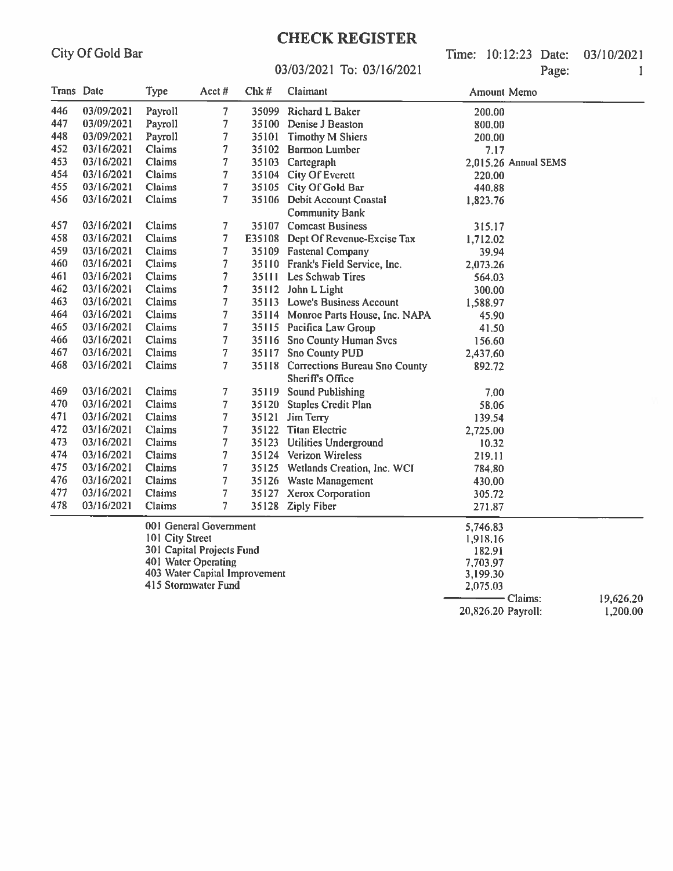## **CHECK REGISTER**

Time: 10:12:23 Date: 03/10/2021 Page:  $\mathbf{I}$ 

#### 03/03/2021 To: 03/16/2021

| <b>Trans</b> Date |            | Type            | Acct#                     | Chk# | Claimant                                                       | Amount Memo          |  |
|-------------------|------------|-----------------|---------------------------|------|----------------------------------------------------------------|----------------------|--|
| 446               | 03/09/2021 | Payroll         | 7.                        |      | 35099 Richard L Baker                                          | 200,00               |  |
| 447               | 03/09/2021 | Payroll         | 7                         |      | 35100 Denise J Beaston                                         | 800,00               |  |
| 448               | 03/09/2021 | Payroll         | $\overline{7}$            |      | 35101 Timothy M Shiers                                         | 200,00               |  |
| 452               | 03/16/2021 | Claims          | 7                         |      | 35102 Barmon Lumber                                            | 7.17                 |  |
| 453               | 03/16/2021 | Claims          | $\tau$                    |      | 35103 Cartegraph                                               | 2,015.26 Annual SEMS |  |
| 454               | 03/16/2021 | Claims          | $\overline{7}$            |      | 35104 City Of Everett                                          | 220.00               |  |
| 455               | 03/16/2021 | Claims          | $\overline{7}$            |      | 35105 City Of Gold Bar                                         | 440.88               |  |
| 456               | 03/16/2021 | Claims          | $\tau$                    |      | 35106 Debit Account Coastal                                    | 1,823.76             |  |
|                   |            |                 |                           |      | <b>Community Bank</b>                                          |                      |  |
| 457               | 03/16/2021 | Claims          | $\overline{7}$            |      | 35107 Comcast Business                                         | 315.17               |  |
| 458               | 03/16/2021 | Claims          | $\overline{7}$            |      | E35108 Dept Of Revenue-Excise Tax                              | 1,712.02             |  |
| 459               | 03/16/2021 | Claims          | $\overline{7}$            |      | 35109 Fastenal Company                                         | 39.94                |  |
| 460               | 03/16/2021 | Claims          | $\overline{7}$            |      | 35110 Frank's Field Service, Inc.                              | 2,073.26             |  |
| 461               | 03/16/2021 | Claims          | $\overline{7}$            |      | 35111 Les Schwab Tires                                         | 564.03               |  |
| 462               | 03/16/2021 | Claims          | $\overline{7}$            |      | 35112 John L Light                                             | 300.00               |  |
| 463               | 03/16/2021 | Claims          | $\overline{7}$            |      | 35113 Lowe's Business Account                                  | 1,588.97             |  |
| 464               | 03/16/2021 | Claims          | $\overline{7}$            |      | 35114 Monroe Parts House, Inc. NAPA                            | 45.90                |  |
| 465               | 03/16/2021 | Claims          | $\overline{7}$            |      | 35115 Pacifica Law Group                                       | 41.50                |  |
| 466               | 03/16/2021 | Claims          | $\overline{7}$            |      | 35116 Sno County Human Svcs                                    | 156.60               |  |
| 467               | 03/16/2021 | Claims          | $\overline{7}$            |      | 35117 Sno County PUD                                           | 2,437.60             |  |
| 468               | 03/16/2021 | Claims          | $\overline{7}$            |      | 35118 Corrections Bureau Sno County<br><b>Sheriff's Office</b> | 892.72               |  |
| 469               | 03/16/2021 | Claims          | 7                         |      | 35119 Sound Publishing                                         | 7.00                 |  |
| 470               | 03/16/2021 | Claims          | $\overline{7}$            |      | 35120 Staples Credit Plan                                      | 58.06                |  |
| 471               | 03/16/2021 | Claims          | $\overline{7}$            |      | 35121 Jim Terry                                                | 139.54               |  |
| 472               | 03/16/2021 | Claims          | $\overline{7}$            |      | 35122 Titan Electric                                           | 2,725.00             |  |
| 473               | 03/16/2021 | Claims          | 7                         |      | 35123 Utilities Underground                                    | 10.32                |  |
| 474               | 03/16/2021 | Claims          | $\overline{\phantom{a}}$  |      | 35124 Verizon Wireless                                         | 219.11               |  |
| 475               | 03/16/2021 | <b>Claims</b>   | $\overline{7}$            |      | 35125 Wetlands Creation, Inc. WCI                              | 784.80               |  |
| 476               | 03/16/2021 | Claims          | $\overline{7}$            |      | 35126 Waste Management                                         | 430.00               |  |
| 477               | 03/16/2021 | Claims          | 7                         |      | 35127 Xerox Corporation                                        | 305.72               |  |
| 478               | 03/16/2021 | Claims          | 7                         |      | 35128 Ziply Fiber                                              | 271,87               |  |
|                   |            |                 | 001 General Government    |      |                                                                | 5,746.83             |  |
|                   |            | 101 City Street |                           |      |                                                                | 1,918.16             |  |
|                   |            |                 | 301 Capital Projects Fund |      |                                                                | 182.91               |  |

401 Water Operating<br>403 Water Capital Improvement 7,703.97 3,199.30

415 Stormwater Fund

2,075.03  $-$  Claims: 20,826.20 Payroll:

19,626.20 1,200.00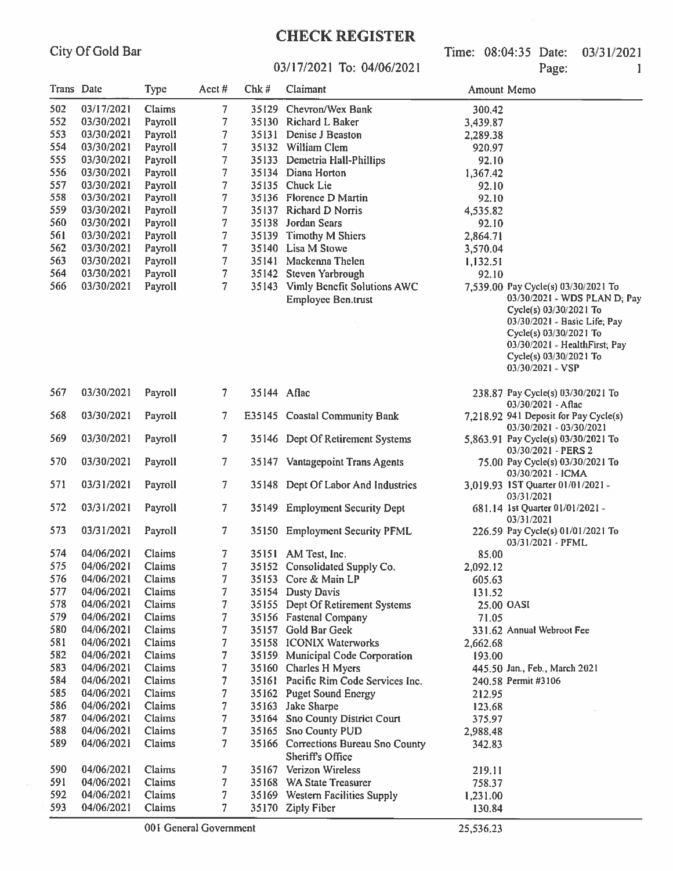## **CHECK REGISTER**

Time: 08:04:35 Date: 03/31/2021 Page:

 $\mathbf{1}$ 

#### 03/17/2021 To: 04/06/2021

| Trans Date |            | <b>Type</b>   | Acct#                    | Chk#        | Claimant                                                          | Amount Memo       |                                                                                                                                                                                                 |
|------------|------------|---------------|--------------------------|-------------|-------------------------------------------------------------------|-------------------|-------------------------------------------------------------------------------------------------------------------------------------------------------------------------------------------------|
| 502        | 03/17/2021 | <b>Claims</b> | 7                        |             | 35129 Chevron/Wex Bank                                            | 300.42            |                                                                                                                                                                                                 |
| 552        | 03/30/2021 | Payroll       | 7                        |             | 35130 Richard L Baker                                             | 3,439.87          |                                                                                                                                                                                                 |
| 553        | 03/30/2021 | Payroll       | 7                        |             | 35131 Denise J Beaston                                            | 2,289.38          |                                                                                                                                                                                                 |
| 554        | 03/30/2021 | Payroll       | 7                        |             | 35132 William Clem                                                | 920.97            |                                                                                                                                                                                                 |
| 555        | 03/30/2021 | Payroll       | 7                        |             | 35133 Demetria Hall-Phillips                                      |                   |                                                                                                                                                                                                 |
| 556        | 03/30/2021 | Payroll       | 7                        |             | 35134 Diana Horton                                                | 92.10<br>1,367.42 |                                                                                                                                                                                                 |
| 557        | 03/30/2021 | Payroll       | 7                        |             | 35135 Chuck Lie                                                   | 92.10             |                                                                                                                                                                                                 |
| 558        | 03/30/2021 | Payroll       | 7                        |             | 35136 Florence D Martin                                           | 92.10             |                                                                                                                                                                                                 |
| 559        | 03/30/2021 | Payroll       | 7                        |             | 35137 Richard D Norris                                            | 4,535.82          |                                                                                                                                                                                                 |
| 560        | 03/30/2021 | Payroll       | 7                        |             | 35138 Jordan Sears                                                | 92.10             |                                                                                                                                                                                                 |
| 561        | 03/30/2021 | Payroll       | 7                        |             | 35139 Timothy M Shiers                                            | 2,864.71          |                                                                                                                                                                                                 |
| 562        | 03/30/2021 | Payroll       | 7                        |             | 35140 Lisa M Stowe                                                | 3,570.04          |                                                                                                                                                                                                 |
| 563        | 03/30/2021 | Payroll       | 7                        |             | 35141 Mackenna Thelen                                             | 1,132.51          |                                                                                                                                                                                                 |
| 564        | 03/30/2021 | Payroll       | $\tau$                   |             | 35142 Steven Yarbrough                                            | 92.10             |                                                                                                                                                                                                 |
| 566        | 03/30/2021 | Payroll       | 7                        |             | 35143 Vimly Benefit Solutions AWC                                 |                   | 7,539.00 Pay Cycle(s) 03/30/2021 To                                                                                                                                                             |
|            |            |               |                          |             | <b>Employee Ben.trust</b>                                         |                   | 03/30/2021 - WDS PLAN D; Pay<br>Cycle(s) 03/30/2021 To<br>03/30/2021 - Basic Life; Pay<br>Cycle(s) 03/30/2021 To<br>03/30/2021 - HealthFirst; Pay<br>Cycle(s) 03/30/2021 To<br>03/30/2021 - VSP |
| 567        | 03/30/2021 | Payroll       | $\overline{\phantom{a}}$ | 35144 Aflac |                                                                   |                   | 238.87 Pay Cycle(s) 03/30/2021 To<br>$03/30/2021$ - Aflac                                                                                                                                       |
| 568        | 03/30/2021 | Payroll       | 7                        |             | E35145 Coastal Community Bank                                     |                   | 7,218.92 941 Deposit for Pay Cycle(s)<br>03/30/2021 - 03/30/2021                                                                                                                                |
| 569        | 03/30/2021 | Payroll       | 7                        |             | 35146 Dept Of Retirement Systems                                  |                   | 5,863.91 Pay Cycle(s) 03/30/2021 To<br>03/30/2021 - PERS 2                                                                                                                                      |
| 570        | 03/30/2021 | Payroll       | 7                        |             | 35147 Vantagepoint Trans Agents                                   |                   | 75.00 Pay Cycle(s) 03/30/2021 To<br>03/30/2021 - ICMA                                                                                                                                           |
| 571        | 03/31/2021 | Payroll       | 7                        |             | 35148 Dept Of Labor And Industries                                |                   | 3,019.93 1ST Quarter 01/01/2021 -<br>03/31/2021                                                                                                                                                 |
| 572        | 03/31/2021 | Payroll       | 7                        |             | 35149 Employment Security Dept                                    |                   | 681.14 1st Quarter 01/01/2021 -<br>03/31/2021                                                                                                                                                   |
| 573        | 03/31/2021 | Payroll       | 7                        |             | 35150 Employment Security PFML                                    |                   | 226.59 Pay Cycle(s) 01/01/2021 To<br>03/31/2021 - PFML                                                                                                                                          |
| 574        | 04/06/2021 | Claims        | 7                        |             | 35151 AM Test, Inc.                                               | 85.00             |                                                                                                                                                                                                 |
| 575        | 04/06/2021 | Claims        | 7                        |             | 35152 Consolidated Supply Co.                                     | 2,092.12          |                                                                                                                                                                                                 |
| 576        | 04/06/2021 | Claims        | 7                        |             | 35153 Core & Main LP                                              | 605.63            |                                                                                                                                                                                                 |
| 577        | 04/06/2021 | <b>Claims</b> | 7                        |             | 35154 Dusty Davis                                                 | 131.52            |                                                                                                                                                                                                 |
| 578        | 04/06/2021 | Claims        | 7                        |             | 35155 Dept Of Retirement Systems                                  | 25.00 OASI        |                                                                                                                                                                                                 |
| 579        | 04/06/2021 | Claims        | 7                        |             | 35156 Fastenal Company                                            | 71.05             |                                                                                                                                                                                                 |
| 580        | 04/06/2021 | Claims        | 7                        |             | 35157 Gold Bar Geek                                               |                   | 331.62 Annual Webroot Fee                                                                                                                                                                       |
| 581        | 04/06/2021 | Claims        | 7                        |             | 35158 ICONIX Waterworks                                           | 2,662.68          |                                                                                                                                                                                                 |
| 582        | 04/06/2021 | Claims        | 7                        |             | 35159 Municipal Code Corporation                                  | 193.00            |                                                                                                                                                                                                 |
| 583        | 04/06/2021 | Claims        | 7                        |             | 35160 Charles H Myers                                             |                   | 445.50 Jan., Feb., March 2021                                                                                                                                                                   |
| 584        | 04/06/2021 | Claims        | 7                        |             | 35161 Pacific Rim Code Services Inc.                              |                   | 240.58 Permit #3106                                                                                                                                                                             |
| 585        | 04/06/2021 | Claims        | 7                        |             | 35162 Puget Sound Energy                                          | 212.95            |                                                                                                                                                                                                 |
| 586        | 04/06/2021 | Claims        | 7                        |             | 35163 Jake Sharpe                                                 | 123.68            |                                                                                                                                                                                                 |
| 587        | 04/06/2021 | Claims        | 7                        |             | 35164 Sno County District Court                                   | 375.97            |                                                                                                                                                                                                 |
| 588        | 04/06/2021 | Claims        | 7                        |             | 35165 Sno County PUD                                              | 2,988.48          |                                                                                                                                                                                                 |
| 589        | 04/06/2021 | Claims        | 7.                       |             | 35166 Corrections Bureau Sno County<br>342.83<br>Sheriff's Office |                   |                                                                                                                                                                                                 |
| 590        | 04/06/2021 | Claims        | 7                        |             | 35167 Verizon Wireless                                            | 219.11            |                                                                                                                                                                                                 |
| 591        | 04/06/2021 | Claims        | 7                        |             | 35168 WA State Treasurer                                          | 758.37            |                                                                                                                                                                                                 |
| 592        | 04/06/2021 | Claims        | 7                        |             | 35169 Western Facilities Supply                                   | 1,231.00          |                                                                                                                                                                                                 |
| 593        | 04/06/2021 | Claims        | 7                        |             | 35170 Ziply Fiber                                                 | 130.84            |                                                                                                                                                                                                 |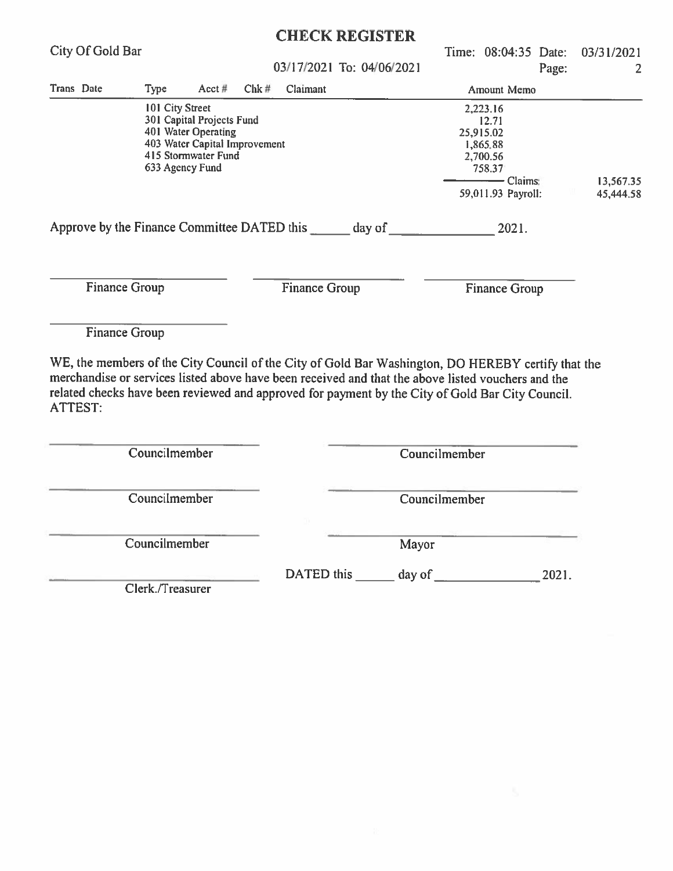|                                                                                                                                                                                                                                                                                                                                |                                                                                                                                                |           |      |                      | <b>CHECK REGISTER</b>     |               |                                                                                                       |                      |                        |                 |
|--------------------------------------------------------------------------------------------------------------------------------------------------------------------------------------------------------------------------------------------------------------------------------------------------------------------------------|------------------------------------------------------------------------------------------------------------------------------------------------|-----------|------|----------------------|---------------------------|---------------|-------------------------------------------------------------------------------------------------------|----------------------|------------------------|-----------------|
| City Of Gold Bar                                                                                                                                                                                                                                                                                                               |                                                                                                                                                |           |      |                      | 03/17/2021 To: 04/06/2021 |               |                                                                                                       | Time: 08:04:35 Date: | Page:                  | 03/31/2021<br>2 |
| Trans Date                                                                                                                                                                                                                                                                                                                     | <b>Type</b>                                                                                                                                    | $Acct \#$ | Chk# | Claimant             |                           |               |                                                                                                       | Amount Memo          |                        |                 |
|                                                                                                                                                                                                                                                                                                                                | 101 City Street<br>301 Capital Projects Fund<br>401 Water Operating<br>403 Water Capital Improvement<br>415 Stormwater Fund<br>633 Agency Fund |           |      |                      |                           |               | 2,223.16<br>12.71<br>25,915.02<br>1,865.88<br>2,700.56<br>758.37<br>$-$ Claims:<br>59,011.93 Payroll: |                      | 13,567.35<br>45,444.58 |                 |
| Approve by the Finance Committee DATED this electron day of                                                                                                                                                                                                                                                                    |                                                                                                                                                |           |      |                      |                           |               |                                                                                                       | 2021.                |                        |                 |
| <b>Finance Group</b>                                                                                                                                                                                                                                                                                                           |                                                                                                                                                |           |      | <b>Finance Group</b> |                           |               |                                                                                                       | <b>Finance Group</b> |                        |                 |
| <b>Finance Group</b>                                                                                                                                                                                                                                                                                                           |                                                                                                                                                |           |      |                      |                           |               |                                                                                                       |                      |                        |                 |
| WE, the members of the City Council of the City of Gold Bar Washington, DO HEREBY certify that the<br>merchandise or services listed above have been received and that the above listed vouchers and the<br>related checks have been reviewed and approved for payment by the City of Gold Bar City Council.<br><b>ATTEST:</b> |                                                                                                                                                |           |      |                      |                           |               |                                                                                                       |                      |                        |                 |
|                                                                                                                                                                                                                                                                                                                                | Councilmember                                                                                                                                  |           |      |                      |                           | Councilmember |                                                                                                       |                      |                        |                 |
|                                                                                                                                                                                                                                                                                                                                | Councilmember                                                                                                                                  |           |      |                      |                           | Councilmember |                                                                                                       |                      |                        |                 |
|                                                                                                                                                                                                                                                                                                                                | Councilmember                                                                                                                                  |           |      |                      |                           | Mayor         |                                                                                                       |                      |                        |                 |
|                                                                                                                                                                                                                                                                                                                                | Clerk./Treasurer                                                                                                                               |           |      |                      |                           |               |                                                                                                       |                      | 2021.                  |                 |
|                                                                                                                                                                                                                                                                                                                                |                                                                                                                                                |           |      |                      |                           |               |                                                                                                       |                      |                        |                 |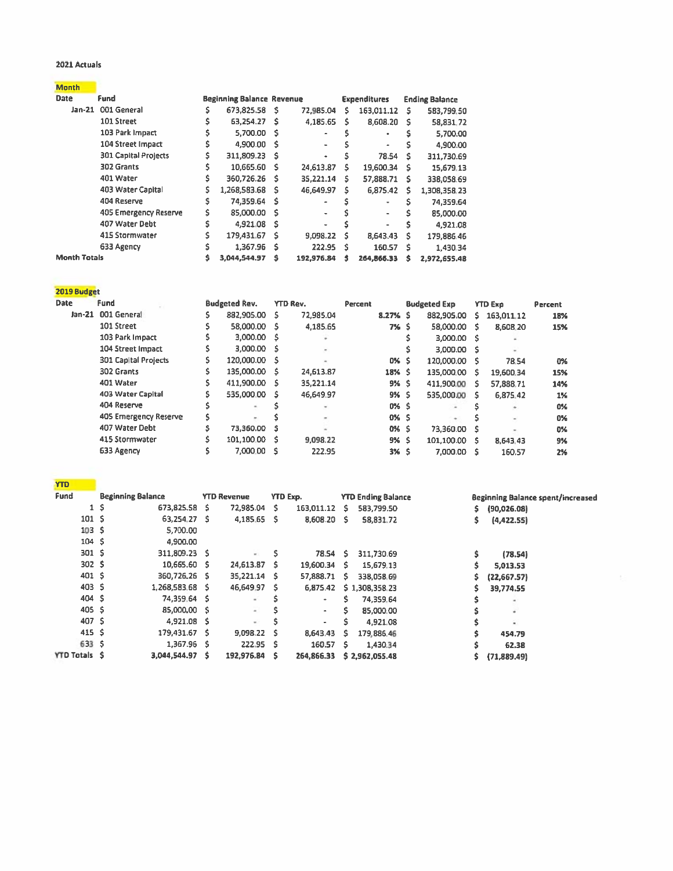#### 2021 Actuals

| Month |
|-------|
|-------|

| <b>Date</b>         | Fund                        |    | <b>Beginning Balance Revenue</b> |     |            |    | <b>Expenditures</b> |    | <b>Ending Balance</b> |
|---------------------|-----------------------------|----|----------------------------------|-----|------------|----|---------------------|----|-----------------------|
|                     | Jan-21 001 General          |    | 673,825.58 \$                    |     | 72,985.04  | s  | 163,011.12          | s  | 583,799.50            |
|                     | 101 Street                  | \$ | 63.254.27                        | -S  | 4,185.65   | s  | 8,608.20            | -S | 58,831.72             |
|                     | 103 Park Impact             |    | 5,700.00 S                       |     |            |    | ٠                   |    | 5.700.00              |
|                     | 104 Street Impact           |    | 4,900.00                         | - 5 |            |    | ٠                   |    | 4,900.00              |
|                     | <b>301 Capital Projects</b> | Ŝ. | 311,809.23 \$                    |     | ٠          |    | 78.54               | s  | 311,730.69            |
|                     | 302 Grants                  |    | 10,665.60                        | s   | 24,613.87  | s  | 19,600.34           | s  | 15,679.13             |
|                     | 401 Water                   |    | 360,726.26 \$                    |     | 35,221.14  | s  | 57,888.71           | s  | 338,058.69            |
|                     | 403 Water Capital           | Ŝ. | 1,268,583.68                     | s   | 46,649.97  | s  | 6,875.42            | s  | 1,308,358.23          |
|                     | 404 Reserve                 | s  | 74,359.64                        | s   | ۰          |    | ٠                   | s  | 74,359.64             |
|                     | 405 Emergency Reserve       |    | 85,000.00                        | s   | ۰          |    | $\blacksquare$      |    | 85,000.00             |
|                     | 407 Water Debt              | ŝ  | 4,921.08                         | s   | ٠          |    | $\blacksquare$      | s  | 4,921.08              |
|                     | 415 Stormwater              |    | 179,431.67                       | s   | 9,098.22   | s  | 8,643.43            | s  | 179,886.46            |
|                     | 633 Agency                  |    | 1,367.96                         | Ś   | 222.95     | Ŝ. | 160.57              | Ŝ  | 1.430.34              |
| <b>Month Totals</b> |                             |    | 3.044.544.97                     |     | 192.976.84 | s  | 264.866.33          | s  | 2.972.655.48          |

| 2019 Budget |
|-------------|
|             |

| <b>Date</b><br><b>Fund</b> |                             | <b>Budgeted Rev.</b> |               | <b>YTD Rev.</b> | Percent |          | <b>Budgeted Exp</b> |               |    | <b>YTD Exp</b>           | Percent |  |
|----------------------------|-----------------------------|----------------------|---------------|-----------------|---------|----------|---------------------|---------------|----|--------------------------|---------|--|
|                            | Jan-21 001 General          |                      | 882,905.00 \$ | 72,985.04       |         | 8.27% \$ |                     | 882,905.00    | s. | 163,011.12               | 18%     |  |
|                            | 101 Street                  |                      | 58,000.00 \$  | 4,185.65        |         | 7% S     |                     | 58,000.00 \$  |    | 8,608.20                 | 15%     |  |
|                            | 103 Park Impact             |                      | 3,000.00 \$   |                 |         |          |                     | 3,000.00 S    |    |                          |         |  |
|                            | 104 Street Impact           |                      | 3,000.00 \$   |                 |         |          |                     | 3,000.00 \$   |    |                          |         |  |
|                            | <b>301 Capital Projects</b> | S.                   | 120,000.00 \$ |                 |         | 0% S     |                     | 120,000.00 \$ |    | 78.54                    | 0%      |  |
|                            | 302 Grants                  |                      | 135,000.00 \$ | 24,613.87       |         | 18% \$   |                     | 135,000.00 \$ |    | 19,600.34                | 15%     |  |
|                            | 401 Water                   |                      | 411,900.00 \$ | 35,221.14       |         | 9% S     |                     | 411,900.00 \$ |    | 57,888.71                | 14%     |  |
|                            | 403 Water Capital           |                      | 535,000.00 \$ | 46,649.97       |         | 9% S     |                     | 535,000.00 \$ |    | 6.875.42                 | 1%      |  |
|                            | 404 Reserve                 |                      |               |                 |         | 0% S     |                     |               |    |                          | 0%      |  |
|                            | 405 Emergency Reserve       |                      | ۰             |                 |         | 0% S     |                     |               |    | $\overline{\phantom{a}}$ | 0%      |  |
|                            | 407 Water Debt              |                      | 73,360.00 S   |                 |         | 0% S     |                     | 73,360.00 \$  |    |                          | 0%      |  |
|                            | 415 Stormwater              |                      | 101,100.00 \$ | 9.098.22        |         | 9% \$    |                     | 101.100.00 \$ |    | 8,643.43                 | 9%      |  |
|                            | 633 Agency                  |                      | 7.000.00 S    | 222.95          |         | 3% \$    |                     | 7,000.00 \$   |    | 160.57                   | 2%      |  |

| <b>YTD</b>          |                  |                          |    |                    |     |                 |     |                           |    |                                   |
|---------------------|------------------|--------------------------|----|--------------------|-----|-----------------|-----|---------------------------|----|-----------------------------------|
| Fund                |                  | <b>Beginning Balance</b> |    | <b>YTD Revenue</b> |     | <b>YTD Exp.</b> |     | <b>YTD Ending Balance</b> |    | Beginning Balance spent/increased |
|                     | \$.<br>1         | 673,825.58               | s  | 72,985.04          | s   | 163,011.12      | s   | 583,799.50                | s. | (90,026.08)                       |
|                     | 101 <sub>5</sub> | 63.254.27                | s  | 4,185.65           | - S | 8,608.20 \$     |     | 58,831.72                 | \$ | (4,422.55)                        |
|                     | 103 <sub>5</sub> | 5,700.00                 |    |                    |     |                 |     |                           |    |                                   |
|                     | 104 \$           | 4,900.00                 |    |                    |     |                 |     |                           |    |                                   |
|                     | 301 <sup>5</sup> | 311,809.23 \$            |    | $-$                | s   | 78.54 S         |     | 311,730.69                | \$ | (78.54)                           |
|                     | 302 <sub>5</sub> | 10,665.60                | -S | 24,613.87          | s   | 19,600.34       | -5  | 15,679.13                 |    | 5,013.53                          |
|                     | 401 S            | 360,726,26               | -S | 35,221.14          | s   | 57,888.71       | s   | 338,058.69                | s  | (22,667.57)                       |
|                     | 403 <sub>5</sub> | 1,268,583.68 \$          |    | 46,649.97          | s   | 6,875.42        |     | \$1,308,358.23            | s  | 39,774.55                         |
|                     | 404 \$           | 74,359.64 S              |    | $\sim$             | Ŝ   | ٠               | ς   | 74,359.64                 |    |                                   |
|                     | 405 \$           | 85,000,00 \$             |    | ÷                  |     | $\sim$          | s   | 85,000.00                 |    |                                   |
|                     | 407 <sub>5</sub> | 4,921.08 S               |    | $\sim$             |     | $\sim$          | s   | 4,921.08                  |    | $\blacksquare$                    |
|                     | 415S             | 179,431.67 \$            |    | 9,098.22           | s   | 8,643.43        | Ŝ   | 179,886.46                |    | 454.79                            |
|                     | 633 \$           | 1,367.96 \$              |    | 222.95             | - S | 160.57          | -S. | 1,430.34                  |    | 62.38                             |
| <b>YTD Totals S</b> |                  | 3.044.544.97             | s  | 192,976.84         | s   | 264,866.33      |     | \$2,962,055.48            |    | (71,889.49)                       |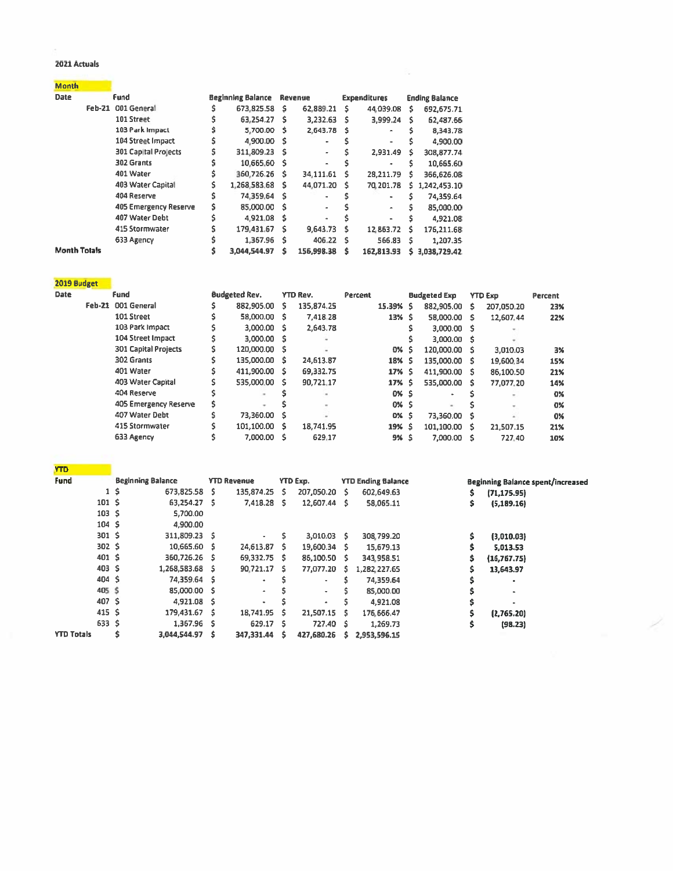#### 2021 Actuals

| <b>Month</b>        |        |                             |                          |      |                |   |                     |    |                       |
|---------------------|--------|-----------------------------|--------------------------|------|----------------|---|---------------------|----|-----------------------|
| <b>Date</b>         |        | <b>Fund</b>                 | <b>Beginning Balance</b> |      | Revenue        |   | <b>Expenditures</b> |    | <b>Ending Balance</b> |
|                     | Feb-21 | 001 General                 | 673,825.58               | - \$ | 62,889.21      | s | 44.039.08           | s  | 692,675.71            |
|                     |        | 101 Street                  | 63,254.27                | - S  | 3,232.63       | s | 3.999.24            | s  | 62,487.66             |
|                     |        | 103 Park Impact             | 5,700.00                 | - \$ | 2.643.78       | Ŝ | ٠                   |    | 8.343.78              |
|                     |        | 104 Street Impact           | 4,900.00                 | - 5  |                |   | ٠                   |    | 4,900.00              |
|                     |        | <b>301 Capital Projects</b> | 311,809.23               | - S  | ٠              |   | 2,931.49            | s  | 308,877.74            |
|                     |        | 302 Grants                  | 10,665.60                | - S  | ۰              |   | ٠                   | s  | 10,665.60             |
|                     |        | 401 Water                   | 360,726.26               | - S  | 34,111.61      | s | 28,211.79           | s  | 366,626.08            |
|                     |        | 403 Water Capital           | 1,268,583.68             | s    | 44.071.20      | s | 70,201.78           | s. | 1,242,453.10          |
|                     |        | 404 Reserve                 | 74.359.64                | - S  | $\blacksquare$ |   | ٠                   |    | 74,359.64             |
|                     |        | 405 Emergency Reserve       | 85,000.00                | - S  | ۰              |   | ٠                   | s  | 85,000.00             |
|                     |        | 407 Water Debt              | 4.921.08                 | - \$ | ۰              |   | ÷                   |    | 4,921.08              |
|                     |        | 415 Stormwater              | 179,431.67               | s    | 9,643.73       | s | 12.863.72           | s  | 176,211.68            |
|                     |        | 633 Agency                  | 1,367.96                 | s    | 406.22         | s | 566.83              | s  | 1,207.35              |
| <b>Month Totals</b> |        |                             | 3,044,544.97             | S    | 156,998.38     | s | 162,813.93          | s  | 3,038,729.42          |

| 2019 Budget |                             |                      |     |                 |         |             |    |                     |   |                |         |
|-------------|-----------------------------|----------------------|-----|-----------------|---------|-------------|----|---------------------|---|----------------|---------|
| Date        | Fund                        | <b>Budgeted Rev.</b> |     | <b>YTD Rev.</b> | Percent |             |    | <b>Budgeted Exp</b> |   | <b>YTD Exp</b> | Percent |
|             | Feb-21 001 General          | 882,905.00           | S.  | 135,874.25      |         | 15.39% \$   |    | 882.905.00          | s | 207,050.20     | 23%     |
|             | 101 Street                  | 58,000.00            | - S | 7,418.28        |         | $13%$ \$    |    | 58,000.00 S         |   | 12,607.44      | 22%     |
|             | 103 Park Impact             | 3,000.00             | - S | 2,643.78        |         |             |    | 3,000.00 \$         |   |                |         |
|             | 104 Street Impact           | 3.000.00             | - S |                 |         |             |    | 3,000.00 \$         |   |                |         |
|             | <b>301 Capital Projects</b> | 120,000.00           | - 5 |                 |         | 0%          | -S | 120,000.00          | s | 3,010.03       | 3%      |
|             | 302 Grants                  | 135,000.00           | - S | 24,613.87       |         | 18%         | -S | 135,000.00 \$       |   | 19.600.34      | 15%     |
|             | 401 Water                   | 411,900.00           | -S  | 69,332.75       |         | $17%$ \$    |    | 411,900.00 \$       |   | 86,100.50      | 21%     |
|             | 403 Water Capital           | 535,000.00           | - S | 90,721.17       |         | 17% \$      |    | 535,000.00 \$       |   | 77,077.20      | 14%     |
|             | 404 Reserve                 | $\sim$               |     |                 |         | 0% S        |    | $\bullet$           |   |                | 0%      |
|             | 405 Emergency Reserve       |                      |     |                 |         | 0% S        |    | $\sim$              |   |                | 0%      |
|             | 407 Water Debt              | 73,360.00            | - S |                 |         | <b>0% S</b> |    | 73,360.00           | s |                | 0%      |
|             | 415 Stormwater              | 101,100.00           | - S | 18,741.95       |         | 19% S       |    | 101,100.00          | s | 21.507.15      | 21%     |
|             | 633 Agency                  | 7,000.00             | -S  | 629.17          |         | 9%          |    | 7,000.00            |   | 727.40         | 10%     |

| Y I D             |                  |                          |     |                          |    |               |   |                           |                                          |
|-------------------|------------------|--------------------------|-----|--------------------------|----|---------------|---|---------------------------|------------------------------------------|
| Fund              |                  | <b>Beginning Balance</b> |     | <b>YTD Revenue</b>       |    | YTD Exp.      |   | <b>YTD Ending Balance</b> | <b>Beginning Balance spent/increased</b> |
|                   |                  | 1\$<br>673.825.58        | -S  | 135,874.25               | s. | 207,050.20 \$ |   | 602,649.63                | \$<br>(71, 175.95)                       |
|                   | 101 <sub>5</sub> | 63,254.27                | -S  | 7,418.28                 | s. | 12,607.44 \$  |   | 58,065.11                 | \$<br>(5, 189.16)                        |
|                   | 103 <sub>5</sub> | 5,700.00                 |     |                          |    |               |   |                           |                                          |
|                   | 104S             | 4,900.00                 |     |                          |    |               |   |                           |                                          |
|                   | 301 <sub>5</sub> | 311,809.23 \$            |     | ۰                        | \$ | $3,010.03$ \$ |   | 308,799.20                | \$<br>(3,010.03)                         |
|                   | 302 <sub>5</sub> | 10,665.60 \$             |     | 24,613.87 \$             |    | 19,600.34 \$  |   | 15,679.13                 | \$<br>5.013.53                           |
|                   | 401S             | 360,726.26 \$            |     | 69,332.75 \$             |    | 86.100.50 \$  |   | 343,958.51                | \$<br>(16,767.75)                        |
|                   | 403 S            | 1,268,583.68 \$          |     | 90,721.17 \$             |    | 77,077.20 \$  |   | 1,282,227.65              | \$<br>13,643.97                          |
|                   | 404 \$           | 74,359.64                | - S | ٠                        |    | ٠             |   | 74,359.64                 | ٠                                        |
|                   | 405 \$           | 85,000.00 S              |     | $\blacksquare$           |    | ٠             |   | 85,000.00                 | ۰                                        |
|                   | 407 S            | $4,921.08$ \$            |     | $\overline{\phantom{0}}$ |    | ۰             | Ś | 4.921.08                  | \$                                       |
|                   | 415S             | 179,431.67               | ŝ   | 18,741.95                | Ŝ  | 21,507.15 \$  |   | 176,666.47                | (2,765.20)                               |
|                   | 633 \$           | 1,367.96 S               |     | 629.17 \$                |    | 727.40 S      |   | 1,269.73                  | \$<br>(98.23)                            |
| <b>YTD Totals</b> |                  | 3,044,544.97             | s   | 347,331.44               | ŝ  | 427,680.26    | s | 2,953,596.15              |                                          |

Ž.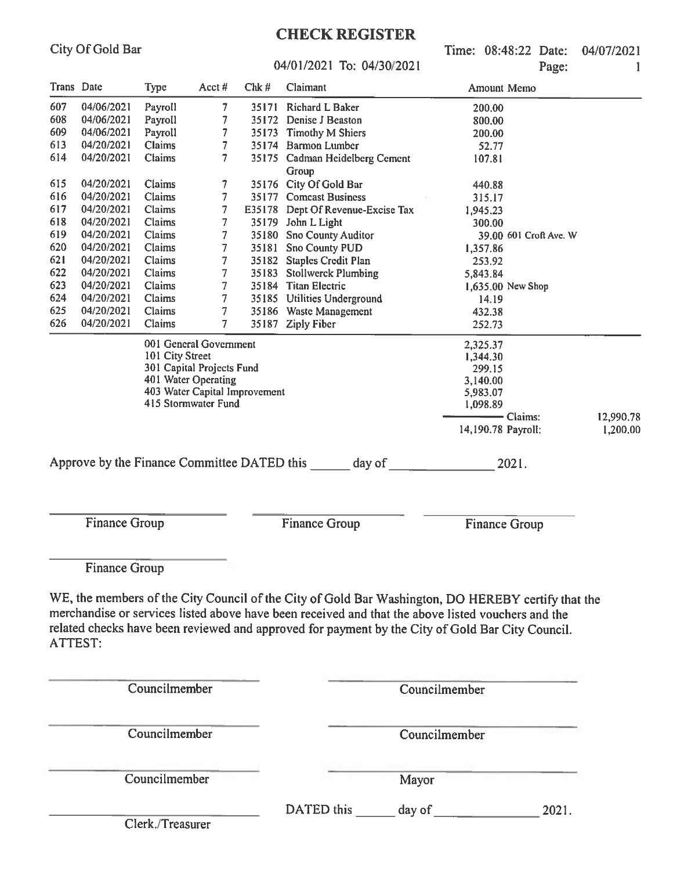Time: 08:48:22 Date: 04/07/2021  $p_{\alpha\alpha\alpha}$ 

#### $04/01/2021$  To:  $04/30/2021$

|            |                      | 04/01/2021 To: 04/30/2021 | Page:                         | 1     |                                                                                                    |                                                                                                    |                       |  |  |
|------------|----------------------|---------------------------|-------------------------------|-------|----------------------------------------------------------------------------------------------------|----------------------------------------------------------------------------------------------------|-----------------------|--|--|
| Trans Date |                      | <b>Type</b>               | Acct $#$                      | Chk#  | Claimant                                                                                           | Amount Memo                                                                                        |                       |  |  |
| 607        | 04/06/2021           | Payroll                   | $\overline{7}$                | 35171 | Richard L Baker                                                                                    | 200.00                                                                                             |                       |  |  |
| 608        | 04/06/2021           | Payroll                   | 7                             | 35172 | Denise J Beaston                                                                                   | 800.00                                                                                             |                       |  |  |
| 609        | 04/06/2021           | Payroll                   | 7                             |       | 35173 Timothy M Shiers                                                                             | 200.00                                                                                             |                       |  |  |
| 613        | 04/20/2021           | Claims                    | 7                             |       | 35174 Barmon Lumber                                                                                | 52.77                                                                                              |                       |  |  |
| 614        | 04/20/2021           | Claims                    | 7                             |       | 35175 Cadman Heidelberg Cement<br>Group                                                            | 107.81                                                                                             |                       |  |  |
| 615        | 04/20/2021           | Claims                    | 7                             |       | 35176 City Of Gold Bar                                                                             | 440.88                                                                                             |                       |  |  |
| 616        | 04/20/2021           | Claims                    | 7                             |       | 35177 Comcast Business                                                                             | 315.17                                                                                             |                       |  |  |
| 617        | 04/20/2021           | Claims                    | 7                             |       | E35178 Dept Of Revenue-Excise Tax                                                                  | 1,945.23                                                                                           |                       |  |  |
| 618        | 04/20/2021           | Claims                    | $\overline{7}$                |       | 35179 John L Light                                                                                 | 300.00                                                                                             |                       |  |  |
| 619        | 04/20/2021           | Claims                    | 7                             |       | 35180 Sno County Auditor                                                                           | 39.00 601 Croft Ave. W                                                                             |                       |  |  |
| 620        | 04/20/2021           | Claims                    | $\overline{7}$                |       | 35181 Sno County PUD                                                                               | 1,357.86                                                                                           |                       |  |  |
| 621        | 04/20/2021           | Claims                    | $\overline{\mathcal{I}}$      |       | 35182 Staples Credit Plan                                                                          | 253.92                                                                                             |                       |  |  |
| 622        | 04/20/2021           | Claims                    | $\overline{7}$                |       | 35183 Stollwerck Plumbing                                                                          | 5,843.84                                                                                           |                       |  |  |
| 623        | 04/20/2021           | Claims                    | $\overline{7}$                |       | 35184 Titan Electric                                                                               | 1,635.00 New Shop                                                                                  |                       |  |  |
| 624        | 04/20/2021           | Claims                    | $\overline{7}$                |       | 35185 Utilities Underground                                                                        | 14.19                                                                                              |                       |  |  |
| 625        | 04/20/2021           | Claims                    | $\overline{\mathcal{I}}$      |       | 35186 Waste Management                                                                             | 432.38                                                                                             |                       |  |  |
| 626        | 04/20/2021           | Claims                    | 7                             |       | 35187 Ziply Fiber                                                                                  | 252.73                                                                                             |                       |  |  |
|            |                      |                           | 001 General Government        |       |                                                                                                    | 2,325.37                                                                                           |                       |  |  |
|            |                      | 101 City Street           |                               |       |                                                                                                    | 1,344.30                                                                                           |                       |  |  |
|            |                      |                           | 301 Capital Projects Fund     |       |                                                                                                    | 299.15                                                                                             |                       |  |  |
|            |                      |                           | 401 Water Operating           |       |                                                                                                    | 3,140.00                                                                                           |                       |  |  |
|            |                      |                           | 403 Water Capital Improvement |       |                                                                                                    | 5,983.07                                                                                           |                       |  |  |
|            |                      |                           | 415 Stormwater Fund           |       |                                                                                                    | 1,098.89                                                                                           |                       |  |  |
|            |                      |                           |                               |       |                                                                                                    | - Claims:<br>14,190.78 Payroll:                                                                    | 12,990.78<br>1,200.00 |  |  |
|            |                      |                           |                               |       |                                                                                                    |                                                                                                    |                       |  |  |
|            |                      |                           |                               |       | Approve by the Finance Committee DATED this _______ day of _____________________                   | 2021.                                                                                              |                       |  |  |
|            |                      |                           |                               |       |                                                                                                    |                                                                                                    |                       |  |  |
|            | <b>Finance Group</b> |                           |                               |       | <b>Finance Group</b>                                                                               | <b>Finance Group</b>                                                                               |                       |  |  |
|            |                      |                           |                               |       |                                                                                                    |                                                                                                    |                       |  |  |
|            | <b>Finance Group</b> |                           |                               |       |                                                                                                    |                                                                                                    |                       |  |  |
|            |                      |                           |                               |       |                                                                                                    |                                                                                                    |                       |  |  |
|            |                      |                           |                               |       |                                                                                                    | WE, the members of the City Council of the City of Gold Bar Washington, DO HEREBY certify that the |                       |  |  |
|            |                      |                           |                               |       | merchandise or services listed above have been received and that the above listed vouchers and the |                                                                                                    |                       |  |  |
|            |                      |                           |                               |       | related checks have been reviewed and approved for payment by the City of Gold Bar City Council.   |                                                                                                    |                       |  |  |
| ATTEST:    |                      |                           |                               |       |                                                                                                    |                                                                                                    |                       |  |  |
|            |                      |                           |                               |       |                                                                                                    |                                                                                                    |                       |  |  |
|            |                      |                           |                               |       |                                                                                                    |                                                                                                    |                       |  |  |
|            |                      | Councilmember             |                               |       |                                                                                                    | Councilmember                                                                                      |                       |  |  |
|            |                      |                           |                               |       |                                                                                                    |                                                                                                    |                       |  |  |
|            |                      | Councilmember             |                               |       |                                                                                                    | Councilmember                                                                                      |                       |  |  |

Councilmember

Mayor

Clerk./Treasurer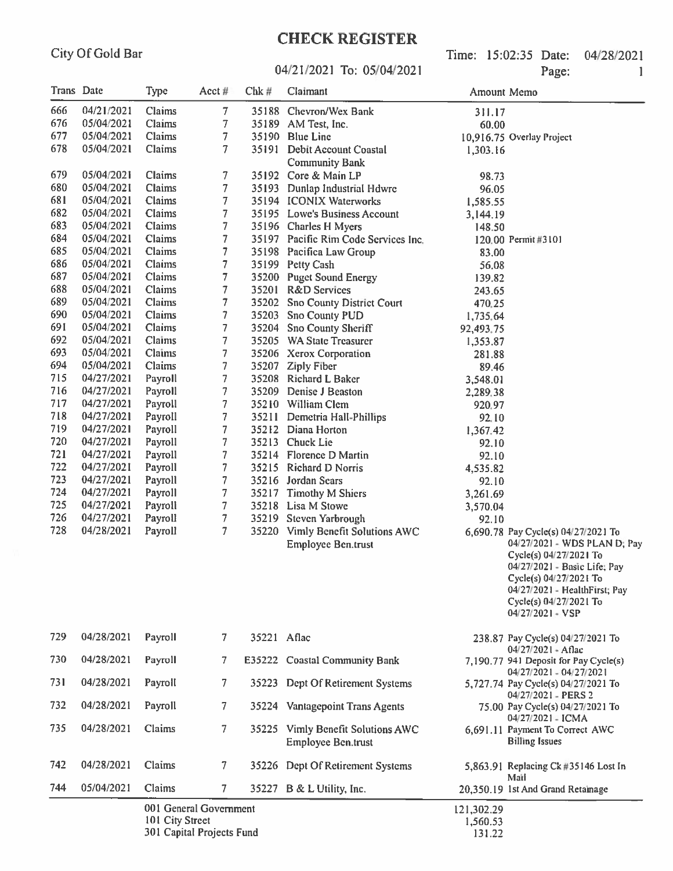04/21/2021 To: 05/04/2021

Time: 15:02:35 Date: 04/28/2021 Page:  $\mathbf{1}$ 

| Trans Date |            | <b>Type</b>     | Acct $#$                                            | $Chk \#$    | Claimant                                                       | Amount Memo                      |                                                                                                                                                                                                                                          |
|------------|------------|-----------------|-----------------------------------------------------|-------------|----------------------------------------------------------------|----------------------------------|------------------------------------------------------------------------------------------------------------------------------------------------------------------------------------------------------------------------------------------|
| 666        | 04/21/2021 | Claims          | 7                                                   |             | 35188 Chevron/Wex Bank                                         | 311.17                           |                                                                                                                                                                                                                                          |
| 676        | 05/04/2021 | Claims          | 7                                                   |             | 35189 AM Test, Inc.                                            | 60.00                            |                                                                                                                                                                                                                                          |
| 677        | 05/04/2021 | Claims          | 7                                                   |             | 35190 Blue Line                                                |                                  | 10,916.75 Overlay Project                                                                                                                                                                                                                |
| 678        | 05/04/2021 | Claims          | 7                                                   |             | 35191 Debit Account Coastal                                    | 1,303.16                         |                                                                                                                                                                                                                                          |
|            |            |                 |                                                     |             | <b>Community Bank</b>                                          |                                  |                                                                                                                                                                                                                                          |
| 679        | 05/04/2021 | Claims          | 7                                                   |             | 35192 Core & Main LP                                           | 98.73                            |                                                                                                                                                                                                                                          |
| 680        | 05/04/2021 | Claims          | 7                                                   |             | 35193 Dunlap Industrial Hdwre                                  | 96.05                            |                                                                                                                                                                                                                                          |
| 681        | 05/04/2021 | Claims          | 7                                                   |             | 35194 ICONIX Waterworks                                        | 1,585.55                         |                                                                                                                                                                                                                                          |
| 682        | 05/04/2021 | <b>Claims</b>   | 7                                                   |             | 35195 Lowe's Business Account                                  | 3,144.19                         |                                                                                                                                                                                                                                          |
| 683        | 05/04/2021 | Claims          | 7                                                   |             | 35196 Charles H Myers                                          | 148.50                           |                                                                                                                                                                                                                                          |
| 684        | 05/04/2021 | Claims          | 7                                                   |             | 35197 Pacific Rim Code Services Inc.                           |                                  | 120.00 Permit #3101                                                                                                                                                                                                                      |
| 685        | 05/04/2021 | Claims          | $\overline{7}$                                      |             | 35198 Pacifica Law Group                                       | 83.00                            |                                                                                                                                                                                                                                          |
| 686        | 05/04/2021 | Claims          | 7                                                   |             | 35199 Petty Cash                                               | 56.08                            |                                                                                                                                                                                                                                          |
| 687        | 05/04/2021 | Claims          | $\overline{7}$                                      |             | 35200 Puget Sound Energy                                       | 139.82                           |                                                                                                                                                                                                                                          |
| 688        | 05/04/2021 | Claims          | 7                                                   |             | 35201 R&D Services                                             | 243.65                           |                                                                                                                                                                                                                                          |
| 689        | 05/04/2021 | Claims          | 7                                                   | 35202       | <b>Sno County District Court</b>                               | 470,25                           |                                                                                                                                                                                                                                          |
| 690        | 05/04/2021 | Claims          | 7                                                   | 35203       | <b>Sno County PUD</b>                                          | 1,735,64                         |                                                                                                                                                                                                                                          |
| 691        | 05/04/2021 | Claims          | 7                                                   | 35204       | Sno County Sheriff                                             | 92,493.75                        |                                                                                                                                                                                                                                          |
| 692        | 05/04/2021 | Claims          | 7                                                   |             | 35205 WA State Treasurer                                       | 1,353.87                         |                                                                                                                                                                                                                                          |
| 693        | 05/04/2021 | Claims          | 7                                                   |             | 35206 Xerox Corporation                                        | 281.88                           |                                                                                                                                                                                                                                          |
| 694        | 05/04/2021 | Claims          | 7                                                   | 35207       | <b>Ziply Fiber</b>                                             | 89.46                            |                                                                                                                                                                                                                                          |
| 715        | 04/27/2021 | Payroll         | $\overline{7}$                                      |             | 35208 Richard L Baker                                          |                                  |                                                                                                                                                                                                                                          |
| 716        | 04/27/2021 | Payroll         | $\overline{7}$                                      | 35209       | Denise J Beaston                                               | 3,548.01                         |                                                                                                                                                                                                                                          |
| 717        | 04/27/2021 | Payroll         | $\overline{7}$                                      |             | 35210 William Clem                                             | 2,289.38                         |                                                                                                                                                                                                                                          |
| 718        | 04/27/2021 | Payroll         | $\overline{7}$                                      | 35211       |                                                                | 920.97                           |                                                                                                                                                                                                                                          |
| 719        | 04/27/2021 |                 |                                                     |             | Demetria Hall-Phillips                                         | 92.10                            |                                                                                                                                                                                                                                          |
| 720        |            | Payroll         | 7                                                   |             | 35212 Diana Horton                                             | 1,367,42                         |                                                                                                                                                                                                                                          |
| 721        | 04/27/2021 | Payroll         | 7                                                   |             | 35213 Chuck Lie                                                | 92.10                            |                                                                                                                                                                                                                                          |
| 722        | 04/27/2021 | Payroll         | 7                                                   |             | 35214 Florence D Martin                                        | 92.10                            |                                                                                                                                                                                                                                          |
|            | 04/27/2021 | Payroll         | 7                                                   |             | 35215 Richard D Norris                                         | 4,535.82                         |                                                                                                                                                                                                                                          |
| 723        | 04/27/2021 | Payroll         | $\overline{7}$                                      |             | 35216 Jordan Sears                                             | 92.10                            |                                                                                                                                                                                                                                          |
| 724        | 04/27/2021 | Payroll         | $\tau$                                              |             | 35217 Timothy M Shiers                                         | 3,261.69                         |                                                                                                                                                                                                                                          |
| 725        | 04/27/2021 | Payroll         | 7                                                   |             | 35218 Lisa M Stowe                                             | 3,570.04                         |                                                                                                                                                                                                                                          |
| 726        | 04/27/2021 | Payroll         | $\overline{7}$                                      |             | 35219 Steven Yarbrough                                         | 92.10                            |                                                                                                                                                                                                                                          |
| 728        | 04/28/2021 | Payroll         | $\overline{7}$                                      |             | 35220 Vimly Benefit Solutions AWC<br><b>Employee Ben.trust</b> |                                  | 6,690.78 Pay Cycle(s) 04/27/2021 To<br>04/27/2021 - WDS PLAN D; Pay<br>Cycle(s) 04/27/2021 To<br>04/27/2021 - Basic Life; Pay<br>Cycle(s) 04/27/2021 To<br>04/27/2021 - HealthFirst; Pay<br>Cycle(s) 04/27/2021 To<br>$04/27/2021 - VSP$ |
| 729        | 04/28/2021 | Payroll         | $\mathcal{T}$                                       | 35221 Aflac |                                                                |                                  | 238.87 Pay Cycle(s) 04/27/2021 To<br>04/27/2021 - Aflac                                                                                                                                                                                  |
| 730        | 04/28/2021 | Payroll         | 7                                                   |             | E35222 Coastal Community Bank                                  |                                  | 7,190.77 941 Deposit for Pay Cycle(s)<br>04/27/2021 - 04/27/2021                                                                                                                                                                         |
| 731        | 04/28/2021 | Payroll         | 7.                                                  | 35223       | Dept Of Retirement Systems                                     |                                  | 5,727.74 Pay Cycle(s) 04/27/2021 To<br>04/27/2021 - PERS 2                                                                                                                                                                               |
| 732        | 04/28/2021 | Payroll         | 7                                                   |             | 35224 Vantagepoint Trans Agents                                |                                  | 75.00 Pay Cycle(s) 04/27/2021 To<br>04/27/2021 - ICMA                                                                                                                                                                                    |
| 735        | 04/28/2021 | Claims          | 7.                                                  |             | 35225 Vimly Benefit Solutions AWC<br>Employee Ben.trust        |                                  | 6,691.11 Payment To Correct AWC<br><b>Billing Issues</b>                                                                                                                                                                                 |
| 742        | 04/28/2021 | Claims          | 7                                                   |             | 35226 Dept Of Retirement Systems                               |                                  | 5,863.91 Replacing Ck #35146 Lost In<br>Mail                                                                                                                                                                                             |
| 744        | 05/04/2021 | Claims          | 7                                                   |             | 35227 B & L Utility, Inc.                                      |                                  | 20,350.19 1st And Grand Retainage                                                                                                                                                                                                        |
|            |            | 101 City Street | 001 General Government<br>301 Capital Projects Fund |             |                                                                | 121,302.29<br>1,560.53<br>131.22 |                                                                                                                                                                                                                                          |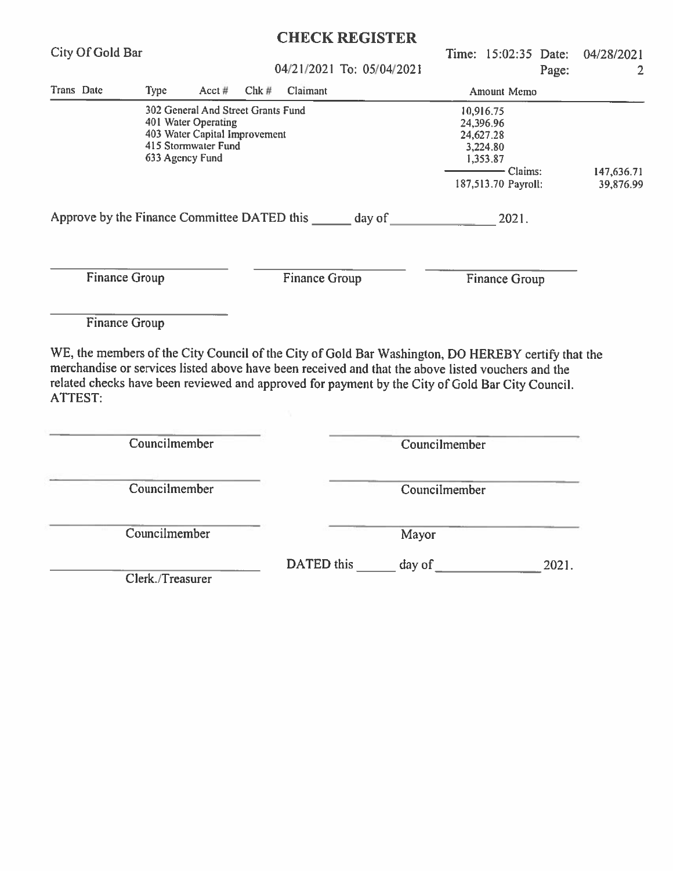|                                                                                                                                                                                                                                                                                                                                |                      |                                                                                                                                      |          | <b>CHECK REGISTER</b>     |  |                   |                                                                                    |                         |       |                 |  |  |
|--------------------------------------------------------------------------------------------------------------------------------------------------------------------------------------------------------------------------------------------------------------------------------------------------------------------------------|----------------------|--------------------------------------------------------------------------------------------------------------------------------------|----------|---------------------------|--|-------------------|------------------------------------------------------------------------------------|-------------------------|-------|-----------------|--|--|
| City Of Gold Bar                                                                                                                                                                                                                                                                                                               |                      |                                                                                                                                      |          | 04/21/2021 To: 05/04/2021 |  |                   |                                                                                    | Time: 15:02:35 Date:    | Page: | 04/28/2021<br>2 |  |  |
| Trans Date                                                                                                                                                                                                                                                                                                                     | <b>Type</b>          | Acct#                                                                                                                                | $Chk \#$ | Claimant                  |  |                   |                                                                                    | Amount Memo             |       |                 |  |  |
|                                                                                                                                                                                                                                                                                                                                |                      | 302 General And Street Grants Fund<br>401 Water Operating<br>403 Water Capital Improvement<br>415 Stormwater Fund<br>633 Agency Fund |          |                           |  |                   | 10,916.75<br>24,396.96<br>24,627.28<br>3,224.80<br>1,353.87<br>187,513.70 Payroll: | 147,636.71<br>39,876.99 |       |                 |  |  |
|                                                                                                                                                                                                                                                                                                                                |                      |                                                                                                                                      |          |                           |  |                   |                                                                                    |                         |       |                 |  |  |
|                                                                                                                                                                                                                                                                                                                                | <b>Finance Group</b> |                                                                                                                                      |          | Finance Group             |  |                   |                                                                                    | Finance Group           |       |                 |  |  |
|                                                                                                                                                                                                                                                                                                                                | <b>Finance Group</b> |                                                                                                                                      |          |                           |  |                   |                                                                                    |                         |       |                 |  |  |
| WE, the members of the City Council of the City of Gold Bar Washington, DO HEREBY certify that the<br>merchandise or services listed above have been received and that the above listed vouchers and the<br>related checks have been reviewed and approved for payment by the City of Gold Bar City Council.<br><b>ATTEST:</b> |                      |                                                                                                                                      |          |                           |  |                   |                                                                                    |                         |       |                 |  |  |
|                                                                                                                                                                                                                                                                                                                                |                      |                                                                                                                                      |          |                           |  |                   |                                                                                    |                         |       |                 |  |  |
|                                                                                                                                                                                                                                                                                                                                | Councilmember        |                                                                                                                                      |          |                           |  | Councilmember     |                                                                                    |                         |       |                 |  |  |
|                                                                                                                                                                                                                                                                                                                                | Councilmember        |                                                                                                                                      |          |                           |  | Councilmember     |                                                                                    |                         |       |                 |  |  |
|                                                                                                                                                                                                                                                                                                                                | Councilmember        |                                                                                                                                      |          |                           |  | Mayor             |                                                                                    |                         |       |                 |  |  |
|                                                                                                                                                                                                                                                                                                                                | Clerk./Treasurer     |                                                                                                                                      |          |                           |  | DATED this day of |                                                                                    |                         | 2021. |                 |  |  |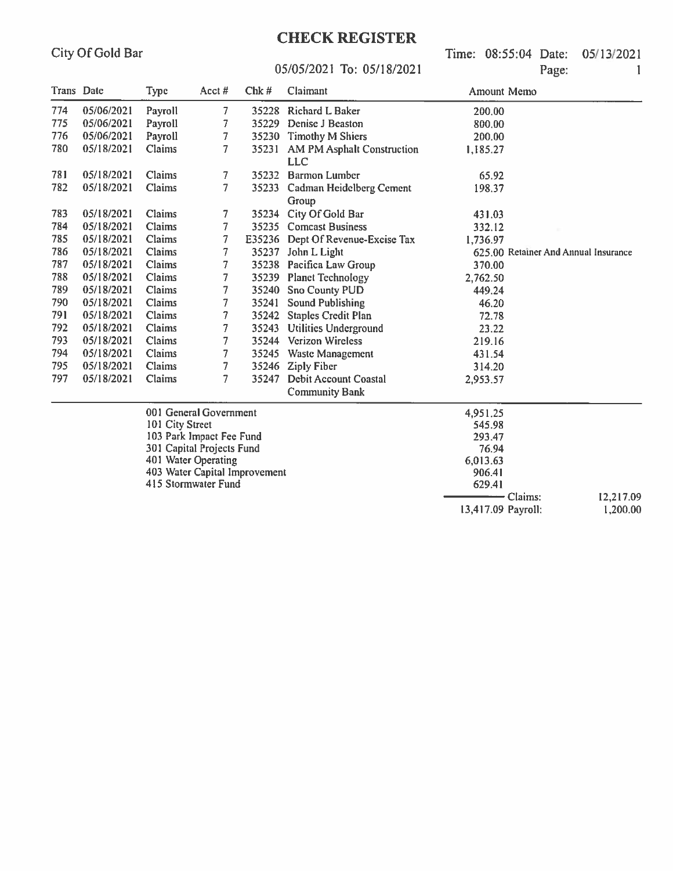Time: 08:55:04 Date: 05/13/2021 Page: 1

#### 05/05/2021 To: 05/18/2021

| Trans Date |            | <b>Type</b>     | Acct $#$                      | $Chk \#$ | Claimant                          | Amount Memo        |                                      |           |
|------------|------------|-----------------|-------------------------------|----------|-----------------------------------|--------------------|--------------------------------------|-----------|
| 774        | 05/06/2021 | Payroll         | 7                             | 35228    | Richard L Baker                   | 200,00             |                                      |           |
| 775        | 05/06/2021 | Payroll         | 7                             | 35229    | Denise J Beaston                  | 800.00             |                                      |           |
| 776        | 05/06/2021 | Payroll         | 7                             | 35230    | <b>Timothy M Shiers</b>           | 200.00             |                                      |           |
| 780        | 05/18/2021 | Claims          | 7                             | 35231    | AM PM Asphalt Construction        | 1,185.27           |                                      |           |
|            |            |                 |                               |          | <b>LLC</b>                        |                    |                                      |           |
| 781        | 05/18/2021 | Claims          | 7                             | 35232    | <b>Barmon Lumber</b>              | 65.92              |                                      |           |
| 782        | 05/18/2021 | Claims          | 7                             | 35233    | <b>Cadman Heidelberg Cement</b>   | 198.37             |                                      |           |
|            |            |                 |                               |          | Group                             |                    |                                      |           |
| 783        | 05/18/2021 | Claims          | 7                             | 35234    | City Of Gold Bar                  | 431.03             |                                      |           |
| 784        | 05/18/2021 | Claims          | $\overline{7}$                |          | 35235 Comcast Business            | 332.12             |                                      |           |
| 785        | 05/18/2021 | Claims          | 7                             |          | E35236 Dept Of Revenue-Excise Tax | 1,736.97           |                                      |           |
| 786        | 05/18/2021 | Claims          | 7                             |          | 35237 John L Light                |                    | 625.00 Retainer And Annual Insurance |           |
| 787        | 05/18/2021 | Claims          | 7                             | 35238    | Pacifica Law Group                | 370.00             |                                      |           |
| 788        | 05/18/2021 | Claims          | 7                             | 35239    | <b>Planet Technology</b>          | 2,762.50           |                                      |           |
| 789        | 05/18/2021 | Claims          | 7                             | 35240    | Sno County PUD                    | 449.24             |                                      |           |
| 790        | 05/18/2021 | Claims          | 7                             | 35241    | <b>Sound Publishing</b>           | 46.20              |                                      |           |
| 791        | 05/18/2021 | Claims          | 7                             |          | 35242 Staples Credit Plan         | 72.78              |                                      |           |
| 792        | 05/18/2021 | Claims          | 7                             |          | 35243 Utilities Underground       | 23.22              |                                      |           |
| 793        | 05/18/2021 | Claims          | $\overline{7}$                |          | 35244 Verizon Wireless            | 219.16             |                                      |           |
| 794        | 05/18/2021 | Claims          | 7                             |          | 35245 Waste Management            | 431.54             |                                      |           |
| 795        | 05/18/2021 | Claims          | 7                             |          | 35246 Ziply Fiber                 | 314.20             |                                      |           |
| 797        | 05/18/2021 | Claims          | 7                             | 35247    | Debit Account Coastal             | 2,953.57           |                                      |           |
|            |            |                 |                               |          | <b>Community Bank</b>             |                    |                                      |           |
|            |            |                 | 001 General Government        |          |                                   | 4,951.25           |                                      |           |
|            |            | 101 City Street |                               |          |                                   | 545.98             |                                      |           |
|            |            |                 | 103 Park Impact Fee Fund      |          |                                   | 293.47             |                                      |           |
|            |            |                 | 301 Capital Projects Fund     |          |                                   | 76.94              |                                      |           |
|            |            |                 | 401 Water Operating           |          |                                   | 6,013.63           |                                      |           |
|            |            |                 | 403 Water Capital Improvement |          |                                   | 906.41             |                                      |           |
|            |            |                 | 415 Stormwater Fund           |          |                                   | 629.41             |                                      |           |
|            |            |                 |                               |          |                                   |                    | Claims:                              | 12,217.09 |
|            |            |                 |                               |          |                                   | 13,417.09 Payroll: |                                      | 1,200.00  |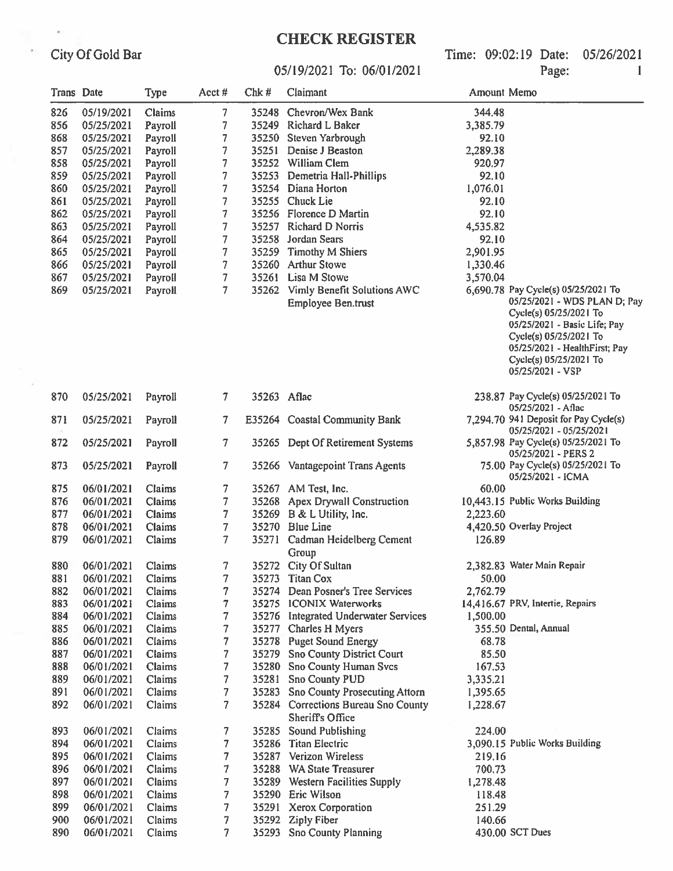City Of Gold Bar

 $\epsilon$ 

 $\bar{\tau}$ 

# 05/19/2021 To: 06/01/2021

Time: 09:02:19 Date: 05/26/2021 Page:  $\mathbf{1}$ 

| Trans Date |            | <b>Type</b> | Acct#          | Chk#        | Claimant                                                                   | Amount Memo       |                                                                                                                                                                                                 |
|------------|------------|-------------|----------------|-------------|----------------------------------------------------------------------------|-------------------|-------------------------------------------------------------------------------------------------------------------------------------------------------------------------------------------------|
| 826        | 05/19/2021 | Claims      | 7              |             | 35248 Chevron/Wex Bank                                                     | 344.48            |                                                                                                                                                                                                 |
| 856        | 05/25/2021 | Payroll     | 7              |             | 35249 Richard L Baker                                                      | 3,385.79          |                                                                                                                                                                                                 |
| 868        | 05/25/2021 | Payroll     | 7              |             | 35250 Steven Yarbrough                                                     | 92.10             |                                                                                                                                                                                                 |
| 857        | 05/25/2021 | Payroll     | 7              | 35251       | Denise J Beaston                                                           | 2,289.38          |                                                                                                                                                                                                 |
| 858        | 05/25/2021 | Payroll     | 7              |             | 35252 William Clem                                                         | 920.97            |                                                                                                                                                                                                 |
| 859        | 05/25/2021 | Payroll     | 7              | 35253       | Demetria Hall-Phillips                                                     |                   |                                                                                                                                                                                                 |
| 860        | 05/25/2021 | Payroll     | 7              |             | 35254 Diana Horton                                                         | 92.10<br>1,076.01 |                                                                                                                                                                                                 |
| 861        | 05/25/2021 | Payroll     | 7              |             | 35255 Chuck Lie                                                            | 92.10             |                                                                                                                                                                                                 |
| 862        | 05/25/2021 | Payroll     | 7              |             | 35256 Florence D Martin                                                    | 92.10             |                                                                                                                                                                                                 |
| 863        | 05/25/2021 | Payroll     | 7              |             | 35257 Richard D Norris                                                     | 4,535.82          |                                                                                                                                                                                                 |
| 864        | 05/25/2021 | Payroll     | 7              | 35258       | Jordan Sears                                                               | 92.10             |                                                                                                                                                                                                 |
| 865        | 05/25/2021 | Payroll     | 7              | 35259       | Timothy M Shiers                                                           | 2,901.95          |                                                                                                                                                                                                 |
| 866        | 05/25/2021 | Payroll     | 7              |             | 35260 Arthur Stowe                                                         | 1,330.46          |                                                                                                                                                                                                 |
| 867        | 05/25/2021 | Payroll     | 7              | 35261       | Lisa M Stowe                                                               | 3,570.04          |                                                                                                                                                                                                 |
| 869        | 05/25/2021 | Payroll     | 7              |             | 35262 Vimly Benefit Solutions AWC                                          |                   | 6,690.78 Pay Cycle(s) 05/25/2021 To                                                                                                                                                             |
|            |            |             |                |             | <b>Employee Ben.trust</b>                                                  |                   | 05/25/2021 - WDS PLAN D; Pay<br>Cycle(s) 05/25/2021 To<br>05/25/2021 - Basic Life; Pay<br>Cycle(s) 05/25/2021 To<br>05/25/2021 - HealthFirst; Pay<br>Cycle(s) 05/25/2021 To<br>05/25/2021 - VSP |
| 870        | 05/25/2021 | Payroll     | $\tau$         | 35263 Aflac |                                                                            |                   | 238.87 Pay Cycle(s) 05/25/2021 To<br>05/25/2021 - Aflac                                                                                                                                         |
| 871        | 05/25/2021 | Payroll     | 7              |             | E35264 Coastal Community Bank                                              |                   | 7,294.70 941 Deposit for Pay Cycle(s)<br>05/25/2021 - 05/25/2021                                                                                                                                |
| 872        | 05/25/2021 | Payroll     | 7              |             | 35265 Dept Of Retirement Systems                                           |                   | 5,857.98 Pay Cycle(s) 05/25/2021 To<br>05/25/2021 - PERS 2                                                                                                                                      |
| 873        | 05/25/2021 | Payroll     | 7              |             | 35266 Vantagepoint Trans Agents                                            |                   | 75.00 Pay Cycle(s) 05/25/2021 To<br>05/25/2021 - ICMA                                                                                                                                           |
| 875        | 06/01/2021 | Claims      | 7              |             | 35267 AM Test, Inc.                                                        | 60.00             |                                                                                                                                                                                                 |
| 876        | 06/01/2021 | Claims      | 7              | 35268       | Apex Drywall Construction                                                  |                   | 10,443.15 Public Works Building                                                                                                                                                                 |
| 877        | 06/01/2021 | Claims      | 7              |             | 35269 B & L Utility, Inc.                                                  | 2,223.60          |                                                                                                                                                                                                 |
| 878        | 06/01/2021 | Claims      | 7              |             | 35270 Blue Line                                                            |                   | 4,420.50 Overlay Project                                                                                                                                                                        |
| 879        | 06/01/2021 | Claims      | 7              |             | 35271 Cadman Heidelberg Cement<br>Group                                    | 126.89            |                                                                                                                                                                                                 |
| 880        | 06/01/2021 | Claims      | 7              |             | 35272 City Of Sultan                                                       |                   | 2,382.83 Water Main Repair                                                                                                                                                                      |
| 881        | 06/01/2021 | Claims      | 7              |             | 35273 Titan Cox                                                            | 50.00             |                                                                                                                                                                                                 |
| 882        | 06/01/2021 | Claims      | 7              |             | 35274 Dean Posner's Tree Services                                          | 2,762.79          |                                                                                                                                                                                                 |
| 883        | 06/01/2021 | Claims      | 7              |             | 35275 ICONIX Waterworks                                                    |                   | 14,416.67 PRV, Intertie, Repairs                                                                                                                                                                |
| 884        | 06/01/2021 | Claims      | 7              |             | 35276 Integrated Underwater Services                                       | 1,500.00          |                                                                                                                                                                                                 |
| 885        | 06/01/2021 | Claims      | $\overline{7}$ |             | 35277 Charles H Myers                                                      |                   | 355.50 Dental, Annual                                                                                                                                                                           |
| 886        | 06/01/2021 | Claims      | $\overline{7}$ | 35278       | <b>Puget Sound Energy</b>                                                  | 68.78             |                                                                                                                                                                                                 |
| 887        | 06/01/2021 | Claims      | 7              | 35279       | <b>Sno County District Court</b>                                           | 85.50             |                                                                                                                                                                                                 |
| 888        | 06/01/2021 | Claims      | 7              | 35280       | <b>Sno County Human Svcs</b>                                               | 167.53            |                                                                                                                                                                                                 |
| 889        | 06/01/2021 | Claims      | 7              | 35281       | <b>Sno County PUD</b>                                                      | 3,335.21          |                                                                                                                                                                                                 |
| 891        | 06/01/2021 | Claims      | 7              | 35283       | <b>Sno County Prosecuting Attorn</b>                                       | 1,395.65          |                                                                                                                                                                                                 |
| 892        | 06/01/2021 | Claims      | $\overline{7}$ |             | 35284 Corrections Bureau Sno County<br>1,228.67<br><b>Sheriff's Office</b> |                   |                                                                                                                                                                                                 |
| 893        | 06/01/2021 | Claims      | 7              | 35285       | <b>Sound Publishing</b>                                                    | 224.00            |                                                                                                                                                                                                 |
| 894        | 06/01/2021 | Claims      | 7              | 35286       | <b>Titan Electric</b>                                                      |                   | 3,090.15 Public Works Building                                                                                                                                                                  |
| 895        | 06/01/2021 | Claims      | 7              | 35287       | Verizon Wireless                                                           | 219.16            |                                                                                                                                                                                                 |
| 896        | 06/01/2021 | Claims      | 7              | 35288       | <b>WA State Treasurer</b>                                                  | 700.73            |                                                                                                                                                                                                 |
| 897        | 06/01/2021 | Claims      | $\overline{7}$ |             | 35289 Western Facilities Supply                                            | 1,278.48          |                                                                                                                                                                                                 |
| 898        | 06/01/2021 | Claims      | 7              |             | 35290 Eric Wilson                                                          | 118.48            |                                                                                                                                                                                                 |
| 899        | 06/01/2021 | Claims      | 7              |             | 35291 Xerox Corporation                                                    | 251.29            |                                                                                                                                                                                                 |
| 900        | 06/01/2021 | Claims      | 7              | 35292       | <b>Ziply Fiber</b>                                                         | 140.66            |                                                                                                                                                                                                 |
| 890        | 06/01/2021 | Claims      | 7              |             | 35293 Sno County Planning                                                  |                   | 430.00 SCT Dues                                                                                                                                                                                 |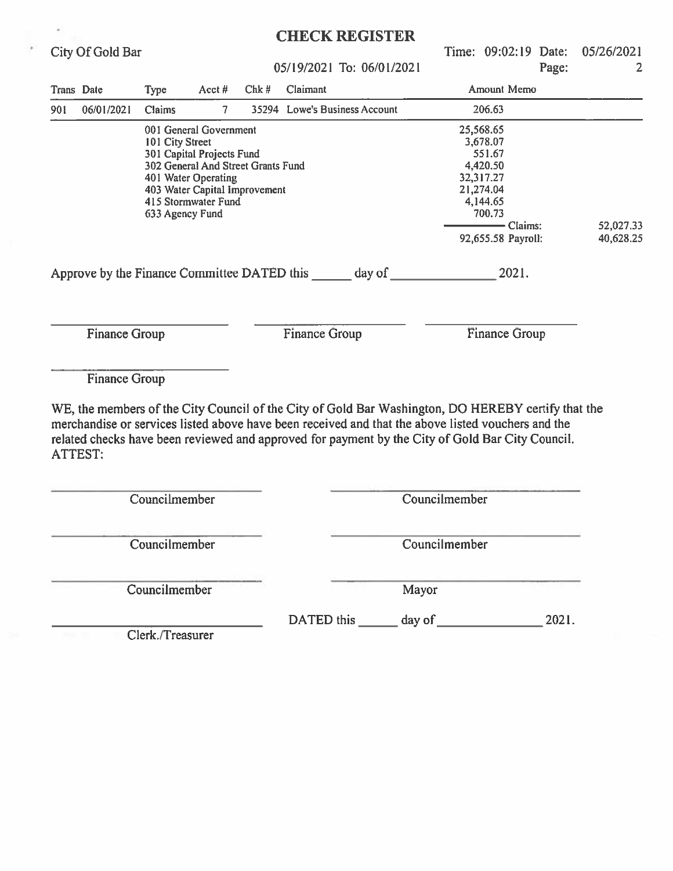|                   |                      |                                                                                                                                                                                                                |                |                                                                                  |               | <b>CHECK REGISTER</b>                                                                                                                                                                                                                                                                                        |               |                        |       |            |
|-------------------|----------------------|----------------------------------------------------------------------------------------------------------------------------------------------------------------------------------------------------------------|----------------|----------------------------------------------------------------------------------|---------------|--------------------------------------------------------------------------------------------------------------------------------------------------------------------------------------------------------------------------------------------------------------------------------------------------------------|---------------|------------------------|-------|------------|
|                   | City Of Gold Bar     |                                                                                                                                                                                                                |                |                                                                                  |               |                                                                                                                                                                                                                                                                                                              |               | Time: 09:02:19 Date:   |       | 05/26/2021 |
|                   |                      |                                                                                                                                                                                                                |                |                                                                                  |               | 05/19/2021 To: 06/01/2021                                                                                                                                                                                                                                                                                    |               |                        | Page: | 2          |
| <b>Trans</b> Date |                      | <b>Type</b>                                                                                                                                                                                                    | Acct $#$       | $Chk \#$                                                                         | Claimant      |                                                                                                                                                                                                                                                                                                              |               | Amount Memo            |       |            |
| 901               | 06/01/2021           | <b>Claims</b>                                                                                                                                                                                                  | 7 <sup>1</sup> |                                                                                  |               | 35294 Lowe's Business Account                                                                                                                                                                                                                                                                                |               | 206.63                 |       |            |
|                   |                      | 001 General Government<br>101 City Street<br>301 Capital Projects Fund<br>302 General And Street Grants Fund<br>401 Water Operating<br>403 Water Capital Improvement<br>415 Stormwater Fund<br>633 Agency Fund |                | Approve by the Finance Committee DATED this _______ day of _____________________ |               | 25,568.65<br>3,678.07<br>551.67<br>4,420.50<br>32,317.27<br>21,274.04<br>4,144.65<br>700.73<br>$-$ Claims:<br>92,655.58 Payroll:<br>2021.                                                                                                                                                                    |               | 52,027.33<br>40,628.25 |       |            |
|                   | <b>Finance Group</b> |                                                                                                                                                                                                                |                |                                                                                  | Finance Group |                                                                                                                                                                                                                                                                                                              |               | Finance Group          |       |            |
|                   | <b>Finance Group</b> |                                                                                                                                                                                                                |                |                                                                                  |               | WE, the members of the City Council of the City of Gold Bar Washington, DO HEREBY certify that the<br>merchandise or services listed above have been received and that the above listed vouchers and the<br>related checks have been reviewed and approved for payment by the City of Gold Bar City Council. |               |                        |       |            |
| <b>ATTEST:</b>    |                      | Councilmember                                                                                                                                                                                                  |                |                                                                                  |               |                                                                                                                                                                                                                                                                                                              | Councilmember |                        |       |            |
|                   |                      | Councilmember                                                                                                                                                                                                  |                |                                                                                  | Councilmember |                                                                                                                                                                                                                                                                                                              |               |                        |       |            |
|                   |                      | Councilmember                                                                                                                                                                                                  |                |                                                                                  | Mayor         |                                                                                                                                                                                                                                                                                                              |               |                        |       |            |

DATED this  $\_\_\_\_\$  day of  $\_\_\_\_\_\_\_$  2021.

Clerk./Treasurer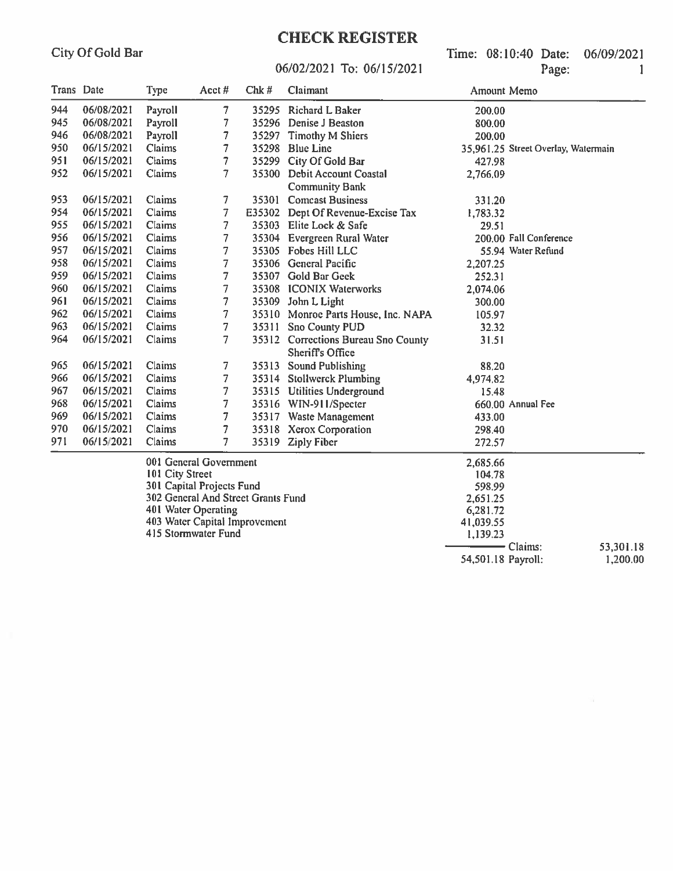06/02/2021 To: 06/15/2021

Time: 08:10:40 Date: 06/09/2021 Page:  $\mathbf{1}$ 

| Trans Date |            | Type            | Acct#                              | Chk# | Claimant                            | Amount Memo                         |           |
|------------|------------|-----------------|------------------------------------|------|-------------------------------------|-------------------------------------|-----------|
| 944        | 06/08/2021 | Payroll         | $\overline{7}$                     |      | 35295 Richard L Baker               | 200.00                              |           |
| 945        | 06/08/2021 | Payroll         | 7                                  |      | 35296 Denise J Beaston              | 800.00                              |           |
| 946        | 06/08/2021 | Payroll         | $\overline{7}$                     |      | 35297 Timothy M Shiers              | 200.00                              |           |
| 950        | 06/15/2021 | Claims          | $\overline{7}$                     |      | 35298 Blue Line                     | 35,961.25 Street Overlay, Watermain |           |
| 951        | 06/15/2021 | Claims          | $\overline{7}$                     |      | 35299 City Of Gold Bar              | 427.98                              |           |
| 952        | 06/15/2021 | Claims          | $\overline{7}$                     |      | 35300 Debit Account Coastal         | 2,766.09                            |           |
|            |            |                 |                                    |      | <b>Community Bank</b>               |                                     |           |
| 953        | 06/15/2021 | Claims          | 7                                  |      | 35301 Comcast Business              | 331.20                              |           |
| 954        | 06/15/2021 | Claims          | $\overline{7}$                     |      | E35302 Dept Of Revenue-Excise Tax   | 1,783.32                            |           |
| 955        | 06/15/2021 | Claims          | $\overline{7}$                     |      | 35303 Elite Lock & Safe             | 29.51                               |           |
| 956        | 06/15/2021 | Claims          | 7                                  |      | 35304 Evergreen Rural Water         | 200.00 Fall Conference              |           |
| 957        | 06/15/2021 | Claims          | $\overline{7}$                     |      | 35305 Fobes Hill LLC                | 55.94 Water Refund                  |           |
| 958        | 06/15/2021 | Claims          | $\overline{7}$                     |      | 35306 General Pacific               | 2,207.25                            |           |
| 959        | 06/15/2021 | Claims          | $\overline{7}$                     |      | 35307 Gold Bar Geek                 | 252.31                              |           |
| 960        | 06/15/2021 | Claims          | 7                                  |      | 35308 ICONIX Waterworks             | 2,074.06                            |           |
| 961        | 06/15/2021 | Claims          | 7                                  |      | 35309 John L Light                  | 300.00                              |           |
| 962        | 06/15/2021 | Claims          | 7                                  |      | 35310 Monroe Parts House, Inc. NAPA | 105.97                              |           |
| 963        | 06/15/2021 | Claims          | 7                                  |      | 35311 Sno County PUD                | 32.32                               |           |
| 964        | 06/15/2021 | Claims          | $\overline{7}$                     |      | 35312 Corrections Bureau Sno County | 31.51                               |           |
|            |            |                 |                                    |      | <b>Sheriff's Office</b>             |                                     |           |
| 965        | 06/15/2021 | Claims          | 7                                  |      | 35313 Sound Publishing              | 88.20                               |           |
| 966        | 06/15/2021 | Claims          | $\overline{7}$                     |      | 35314 Stollwerck Plumbing           | 4,974.82                            |           |
| 967        | 06/15/2021 | Claims          | $\overline{7}$                     |      | 35315 Utilities Underground         | 15.48                               |           |
| 968        | 06/15/2021 | Claims          | 7                                  |      | 35316 WIN-911/Specter               | 660.00 Annual Fee                   |           |
| 969        | 06/15/2021 | Claims          | 7                                  |      | 35317 Waste Management              | 433.00                              |           |
| 970        | 06/15/2021 | Claims          | 7                                  |      | 35318 Xerox Corporation             | 298.40                              |           |
| 971        | 06/15/2021 | Claims          | $\overline{7}$                     |      | 35319 Ziply Fiber                   | 272.57                              |           |
|            |            |                 | 001 General Government             |      |                                     | 2,685.66                            |           |
|            |            | 101 City Street |                                    |      |                                     | 104.78                              |           |
|            |            |                 | 301 Capital Projects Fund          |      |                                     | 598.99                              |           |
|            |            |                 | 302 General And Street Grants Fund |      |                                     | 2,651.25                            |           |
|            |            |                 | 401 Water Operating                |      |                                     | 6,281.72                            |           |
|            |            |                 | 403 Water Capital Improvement      |      |                                     | 41,039.55                           |           |
|            |            |                 | 415 Stormwater Fund                |      |                                     | 1,139.23                            |           |
|            |            |                 |                                    |      |                                     | - Claims:                           | 53,301.18 |
|            |            |                 |                                    |      |                                     | 54,501.18 Payroll:                  | 1,200.00  |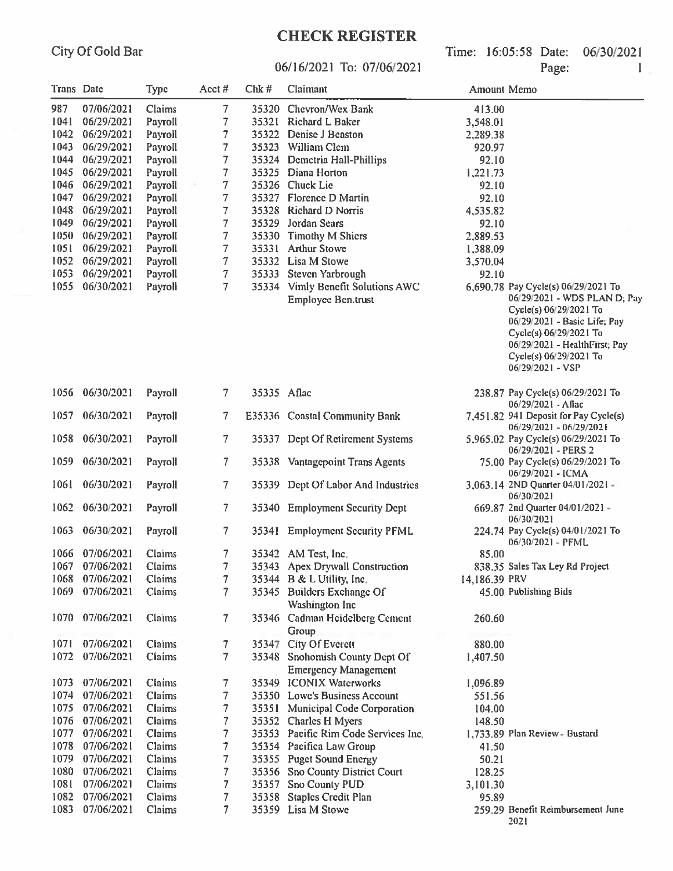# **CHECK REGISTER**

Time: 16:05:58 Date: 06/30/2021 Page:

 $2021$ 

#### 06/16/2021 To: 07/06/2021

|                   |                 |               |                |             | 06/16/2021 To: 07/06/2021                                      |               | Page:<br>1                                                                                                                                                                                                                             |
|-------------------|-----------------|---------------|----------------|-------------|----------------------------------------------------------------|---------------|----------------------------------------------------------------------------------------------------------------------------------------------------------------------------------------------------------------------------------------|
| <b>Trans</b> Date |                 | <b>Type</b>   | Acct#          | $Chk \#$    | Claimant                                                       | Amount Memo   |                                                                                                                                                                                                                                        |
| 987               | 07/06/2021      | Claims        | 7              |             | 35320 Chevron/Wex Bank                                         | 413.00        |                                                                                                                                                                                                                                        |
| 1041              | 06/29/2021      | Payroll       | 7              |             | 35321 Richard L Baker                                          | 3,548.01      |                                                                                                                                                                                                                                        |
| 1042              | 06/29/2021      | Payroll       | 7              | 35322       | <b>Denise J Beaston</b>                                        | 2,289.38      |                                                                                                                                                                                                                                        |
| 1043              | 06/29/2021      | Payroll       | 7              |             | 35323 William Clem                                             | 920.97        |                                                                                                                                                                                                                                        |
|                   | 1044 06/29/2021 | Payroll       | 7              |             | 35324 Demetria Hall-Phillips                                   | 92.10         |                                                                                                                                                                                                                                        |
| $1045 -$          | 06/29/2021      | Payroll       | 7              |             | 35325 Diana Horton                                             | 1,221.73      |                                                                                                                                                                                                                                        |
|                   | 1046 06/29/2021 | Payroll       | 7              |             | 35326 Chuck Lie                                                | 92.10         |                                                                                                                                                                                                                                        |
| 1047              | 06/29/2021      | Payroll       | 7              |             | 35327 Florence D Martin                                        | 92.10         |                                                                                                                                                                                                                                        |
| 1048              | 06/29/2021      | Payroll       | 7              |             | 35328 Richard D Norris                                         | 4,535.82      |                                                                                                                                                                                                                                        |
| 1049              | 06/29/2021      | Payroll       | 7              |             | 35329 Jordan Sears                                             | 92.10         |                                                                                                                                                                                                                                        |
| 1050              | 06/29/2021      | Payroll       | 7              |             | 35330 Timothy M Shiers                                         | 2,889.53      |                                                                                                                                                                                                                                        |
| 1051              | 06/29/2021      | Payroll       | 7              |             | 35331 Arthur Stowe                                             | 1,388.09      |                                                                                                                                                                                                                                        |
| $1052 -$          | 06/29/2021      | Payroll       | 7              |             | 35332 Lisa M Stowe                                             | 3,570.04      |                                                                                                                                                                                                                                        |
| 1053              | 06/29/2021      | Payroll       | 7              |             | 35333 Steven Yarbrough                                         | 92.10         |                                                                                                                                                                                                                                        |
| 1055              | 06/30/2021      | Payroll       | 7.             |             | 35334 Vimly Benefit Solutions AWC<br><b>Employee Ben.trust</b> |               | 6,690.78 Pay Cycle(s) 06/29/2021 To<br>06/29/2021 - WDS PLAN D; Pay<br>Cycle(s) 06/29/2021 To<br>06/29/2021 - Basic Life; Pay<br>Cycle(s) 06/29/2021 To<br>06/29/2021 - HealthFirst; Pay<br>Cycle(s) 06/29/2021 To<br>06/29/2021 - VSP |
| 1056              | 06/30/2021      | Payroll       | 7.             | 35335 Aflac |                                                                |               | 238.87 Pay Cycle(s) 06/29/2021 To<br>$06/29/2021 - Affac$                                                                                                                                                                              |
| 1057              | 06/30/2021      | Payroll       | 7.             |             | E35336 Coastal Community Bank                                  |               | 7,451.82 941 Deposit for Pay Cycle(s)<br>06/29/2021 - 06/29/2021                                                                                                                                                                       |
| 1058              | 06/30/2021      | Payroll       | 7.             |             | 35337 Dept Of Retirement Systems                               |               | 5,965.02 Pay Cycle(s) 06/29/2021 To<br>06/29/2021 - PERS 2                                                                                                                                                                             |
| 1059              | 06/30/2021      | Payroll       | 7.             |             | 35338 Vantagepoint Trans Agents                                |               | 75.00 Pay Cycle(s) 06/29/2021 To<br>06/29/2021 - ICMA                                                                                                                                                                                  |
| 1061              | 06/30/2021      | Payroll       | 7.             |             | 35339 Dept Of Labor And Industries                             |               | 3,063.14 2ND Quarter 04/01/2021 -<br>06/30/2021                                                                                                                                                                                        |
| 1062              | 06/30/2021      | Payroll       | 7.             |             | 35340 Employment Security Dept                                 |               | 669.87 2nd Quarter $04/01/2021 -$<br>06/30/2021                                                                                                                                                                                        |
| 1063              | 06/30/2021      | Payroll       | 7.             | 35341       | <b>Employment Security PFML</b>                                |               | 224.74 Pay Cycle(s) 04/01/2021 To<br>06/30/2021 - PFML                                                                                                                                                                                 |
|                   | 1066 07/06/2021 | <b>Claims</b> | 7 <sup>1</sup> |             | 35342 AM Test, Inc.                                            | 85.00         |                                                                                                                                                                                                                                        |
|                   | 1067 07/06/2021 | Claims        | 7              |             | 35343 Apex Drywall Construction                                |               | 838.35 Sales Tax Ley Rd Project                                                                                                                                                                                                        |
|                   | 1068 07/06/2021 | Claims        | 7              |             | 35344 B & L Utility, Inc.                                      | 14,186.39 PRV |                                                                                                                                                                                                                                        |
|                   | 1069 07/06/2021 | Claims        | 7.             |             | 35345 Builders Exchange Of<br><b>Washington Inc</b>            |               | 45.00 Publishing Bids                                                                                                                                                                                                                  |
|                   | 1070 07/06/2021 | Claims        | 7.             |             | 35346 Cadman Heidelberg Cement<br>Group                        | 260.60        |                                                                                                                                                                                                                                        |
| 1071              | 07/06/2021      | Claims        | 7.             |             | 35347 City Of Everett                                          | 880.00        |                                                                                                                                                                                                                                        |
| 1072              | 07/06/2021      | Claims        | 7              |             | 35348 Snohomish County Dept Of<br><b>Emergency Management</b>  | 1,407.50      |                                                                                                                                                                                                                                        |
| 1073              | 07/06/2021      | Claims        | 7              |             | 35349 ICONIX Waterworks                                        | 1,096.89      |                                                                                                                                                                                                                                        |
| 1074              | 07/06/2021      | Claims        | 7              |             | 35350 Lowe's Business Account                                  | 551.56        |                                                                                                                                                                                                                                        |
| 1075              | 07/06/2021      | Claims        | 7              |             | 35351 Municipal Code Corporation                               | 104.00        |                                                                                                                                                                                                                                        |
| 1076              | 07/06/2021      | Claims        | 7              |             | 35352 Charles H Myers                                          | 148.50        |                                                                                                                                                                                                                                        |
|                   | 1077 07/06/2021 | Claims        | 7              |             | 35353 Pacific Rim Code Services Inc.                           |               | 1,733.89 Plan Review - Bustard                                                                                                                                                                                                         |
| 1078              | 07/06/2021      | Claims        | 7              |             | 35354 Pacifica Law Group                                       | 41.50         |                                                                                                                                                                                                                                        |
|                   | 1079 07/06/2021 | Claims        | 7              |             | 35355 Puget Sound Energy                                       | 50.21         |                                                                                                                                                                                                                                        |
|                   | 1080 07/06/2021 | Claims        | 7              |             | 35356 Sno County District Court                                | 128.25        |                                                                                                                                                                                                                                        |
|                   | 1081 07/06/2021 | Claims        | 7              |             | 35357 Sno County PUD                                           | 3,101.30      |                                                                                                                                                                                                                                        |
|                   | 1082 07/06/2021 | Claims        | 7              |             | 35358 Staples Credit Plan                                      | 95.89         |                                                                                                                                                                                                                                        |
|                   | 1083 07/06/2021 | <b>Claims</b> |                |             | 35359 Lisa M Stowe                                             |               | 259.29 Benefit Reimbursement June                                                                                                                                                                                                      |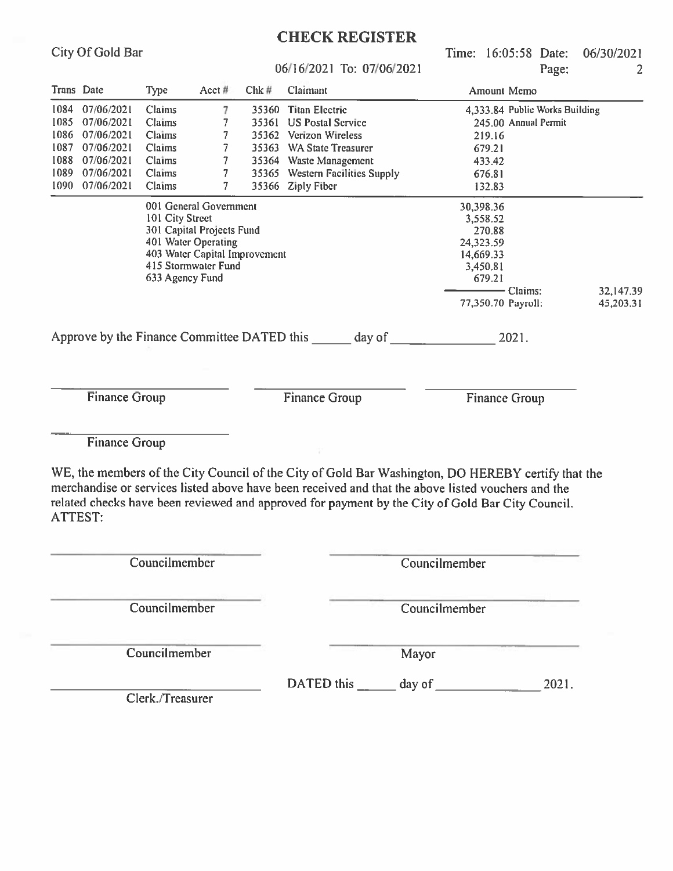Time: 16:05:58 Date: 06/30/2021  $P<sub>90e</sub>$  $\overline{2}$ 

|                      |            |                                                                                                                                                                                                                       |                                                                                                                                    |       | 06/16/2021 To: 07/06/2021                          | Page:                                                                                                            | $\overline{2}$         |
|----------------------|------------|-----------------------------------------------------------------------------------------------------------------------------------------------------------------------------------------------------------------------|------------------------------------------------------------------------------------------------------------------------------------|-------|----------------------------------------------------|------------------------------------------------------------------------------------------------------------------|------------------------|
| Trans Date           |            | <b>Type</b>                                                                                                                                                                                                           | Acct #                                                                                                                             | Chk#  | Claimant                                           | Amount Memo                                                                                                      |                        |
| 1084                 | 07/06/2021 | <b>Claims</b><br>7<br><b>Titan Electric</b><br>4,333.84 Public Works Building<br>35360<br>Claims<br><b>US Postal Service</b><br>245.00 Annual Permit<br>35361<br>Claims<br>35362<br><b>Verizon Wireless</b><br>219.16 |                                                                                                                                    |       |                                                    |                                                                                                                  |                        |
| 1085                 | 07/06/2021 |                                                                                                                                                                                                                       |                                                                                                                                    |       |                                                    |                                                                                                                  |                        |
| 1086                 | 07/06/2021 |                                                                                                                                                                                                                       |                                                                                                                                    |       |                                                    |                                                                                                                  |                        |
| 1087                 | 07/06/2021 | <b>Claims</b>                                                                                                                                                                                                         |                                                                                                                                    | 35363 | <b>WA State Treasurer</b>                          | 679.21                                                                                                           |                        |
| 1088                 | 07/06/2021 | Claims                                                                                                                                                                                                                |                                                                                                                                    | 35364 | <b>Waste Management</b>                            | 433.42                                                                                                           |                        |
| 1089                 | 07/06/2021 | Claims                                                                                                                                                                                                                |                                                                                                                                    |       | 35365 Western Facilities Supply                    | 676.81                                                                                                           |                        |
| 1090                 | 07/06/2021 | Claims                                                                                                                                                                                                                |                                                                                                                                    |       | 35366 Ziply Fiber                                  | 132.83                                                                                                           |                        |
|                      |            | 101 City Street<br>633 Agency Fund                                                                                                                                                                                    | 001 General Government<br>301 Capital Projects Fund<br>401 Water Operating<br>403 Water Capital Improvement<br>415 Stormwater Fund |       |                                                    | 30,398.36<br>3,558.52<br>270.88<br>24,323.59<br>14,669.33<br>3,450.81<br>679.21<br>Claims:<br>77,350.70 Payroll: | 32,147.39<br>45,203.31 |
|                      |            |                                                                                                                                                                                                                       |                                                                                                                                    |       | Approve by the Finance Committee DATED this day of | 2021.                                                                                                            |                        |
| <b>Finance Group</b> |            |                                                                                                                                                                                                                       |                                                                                                                                    |       | <b>Finance Group</b>                               | <b>Finance Group</b>                                                                                             |                        |

**Finance Group** 

City Of Gold Bar

WE, the members of the City Council of the City of Gold Bar Washington, DO HEREBY certify that the merchandise or services listed above have been received and that the above listed vouchers and the related checks have been reviewed and approved for payment by the City of Gold Bar City Council. **ATTEST:** 

| Councilmember    |            | Councilmember |       |
|------------------|------------|---------------|-------|
| Councilmember    |            | Councilmember |       |
| Councilmember    |            | Mayor         |       |
| Clerk./Treasurer | DATED this | day of        | 2021. |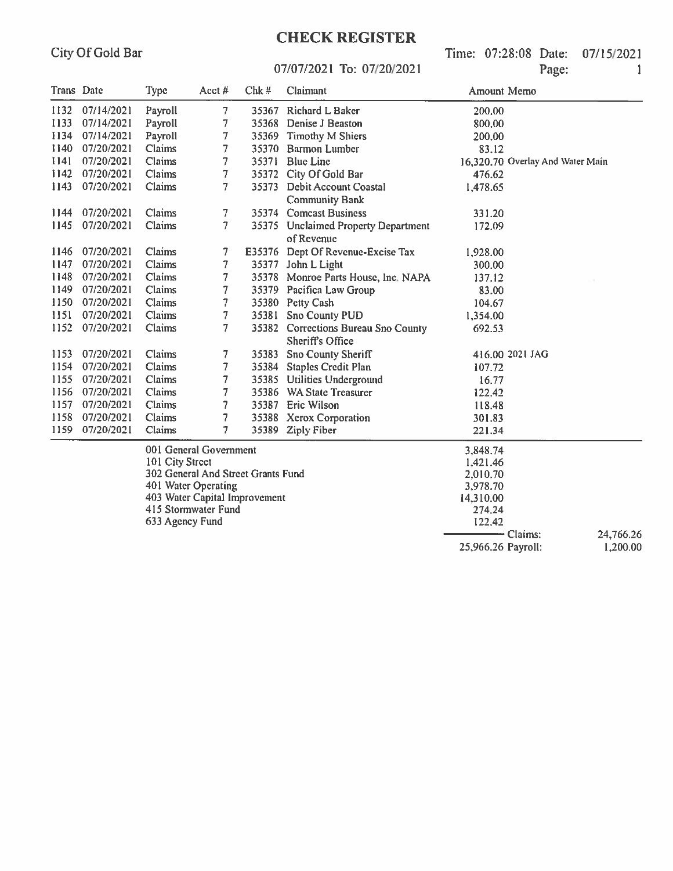## **CHECK REGISTER**

Time: 07:28:08 Date: 07/15/2021 Page:  $\mathbf{1}$ 

25,966.26 Payroll:

 $1,200.00$ 

#### 07/07/2021 To: 07/20/2021

| Trans Date |            | Type            | Acct $#$                           | Chk#  | Claimant                                          | Amount Memo |                                  |
|------------|------------|-----------------|------------------------------------|-------|---------------------------------------------------|-------------|----------------------------------|
| 1132       | 07/14/2021 | Payroll         | $\overline{7}$                     |       | 35367 Richard L Baker                             | 200.00      |                                  |
| 1133       | 07/14/2021 | Payroll         | 7                                  |       | 35368 Denise J Beaston                            | 800.00      |                                  |
| 1134       | 07/14/2021 | Payroll         | 7                                  |       | 35369 Timothy M Shiers                            | 200.00      |                                  |
| 1140       | 07/20/2021 | Claims          | 7                                  | 35370 | <b>Barmon Lumber</b>                              | 83.12       |                                  |
| 1141       | 07/20/2021 | Claims          | 7                                  | 35371 | <b>Blue Line</b>                                  |             | 16,320.70 Overlay And Water Main |
| 1142       | 07/20/2021 | Claims          | 7                                  | 35372 | City Of Gold Bar                                  | 476.62      |                                  |
| 1143       | 07/20/2021 | Claims          | $\overline{7}$                     | 35373 | Debit Account Coastal                             | 1,478.65    |                                  |
|            |            |                 |                                    |       | <b>Community Bank</b>                             |             |                                  |
| 1144       | 07/20/2021 | Claims          | 7.                                 |       | 35374 Comcast Business                            | 331.20      |                                  |
| 1145       | 07/20/2021 | Claims          | $\overline{\tau}$                  |       | 35375 Unclaimed Property Department<br>of Revenue | 172.09      |                                  |
| 1146       | 07/20/2021 | Claims          | 7                                  |       | E35376 Dept Of Revenue-Excise Tax                 | 1,928.00    |                                  |
| 1147       | 07/20/2021 | Claims          | $\tau$                             |       | 35377 John L Light                                | 300.00      |                                  |
| 1148       | 07/20/2021 | Claims          | 7                                  |       | 35378 Monroe Parts House, Inc. NAPA               | 137.12      |                                  |
| 1149       | 07/20/2021 | Claims          | 7                                  |       | 35379 Pacifica Law Group                          | 83.00       |                                  |
| 1150       | 07/20/2021 | Claims          | 7                                  |       | 35380 Petty Cash                                  | 104.67      |                                  |
| 1151       | 07/20/2021 | Claims          | $\tau$                             | 35381 | <b>Sno County PUD</b>                             | 1,354.00    |                                  |
| 1152       | 07/20/2021 | Claims          | $\overline{7}$                     | 35382 | Corrections Bureau Sno County                     | 692.53      |                                  |
|            |            |                 |                                    |       | Sheriff's Office                                  |             |                                  |
| 1153       | 07/20/2021 | Claims          | 7                                  | 35383 | Sno County Sheriff                                |             | 416.00 2021 JAG                  |
| 1154       | 07/20/2021 | Claims          | $\overline{7}$                     | 35384 | <b>Staples Credit Plan</b>                        | 107.72      |                                  |
| 1155       | 07/20/2021 | Claims          | 7                                  |       | 35385 Utilities Underground                       | 16.77       |                                  |
| 1156       | 07/20/2021 | Claims          | 7                                  |       | 35386 WA State Treasurer                          | 122.42      |                                  |
| 1157       | 07/20/2021 | Claims          | 7                                  |       | 35387 Eric Wilson                                 | 118.48      |                                  |
| 1158       | 07/20/2021 | Claims          | $\overline{\phantom{a}}$           |       | 35388 Xerox Corporation                           | 301.83      |                                  |
| 1159       | 07/20/2021 | Claims          | 7                                  |       | 35389 Ziply Fiber                                 | 221.34      |                                  |
|            |            |                 | 001 General Government             |       |                                                   | 3,848.74    |                                  |
|            |            | 101 City Street |                                    |       |                                                   | 1,421.46    |                                  |
|            |            |                 | 302 General And Street Grants Fund |       |                                                   | 2,010.70    |                                  |
|            |            |                 | 401 Water Operating                |       |                                                   | 3,978.70    |                                  |
|            |            |                 | 403 Water Capital Improvement      |       |                                                   | 14,310.00   |                                  |
|            |            |                 | 415 Stormwater Fund                |       |                                                   | 274.24      |                                  |
|            |            | 633 Agency Fund |                                    |       |                                                   | 122.42      |                                  |
|            |            |                 |                                    |       |                                                   |             | - Claims:<br>24,766.26           |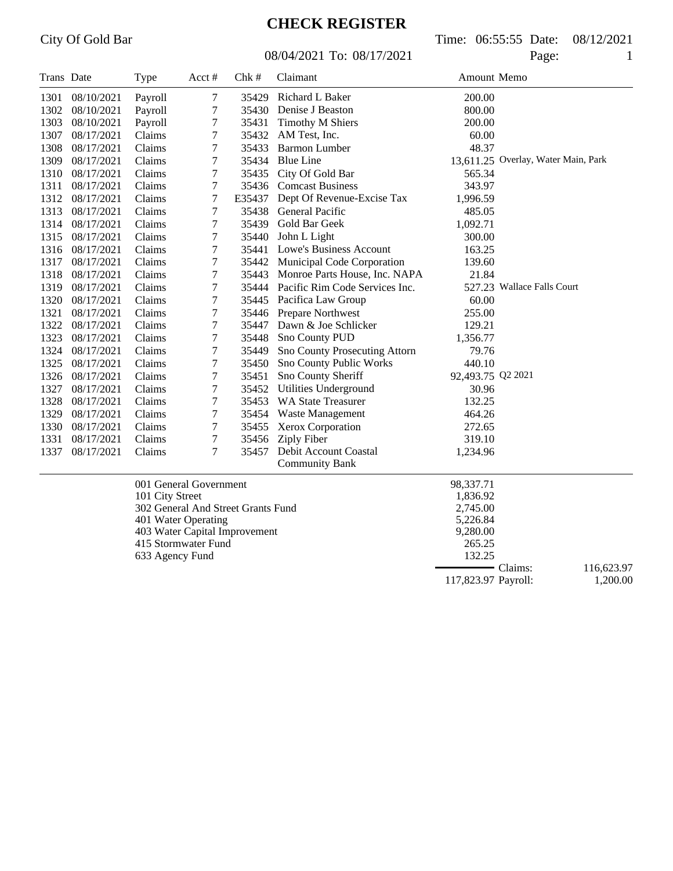08/04/2021 To: 08/17/2021 Page: 1

City Of Gold Bar Time: 06:55:55 Date: 08/12/2021

| Trans Date |            | <b>Type</b>     | Acct #                             | Chk#   | Claimant                             | Amount Memo       |                                     |
|------------|------------|-----------------|------------------------------------|--------|--------------------------------------|-------------------|-------------------------------------|
| 1301       | 08/10/2021 | Payroll         | 7                                  | 35429  | Richard L Baker                      | 200.00            |                                     |
| 1302       | 08/10/2021 | Payroll         | 7                                  | 35430  | Denise J Beaston                     | 800.00            |                                     |
| 1303       | 08/10/2021 | Payroll         | 7                                  | 35431  | <b>Timothy M Shiers</b>              | 200.00            |                                     |
| 1307       | 08/17/2021 | Claims          | 7                                  |        | 35432 AM Test, Inc.                  | 60.00             |                                     |
| 1308       | 08/17/2021 | Claims          | 7                                  | 35433  | <b>Barmon Lumber</b>                 | 48.37             |                                     |
| 1309       | 08/17/2021 | Claims          | 7                                  |        | 35434 Blue Line                      |                   | 13,611.25 Overlay, Water Main, Park |
| 1310       | 08/17/2021 | Claims          | 7                                  |        | 35435 City Of Gold Bar               | 565.34            |                                     |
| 1311       | 08/17/2021 | Claims          | $\boldsymbol{7}$                   |        | 35436 Comcast Business               | 343.97            |                                     |
| 1312       | 08/17/2021 | Claims          | 7                                  | E35437 | Dept Of Revenue-Excise Tax           | 1,996.59          |                                     |
| 1313       | 08/17/2021 | Claims          | $\boldsymbol{7}$                   | 35438  | <b>General Pacific</b>               | 485.05            |                                     |
| 1314       | 08/17/2021 | Claims          | 7                                  |        | 35439 Gold Bar Geek                  | 1,092.71          |                                     |
| 1315       | 08/17/2021 | Claims          | 7                                  | 35440  | John L Light                         | 300.00            |                                     |
| 1316       | 08/17/2021 | Claims          | 7                                  | 35441  | Lowe's Business Account              | 163.25            |                                     |
| 1317       | 08/17/2021 | Claims          | 7                                  |        | 35442 Municipal Code Corporation     | 139.60            |                                     |
| 1318       | 08/17/2021 | Claims          | $\tau$                             | 35443  | Monroe Parts House, Inc. NAPA        | 21.84             |                                     |
| 1319       | 08/17/2021 | Claims          | $\boldsymbol{7}$                   |        | 35444 Pacific Rim Code Services Inc. |                   | 527.23 Wallace Falls Court          |
| 1320       | 08/17/2021 | Claims          | 7                                  |        | 35445 Pacifica Law Group             | 60.00             |                                     |
| 1321       | 08/17/2021 | Claims          | 7                                  |        | 35446 Prepare Northwest              | 255.00            |                                     |
| 1322       | 08/17/2021 | Claims          | 7                                  |        | 35447 Dawn & Joe Schlicker           | 129.21            |                                     |
| 1323       | 08/17/2021 | Claims          | 7                                  | 35448  | Sno County PUD                       | 1,356.77          |                                     |
| 1324       | 08/17/2021 | Claims          | 7                                  | 35449  | <b>Sno County Prosecuting Attorn</b> | 79.76             |                                     |
| 1325       | 08/17/2021 | Claims          | 7                                  | 35450  | Sno County Public Works              | 440.10            |                                     |
| 1326       | 08/17/2021 | Claims          | 7                                  | 35451  | Sno County Sheriff                   | 92,493.75 Q2 2021 |                                     |
| 1327       | 08/17/2021 | Claims          | 7                                  | 35452  | <b>Utilities Underground</b>         | 30.96             |                                     |
| 1328       | 08/17/2021 | Claims          | 7                                  | 35453  | <b>WA State Treasurer</b>            | 132.25            |                                     |
| 1329       | 08/17/2021 | Claims          | 7                                  | 35454  | <b>Waste Management</b>              | 464.26            |                                     |
| 1330       | 08/17/2021 | Claims          | 7                                  | 35455  | Xerox Corporation                    | 272.65            |                                     |
| 1331       | 08/17/2021 | Claims          | 7                                  |        | 35456 Ziply Fiber                    | 319.10            |                                     |
| 1337       | 08/17/2021 | Claims          | 7                                  |        | 35457 Debit Account Coastal          | 1,234.96          |                                     |
|            |            |                 |                                    |        | <b>Community Bank</b>                |                   |                                     |
|            |            |                 | 001 General Government             |        |                                      | 98,337.71         |                                     |
|            |            | 101 City Street |                                    |        |                                      | 1,836.92          |                                     |
|            |            |                 | 302 General And Street Grants Fund |        |                                      | 2,745.00          |                                     |
|            |            |                 | 401 Water Operating                |        |                                      | 5,226.84          |                                     |
|            |            |                 | 403 Water Capital Improvement      |        |                                      | 9,280.00          |                                     |
|            |            |                 | 415 Stormwater Fund                |        |                                      | 265.25            |                                     |
|            |            | 633 Agency Fund |                                    |        |                                      | 132.25            |                                     |
|            |            |                 |                                    |        |                                      | ۰                 | Claims:<br>116,623.97               |

117,823.97 Payroll: 1,200.00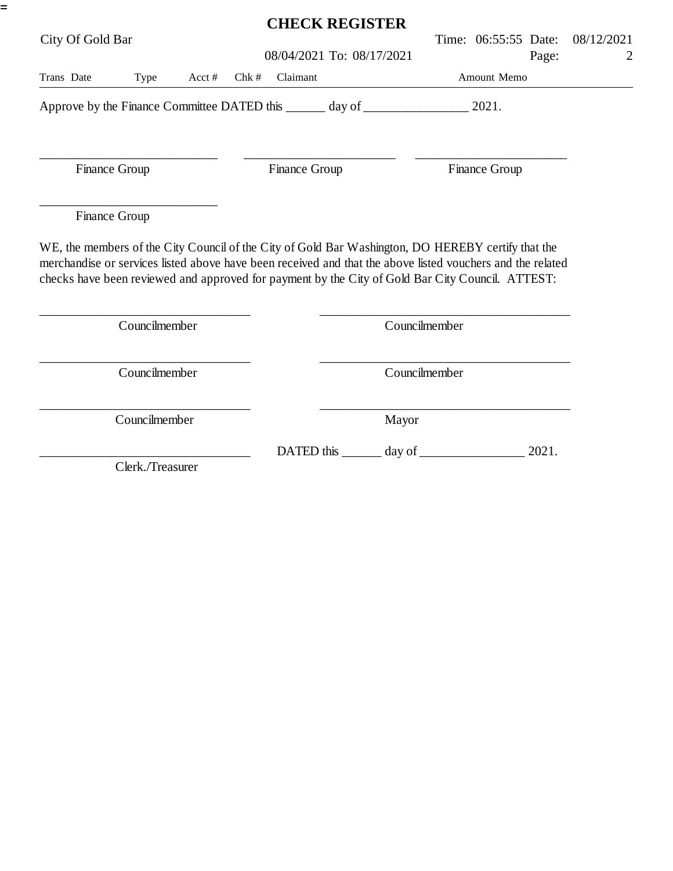|                  |                                                                                                                                                                                                                                                                                                                      |        |      | <b>CHECK REGISTER</b>     |                   |       |               |                      |       |                 |
|------------------|----------------------------------------------------------------------------------------------------------------------------------------------------------------------------------------------------------------------------------------------------------------------------------------------------------------------|--------|------|---------------------------|-------------------|-------|---------------|----------------------|-------|-----------------|
| City Of Gold Bar |                                                                                                                                                                                                                                                                                                                      |        |      | 08/04/2021 To: 08/17/2021 |                   |       |               | Time: 06:55:55 Date: | Page: | 08/12/2021<br>2 |
| Trans Date       | Type                                                                                                                                                                                                                                                                                                                 | Acct # | Chk# | Claimant                  |                   |       | Amount Memo   |                      |       |                 |
|                  | Approve by the Finance Committee DATED this ______ day of ______________________ 2021.                                                                                                                                                                                                                               |        |      |                           |                   |       |               |                      |       |                 |
|                  | Finance Group                                                                                                                                                                                                                                                                                                        |        |      | Finance Group             |                   |       |               | Finance Group        |       |                 |
|                  | Finance Group                                                                                                                                                                                                                                                                                                        |        |      |                           |                   |       |               |                      |       |                 |
|                  | WE, the members of the City Council of the City of Gold Bar Washington, DO HEREBY certify that the<br>merchandise or services listed above have been received and that the above listed vouchers and the related<br>checks have been reviewed and approved for payment by the City of Gold Bar City Council. ATTEST: |        |      |                           |                   |       |               |                      |       |                 |
|                  | Councilmember                                                                                                                                                                                                                                                                                                        |        |      |                           |                   |       | Councilmember |                      |       |                 |
|                  | Councilmember                                                                                                                                                                                                                                                                                                        |        |      |                           |                   |       | Councilmember |                      |       |                 |
|                  | Councilmember                                                                                                                                                                                                                                                                                                        |        |      |                           |                   | Mayor |               |                      |       |                 |
|                  |                                                                                                                                                                                                                                                                                                                      |        |      |                           | DATED this day of |       |               |                      | 2021. |                 |
|                  | Clerk./Treasurer                                                                                                                                                                                                                                                                                                     |        |      |                           |                   |       |               |                      |       |                 |

=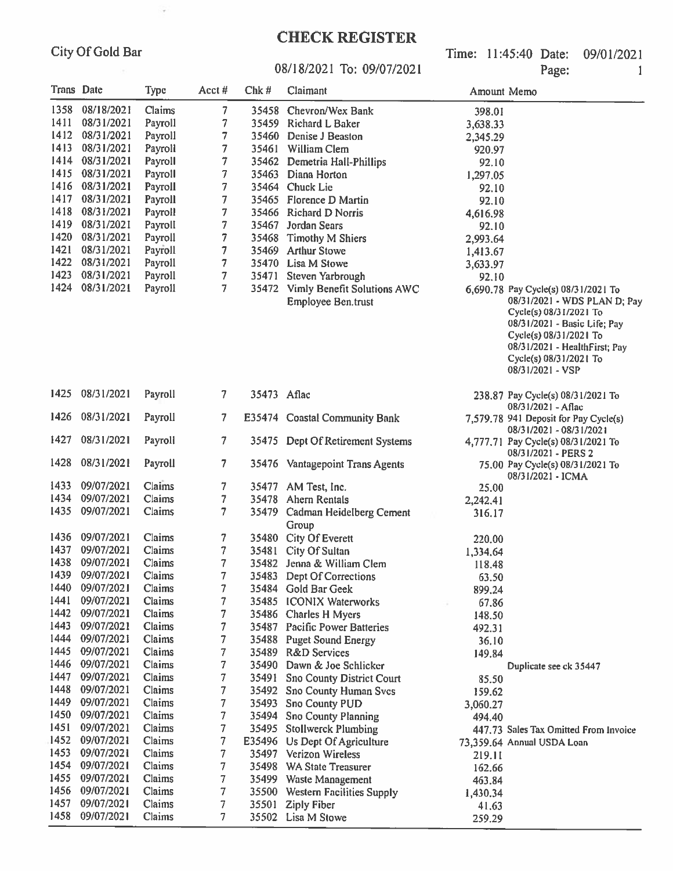$\sim$ 

### **CHECK REGISTER**

Time: 11:45:40 Date: 09/01/2021 Page: 1

#### 08/18/2021 To: 09/07/2021

| Trans Date |            | <b>Type</b> | Acct#                    | Chk#        | Claimant                                                | Amount Memo |                                                                                                                                                                                                                                        |
|------------|------------|-------------|--------------------------|-------------|---------------------------------------------------------|-------------|----------------------------------------------------------------------------------------------------------------------------------------------------------------------------------------------------------------------------------------|
| 1358       | 08/18/2021 | Claims      | 7                        |             | 35458 Chevron/Wex Bank                                  | 398.01      |                                                                                                                                                                                                                                        |
| 1411       | 08/31/2021 | Payroll     | 7                        |             | 35459 Richard L Baker                                   | 3,638.33    |                                                                                                                                                                                                                                        |
| 1412       | 08/31/2021 | Payroll     | 7                        |             | 35460 Denise J Beaston                                  | 2,345.29    |                                                                                                                                                                                                                                        |
| 1413       | 08/31/2021 | Payroll     | 7                        |             | 35461 William Clem                                      | 920.97      |                                                                                                                                                                                                                                        |
| 1414       | 08/31/2021 | Payroll     | 7                        | 35462       | Demetria Hall-Phillips                                  | 92.10       |                                                                                                                                                                                                                                        |
| 1415       | 08/31/2021 | Payroll     | 7                        |             | 35463 Diana Horton                                      | 1,297.05    |                                                                                                                                                                                                                                        |
| 1416       | 08/31/2021 | Payroll     | 7                        |             | 35464 Chuck Lie                                         | 92.10       |                                                                                                                                                                                                                                        |
| 1417       | 08/31/2021 | Payroll     | 7                        |             | 35465 Florence D Martin                                 | 92.10       |                                                                                                                                                                                                                                        |
| 1418       | 08/31/2021 | Payroll     | 7                        |             | 35466 Richard D Norris                                  | 4,616.98    |                                                                                                                                                                                                                                        |
| 1419       | 08/31/2021 | Payroll     | 7                        | 35467       | Jordan Sears                                            | 92.10       |                                                                                                                                                                                                                                        |
| 1420       | 08/31/2021 | Payroll     | 7                        | 35468       | <b>Timothy M Shiers</b>                                 | 2,993.64    |                                                                                                                                                                                                                                        |
| 1421       | 08/31/2021 | Payroll     | 7                        | 35469       | <b>Arthur Stowe</b>                                     | 1,413.67    |                                                                                                                                                                                                                                        |
| 1422       | 08/31/2021 | Payroll     | 7                        |             | 35470 Lisa M Stowe                                      | 3,633.97    |                                                                                                                                                                                                                                        |
| 1423       | 08/31/2021 | Payroll     | 7                        | 35471       | Steven Yarbrough                                        |             |                                                                                                                                                                                                                                        |
| 1424       | 08/31/2021 | Payroll     | 7                        |             |                                                         | 92.10       |                                                                                                                                                                                                                                        |
|            |            |             |                          |             | 35472 Vimly Benefit Solutions AWC<br>Employee Ben.trust |             | 6,690.78 Pay Cycle(s) 08/31/2021 To<br>08/31/2021 - WDS PLAN D; Pay<br>Cycle(s) 08/31/2021 To<br>08/31/2021 - Basic Life; Pay<br>Cycle(s) 08/31/2021 To<br>08/31/2021 - HealthFirst; Pay<br>Cycle(s) 08/31/2021 To<br>08/31/2021 - VSP |
| 1425       | 08/31/2021 | Payroll     | 7 <sup>1</sup>           | 35473 Aflac |                                                         |             | 238.87 Pay Cycle(s) 08/31/2021 To<br>08/31/2021 - Aflac                                                                                                                                                                                |
| 1426       | 08/31/2021 | Payroll     | 7                        |             | E35474 Coastal Community Bank                           |             | 7,579.78 941 Deposit for Pay Cycle(s)<br>08/31/2021 - 08/31/2021                                                                                                                                                                       |
| 1427       | 08/31/2021 | Payroll     | 7                        |             | 35475 Dept Of Retirement Systems                        |             | 4,777.71 Pay Cycle(s) 08/31/2021 To<br>08/31/2021 - PERS 2                                                                                                                                                                             |
| 1428       | 08/31/2021 | Payroll     | 7                        |             | 35476 Vantagepoint Trans Agents                         |             | 75.00 Pay Cycle(s) 08/31/2021 To<br>08/31/2021 - ICMA                                                                                                                                                                                  |
| 1433       | 09/07/2021 | Claims      | 7                        | 35477       | AM Test, Inc.                                           | 25.00       |                                                                                                                                                                                                                                        |
| 1434       | 09/07/2021 | Claims      | 7                        |             | 35478 Ahern Rentals                                     | 2,242.41    |                                                                                                                                                                                                                                        |
| 1435       | 09/07/2021 | Claims      | $\overline{\phantom{a}}$ |             | 35479 Cadman Heidelberg Cement<br>Group                 | 316.17      |                                                                                                                                                                                                                                        |
| 1436       | 09/07/2021 | Claims      | 7                        |             | 35480 City Of Everett                                   | 220,00      |                                                                                                                                                                                                                                        |
| 1437       | 09/07/2021 | Claims      | $\overline{\phantom{a}}$ | 35481       | City Of Sultan                                          | 1,334.64    |                                                                                                                                                                                                                                        |
| 1438       | 09/07/2021 | Claims      | $\overline{7}$           |             | 35482 Jenna & William Clem                              | 118.48      |                                                                                                                                                                                                                                        |
| 1439       | 09/07/2021 | Claims      | 7                        | 35483       | Dept Of Corrections                                     | 63.50       |                                                                                                                                                                                                                                        |
| 1440       | 09/07/2021 | Claims      | 7                        |             | 35484 Gold Bar Geek                                     | 899.24      |                                                                                                                                                                                                                                        |
| 1441       | 09/07/2021 | Claims      | 7                        | 35485       | <b>ICONIX Waterworks</b>                                | 67.86       |                                                                                                                                                                                                                                        |
| 1442       | 09/07/2021 | Claims      | 7                        |             | 35486 Charles H Myers                                   | 148.50      |                                                                                                                                                                                                                                        |
| 1443       | 09/07/2021 | Claims      | 7                        |             | 35487 Pacific Power Batteries                           | 492.31      |                                                                                                                                                                                                                                        |
| 1444       | 09/07/2021 | Claims      | 7                        | 35488       | <b>Puget Sound Energy</b>                               | 36.10       |                                                                                                                                                                                                                                        |
| 1445       | 09/07/2021 | Claims      | 7                        | 35489       | <b>R&amp;D</b> Services                                 | 149.84      |                                                                                                                                                                                                                                        |
| 1446       | 09/07/2021 | Claims      | 7                        | 35490       | Dawn & Joe Schlicker                                    |             | Duplicate see ck 35447                                                                                                                                                                                                                 |
| 1447       | 09/07/2021 | Claims      | 7                        |             | 35491 Sno County District Court                         |             |                                                                                                                                                                                                                                        |
| 1448       | 09/07/2021 | Claims      | 7                        | 35492       | <b>Sno County Human Svcs</b>                            | 85.50       |                                                                                                                                                                                                                                        |
| 1449       | 09/07/2021 | Claims      | 7                        | 35493       |                                                         | 159.62      |                                                                                                                                                                                                                                        |
| 1450       | 09/07/2021 | Claims      | 7                        | 35494       | <b>Sno County PUD</b>                                   | 3,060.27    |                                                                                                                                                                                                                                        |
| 1451       | 09/07/2021 | Claims      | 7                        |             | Sno County Planning                                     | 494.40      |                                                                                                                                                                                                                                        |
| 1452       | 09/07/2021 | Claims      | 7                        | E35496      | 35495 Stollwerck Plumbing                               |             | 447.73 Sales Tax Omitted From Invoice                                                                                                                                                                                                  |
| 1453       | 09/07/2021 | Claims      | 7                        | 35497       | Us Dept Of Agriculture<br><b>Verizon Wireless</b>       |             | 73,359.64 Annual USDA Loan                                                                                                                                                                                                             |
| 1454       | 09/07/2021 | Claims      | 7                        |             | <b>WA State Treasurer</b>                               | 219.11      |                                                                                                                                                                                                                                        |
| 1455       | 09/07/2021 | Claims      |                          | 35498       |                                                         | 162.66      |                                                                                                                                                                                                                                        |
| 1456       | 09/07/2021 | Claims      | 7                        | 35499       | Waste Management                                        | 463.84      |                                                                                                                                                                                                                                        |
| 1457       | 09/07/2021 | Claims      | 7<br>7                   | 35500       | <b>Western Facilities Supply</b>                        | 1,430.34    |                                                                                                                                                                                                                                        |
| 1458       | 09/07/2021 | Claims      | 7                        | 35501       | <b>Ziply Fiber</b><br>35502 Lisa M Stowe                | 41.63       |                                                                                                                                                                                                                                        |
|            |            |             |                          |             |                                                         | 259,29      |                                                                                                                                                                                                                                        |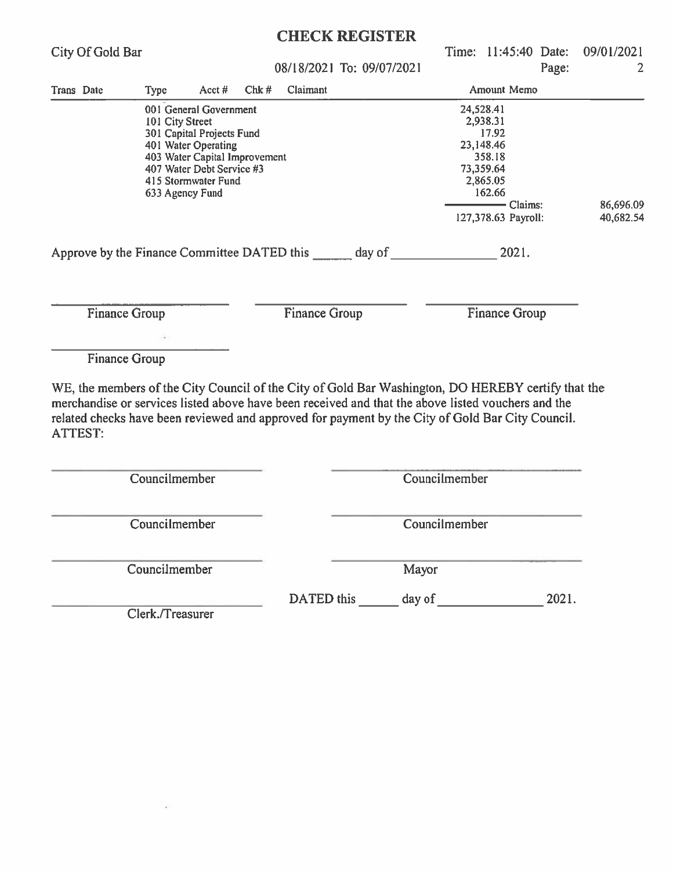| City Of Gold Bar                                                                                                                                                                                                                                                                                                               |                                    |                                                                                                                                                                 |      | <b>CHECK REGISTER</b><br>08/18/2021 To: 09/07/2021 |  |               | Time: 11:45:40 Date:               | Page: | 09/01/2021<br>$\overline{2}$ |
|--------------------------------------------------------------------------------------------------------------------------------------------------------------------------------------------------------------------------------------------------------------------------------------------------------------------------------|------------------------------------|-----------------------------------------------------------------------------------------------------------------------------------------------------------------|------|----------------------------------------------------|--|---------------|------------------------------------|-------|------------------------------|
| Trans Date                                                                                                                                                                                                                                                                                                                     | <b>Type</b>                        | Acct $#$                                                                                                                                                        | Chk# | Claimant                                           |  |               | Amount Memo                        |       |                              |
|                                                                                                                                                                                                                                                                                                                                | 101 City Street<br>633 Agency Fund | 001 General Government<br>301 Capital Projects Fund<br>401 Water Operating<br>403 Water Capital Improvement<br>407 Water Debt Service #3<br>415 Stormwater Fund |      |                                                    |  |               | 86,696.09                          |       |                              |
|                                                                                                                                                                                                                                                                                                                                |                                    |                                                                                                                                                                 |      |                                                    |  |               | $-$ Claims:<br>127,378.63 Payroll: |       | 40,682.54                    |
| Approve by the Finance Committee DATED this day of 2021.                                                                                                                                                                                                                                                                       |                                    |                                                                                                                                                                 |      |                                                    |  |               |                                    |       |                              |
| <b>Finance Group</b>                                                                                                                                                                                                                                                                                                           |                                    |                                                                                                                                                                 |      | <b>Finance Group</b>                               |  |               | <b>Finance Group</b>               |       |                              |
| <b>Finance Group</b>                                                                                                                                                                                                                                                                                                           |                                    |                                                                                                                                                                 |      |                                                    |  |               |                                    |       |                              |
| WE, the members of the City Council of the City of Gold Bar Washington, DO HEREBY certify that the<br>merchandise or services listed above have been received and that the above listed vouchers and the<br>related checks have been reviewed and approved for payment by the City of Gold Bar City Council.<br><b>ATTEST:</b> |                                    |                                                                                                                                                                 |      |                                                    |  |               |                                    |       |                              |
|                                                                                                                                                                                                                                                                                                                                | Councilmember                      |                                                                                                                                                                 |      |                                                    |  | Councilmember |                                    |       |                              |
|                                                                                                                                                                                                                                                                                                                                | Councilmember                      |                                                                                                                                                                 |      |                                                    |  | Councilmember |                                    |       |                              |
|                                                                                                                                                                                                                                                                                                                                | Councilmember                      |                                                                                                                                                                 |      |                                                    |  | Mayor         |                                    |       |                              |
|                                                                                                                                                                                                                                                                                                                                | Clerk./Treasurer                   |                                                                                                                                                                 |      |                                                    |  |               |                                    |       |                              |
|                                                                                                                                                                                                                                                                                                                                |                                    |                                                                                                                                                                 |      |                                                    |  |               |                                    |       |                              |

XC -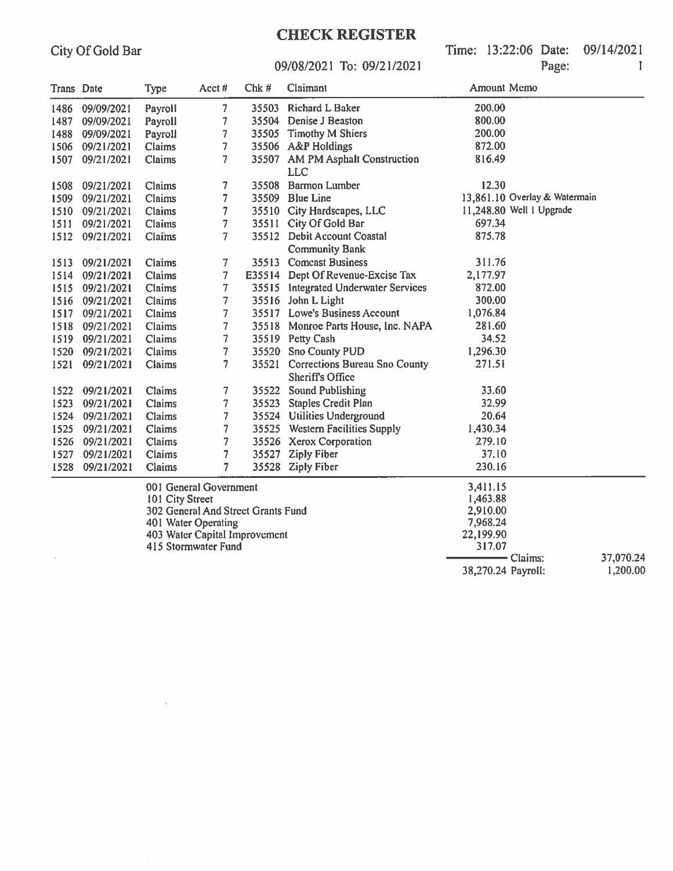Time: 13:22:06 Date: 09/14/2021 Page:

 $\mathbbm{I}$ 

#### 09/08/2021 To: 09/21/2021

| Trans Date |                 | Type            | Acct#                              | Chk#  | Claimant                             | Amount Memo        |                               |           |
|------------|-----------------|-----------------|------------------------------------|-------|--------------------------------------|--------------------|-------------------------------|-----------|
|            | 1486 09/09/2021 | Payroll         | 7                                  | 35503 | <b>Richard L Baker</b>               | 200.00             |                               |           |
| 1487       | 09/09/2021      | Payroll         | 7                                  |       | 35504 Denise J Beaston               | 800.00             |                               |           |
| 1488       | 09/09/2021      | Payroll         | 7                                  |       | 35505 Timothy M Shiers               | 200.00             |                               |           |
| 1506       | 09/21/2021      | Claims          | 7                                  |       | 35506 A&P Holdings                   | 872.00             |                               |           |
| 1507       | 09/21/2021      | Claims          | $\overline{7}$                     |       | 35507 AM PM Asphalt Construction     | 816.49             |                               |           |
|            |                 |                 |                                    |       | <b>LLC</b>                           |                    |                               |           |
| 1508       | 09/21/2021      | Claims          | 7                                  |       | 35508 Barmon Lumber                  | 12.30              |                               |           |
| 1509       | 09/21/2021      | Claims          | $\overline{7}$                     |       | 35509 Blue Line                      |                    | 13,861.10 Overlay & Watermain |           |
|            | 1510 09/21/2021 | Claims          | 7                                  |       | 35510 City Hardscapes, LLC           |                    | 11,248.80 Well 1 Upgrade      |           |
| 1511       | 09/21/2021      | Claims          | $\overline{\mathcal{I}}$           |       | 35511 City Of Gold Bar               | 697.34             |                               |           |
| 1512       | 09/21/2021      | Claims          | 7                                  |       | 35512 Debit Account Coastal          | 875.78             |                               |           |
|            |                 |                 |                                    |       | <b>Community Bank</b>                |                    |                               |           |
|            | 1513 09/21/2021 | Claims          | 7                                  |       | 35513 Comcast Business               | 311.76             |                               |           |
|            | 1514 09/21/2021 | Claims          | 7                                  |       | E35514 Dept Of Revenue-Excise Tax    | 2,177.97           |                               |           |
|            | 1515 09/21/2021 | Claims          | 7                                  |       | 35515 Integrated Underwater Services | 872.00             |                               |           |
| 1516       | 09/21/2021      | Claims          | 7                                  |       | 35516 John L Light                   | 300.00             |                               |           |
| 1517       | 09/21/2021      | Claims          | $\overline{7}$                     |       | 35517 Lowe's Business Account        | 1,076.84           |                               |           |
| 1518       | 09/21/2021      | Claims          | 7                                  |       | 35518 Monroe Parts House, Inc. NAPA  | 281.60             |                               |           |
| 1519       | 09/21/2021      | Claims          | 7                                  |       | 35519 Petty Cash                     | 34.52              |                               |           |
|            | 1520 09/21/2021 | Claims          | 7                                  |       | 35520 Sno County PUD                 | 1,296.30           |                               |           |
| 1521       | 09/21/2021      | Claims          | $\overline{7}$                     |       | 35521 Corrections Bureau Sno County  | 271.51             |                               |           |
|            |                 |                 |                                    |       | <b>Sheriff's Office</b>              |                    |                               |           |
| 1522       | 09/21/2021      | Claims          | 7                                  |       | 35522 Sound Publishing               | 33.60              |                               |           |
| 1523       | 09/21/2021      | Claims          | 7                                  | 35523 | <b>Staples Credit Plan</b>           | 32.99              |                               |           |
| 1524       | 09/21/2021      | Claims          | $\overline{7}$                     |       | 35524 Utilities Underground          | 20.64              |                               |           |
| 1525       | 09/21/2021      | Claims          | 7                                  |       | 35525 Western Facilities Supply      | 1,430.34           |                               |           |
| 1526       | 09/21/2021      | Claims          | 7                                  |       | 35526 Xerox Corporation              | 279.10             |                               |           |
| 1527       | 09/21/2021      | Claims          | 7                                  |       | 35527 Ziply Fiber                    | 37.10              |                               |           |
| 1528       | 09/21/2021      | Claims          | $\overline{7}$                     |       | 35528 Ziply Fiber                    | 230.16             |                               |           |
|            |                 |                 | 001 General Government             |       |                                      | 3,411.15           |                               |           |
|            |                 | 101 City Street |                                    |       |                                      | 1,463.88           |                               |           |
|            |                 |                 | 302 General And Street Grants Fund |       |                                      | 2,910.00           |                               |           |
|            |                 |                 | 401 Water Operating                |       |                                      | 7,968.24           |                               |           |
|            |                 |                 | 403 Water Capital Improvement      |       |                                      | 22,199.90          |                               |           |
|            |                 |                 | 415 Stormwater Fund                |       |                                      | 317.07             |                               |           |
|            |                 |                 |                                    |       |                                      |                    | - Claims:                     | 37,070.24 |
|            |                 |                 |                                    |       |                                      | 38,270.24 Payroll: |                               | 1,200.00  |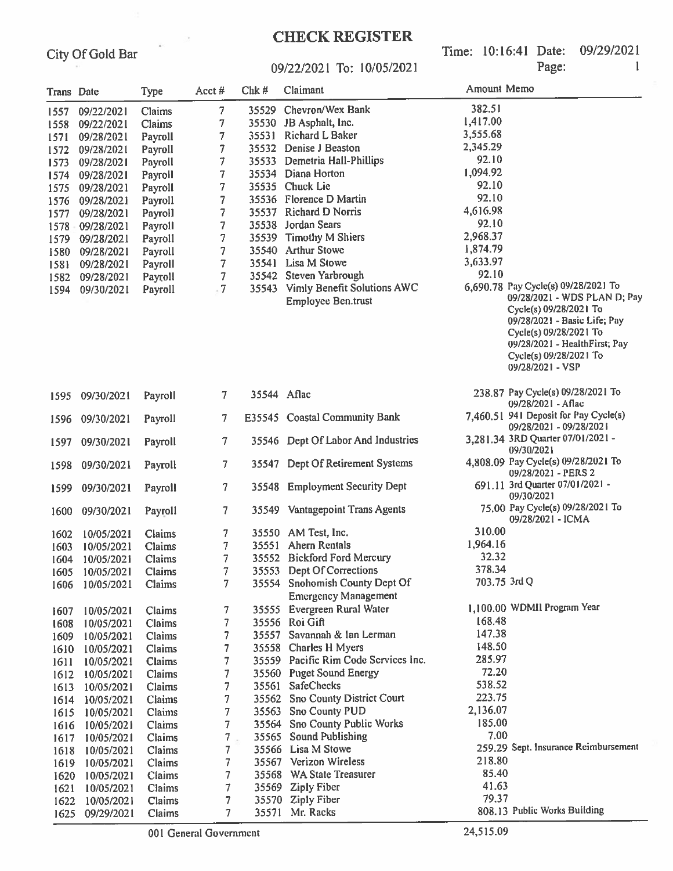#### **CHECK REGISTER**

Time: 10:16:41 Date: 09/29/2021 Page:

 $\mathbf{I}$ 

#### 09/22/2021 To: 10/05/2021

| Trans Date |                   | <b>Type</b> | Acct#          | Chk#        | Claimant                                                      | Amount Memo  |                                                                                                                                                                                                 |
|------------|-------------------|-------------|----------------|-------------|---------------------------------------------------------------|--------------|-------------------------------------------------------------------------------------------------------------------------------------------------------------------------------------------------|
|            | 1557 09/22/2021   | Claims      | 7              |             | 35529 Chevron/Wex Bank                                        | 382.51       |                                                                                                                                                                                                 |
|            | 1558 09/22/2021   | Claims      | 7              |             | 35530 JB Asphalt, Inc.                                        | 1,417.00     |                                                                                                                                                                                                 |
| 1571       | 09/28/2021        | Payroll     | 7              | 35531       | <b>Richard L Baker</b>                                        | 3,555.68     |                                                                                                                                                                                                 |
| 1572       | 09/28/2021        | Payroll     | 7              | 35532       | Denise J Beaston                                              | 2,345.29     |                                                                                                                                                                                                 |
| 1573       | 09/28/2021        | Payroll     | 7              |             | 35533 Demetria Hall-Phillips                                  | 92.10        |                                                                                                                                                                                                 |
|            | 1574 09/28/2021   | Payroll     | 7              |             | 35534 Diana Horton                                            | 1,094.92     |                                                                                                                                                                                                 |
|            | 1575 09/28/2021   | Payroll     | 7              |             | 35535 Chuck Lie                                               | 92.10        |                                                                                                                                                                                                 |
|            | 1576 09/28/2021   | Payroll     | 7              |             | 35536 Florence D Martin                                       | 92.10        |                                                                                                                                                                                                 |
|            | 1577 09/28/2021   | Payroll     | 7              |             | 35537 Richard D Norris                                        | 4,616.98     |                                                                                                                                                                                                 |
|            | 1578 - 09/28/2021 | Payroll     | 7              |             | 35538 Jordan Sears                                            | 92.10        |                                                                                                                                                                                                 |
|            | 1579 09/28/2021   | Payroll     | 7              |             | 35539 Timothy M Shiers                                        | 2,968.37     |                                                                                                                                                                                                 |
| 1580       | 09/28/2021        | Payroll     | 7              |             | 35540 Arthur Stowe                                            | 1,874.79     |                                                                                                                                                                                                 |
| 1581       | 09/28/2021        | Payroll     | 7              |             | 35541 Lisa M Stowe                                            | 3,633.97     |                                                                                                                                                                                                 |
|            |                   |             | 7              |             | 35542 Steven Yarbrough                                        | 92.10        |                                                                                                                                                                                                 |
| 1582       | 09/28/2021        | Payroll     | $-7$           |             | 35543 Vimly Benefit Solutions AWC                             |              | 6,690.78 Pay Cycle(s) 09/28/2021 To                                                                                                                                                             |
| 1594       | 09/30/2021        | Payroll     |                |             | <b>Employee Ben.trust</b>                                     |              | 09/28/2021 - WDS PLAN D; Pay<br>Cycle(s) 09/28/2021 To<br>09/28/2021 - Basic Life; Pay<br>Cycle(s) 09/28/2021 To<br>09/28/2021 - HealthFirst; Pay<br>Cycle(s) 09/28/2021 To<br>09/28/2021 - VSP |
| 1595       | 09/30/2021        | Payroll     | 7.             | 35544 Aflac |                                                               |              | 238.87 Pay Cycle(s) 09/28/2021 To<br>09/28/2021 - Aflac                                                                                                                                         |
| 1596       | 09/30/2021        | Payroll     | 7.             |             | E35545 Coastal Community Bank                                 |              | 7,460.51 941 Deposit for Pay Cycle(s)<br>09/28/2021 - 09/28/2021                                                                                                                                |
| 1597       | 09/30/2021        | Payroll     | 7              |             | 35546 Dept Of Labor And Industries                            |              | 3,281.34 3RD Quarter 07/01/2021 -<br>09/30/2021                                                                                                                                                 |
| 1598       | 09/30/2021        | Payroll     | $\overline{7}$ |             | 35547 Dept Of Retirement Systems                              |              | 4,808.09 Pay Cycle(s) 09/28/2021 To<br>09/28/2021 - PERS 2                                                                                                                                      |
| 1599       | 09/30/2021        | Payroll     | $\overline{7}$ | 35548       | <b>Employment Security Dept</b>                               |              | 691.11 3rd Quarter 07/01/2021 -<br>09/30/2021                                                                                                                                                   |
| 1600       | 09/30/2021        | Payroll     | 7.             |             | 35549 Vantagepoint Trans Agents                               |              | 75.00 Pay Cycle(s) 09/28/2021 To<br>09/28/2021 - ICMA                                                                                                                                           |
| 1602       | 10/05/2021        | Claims      | 7              |             | 35550 AM Test, Inc.                                           | 310.00       |                                                                                                                                                                                                 |
| 1603       | 10/05/2021        | Claims      | 7              |             | 35551 Ahern Rentals                                           | 1,964.16     |                                                                                                                                                                                                 |
| 1604       | 10/05/2021        | Claims      | 7              |             | 35552 Bickford Ford Mercury                                   | 32.32        |                                                                                                                                                                                                 |
|            | 1605 10/05/2021   | Claims      | 7              |             | 35553 Dept Of Corrections                                     | 378.34       |                                                                                                                                                                                                 |
| 1606       | 10/05/2021        | Claims      | 7              |             | 35554 Snohomish County Dept Of<br><b>Emergency Management</b> | 703.75 3rd Q |                                                                                                                                                                                                 |
|            | 10/05/2021        | Claims      | 7              |             | 35555 Evergreen Rural Water                                   |              | 1,100.00 WDMII Program Year                                                                                                                                                                     |
| 1607       | 10/05/2021        | Claims      | 7              |             | 35556 Roi Gift                                                | 168.48       |                                                                                                                                                                                                 |
| 1608       |                   |             | 7              |             | 35557 Savannah & Ian Lerman                                   | 147.38       |                                                                                                                                                                                                 |
| 1609       | 10/05/2021        | Claims      | 7              |             | 35558 Charles H Myers                                         | 148.50       |                                                                                                                                                                                                 |
| 1610       | 10/05/2021        | Claims      | 7              |             | 35559 Pacific Rim Code Services Inc.                          | 285.97       |                                                                                                                                                                                                 |
| 1611       | 10/05/2021        | Claims      | 7              |             | 35560 Puget Sound Energy                                      | 72.20        |                                                                                                                                                                                                 |
| 1612       | 10/05/2021        | Claims      |                |             | 35561 SafeChecks                                              | 538.52       |                                                                                                                                                                                                 |
| 1613       | 10/05/2021        | Claims      | 7              |             | 35562 Sno County District Court                               | 223.75       |                                                                                                                                                                                                 |
| 1614       | 10/05/2021        | Claims      | 7              |             |                                                               | 2,136.07     |                                                                                                                                                                                                 |
| 1615       | 10/05/2021        | Claims      | 7              |             | 35563 Sno County PUD                                          | 185.00       |                                                                                                                                                                                                 |
| 1616       | 10/05/2021        | Claims      | 7              |             | 35564 Sno County Public Works                                 | 7.00         |                                                                                                                                                                                                 |
| 1617       | 10/05/2021        | Claims      | 7              |             | 35565 Sound Publishing                                        |              | 259.29 Sept. Insurance Reimbursement                                                                                                                                                            |
| 1618       | 10/05/2021        | Claims      | 7              |             | 35566 Lisa M Stowe                                            | 218.80       |                                                                                                                                                                                                 |
| 1619       | 10/05/2021        | Claims      | 7              |             | 35567 Verizon Wireless                                        | 85.40        |                                                                                                                                                                                                 |
| 1620       | 10/05/2021        | Claims      | 7              |             | 35568 WA State Treasurer                                      | 41.63        |                                                                                                                                                                                                 |
| 1621       | 10/05/2021        | Claims      | 7              |             | 35569 Ziply Fiber                                             | 79.37        |                                                                                                                                                                                                 |
| 1622       | 10/05/2021        | Claims      | 7              | 35571       | 35570 Ziply Fiber<br>Mr. Racks                                |              | 808.13 Public Works Building                                                                                                                                                                    |
| 1625       | 09/29/2021        | Claims      | 7              |             |                                                               |              |                                                                                                                                                                                                 |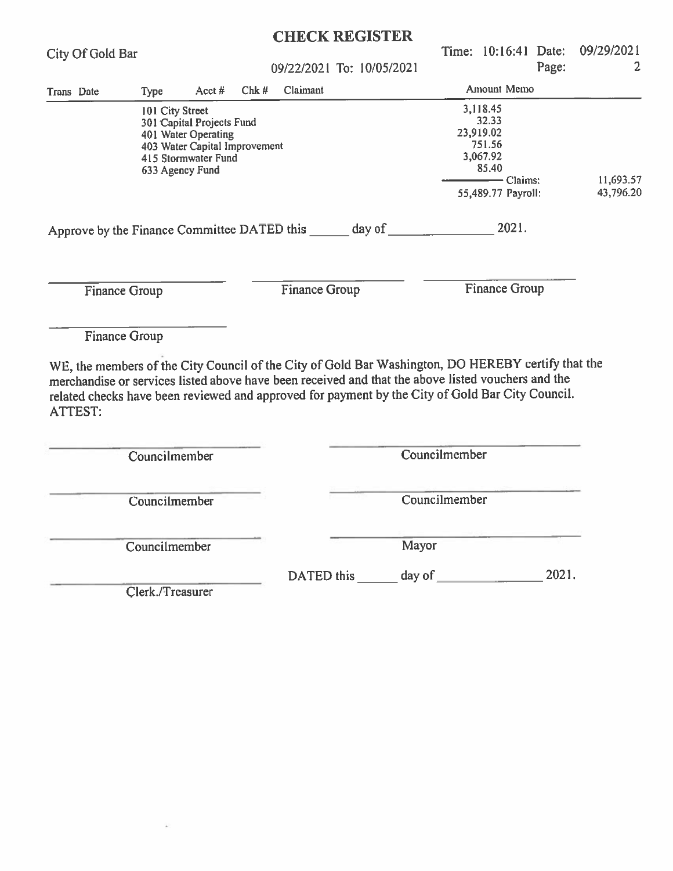|                                                                                                                                                                                                                                                                                                                                                        |                                                                                                                                                |          |      |                      | <b>CHECK REGISTER</b>     |               |  |                                                                                                   |       |                                      |
|--------------------------------------------------------------------------------------------------------------------------------------------------------------------------------------------------------------------------------------------------------------------------------------------------------------------------------------------------------|------------------------------------------------------------------------------------------------------------------------------------------------|----------|------|----------------------|---------------------------|---------------|--|---------------------------------------------------------------------------------------------------|-------|--------------------------------------|
| City Of Gold Bar                                                                                                                                                                                                                                                                                                                                       |                                                                                                                                                |          |      |                      | 09/22/2021 To: 10/05/2021 |               |  |                                                                                                   | Page: | Time: 10:16:41 Date: 09/29/2021<br>2 |
| Trans Date                                                                                                                                                                                                                                                                                                                                             | <b>Type</b>                                                                                                                                    | Acct $#$ | Chk# | Claimant             |                           |               |  | Amount Memo                                                                                       |       |                                      |
|                                                                                                                                                                                                                                                                                                                                                        | 101 City Street<br>301 Capital Projects Fund<br>401 Water Operating<br>403 Water Capital Improvement<br>415 Stormwater Fund<br>633 Agency Fund |          |      |                      |                           |               |  | 3,118.45<br>32.33<br>23,919.02<br>751.56<br>3,067.92<br>85.40<br>—— Claims:<br>55,489.77 Payroll: |       | 11,693.57<br>43,796.20               |
|                                                                                                                                                                                                                                                                                                                                                        |                                                                                                                                                |          |      |                      |                           |               |  |                                                                                                   |       |                                      |
| <b>Finance Group</b>                                                                                                                                                                                                                                                                                                                                   |                                                                                                                                                |          |      | <b>Finance Group</b> |                           |               |  | <b>Finance Group</b>                                                                              |       |                                      |
| <b>Finance Group</b><br>WE, the members of the City Council of the City of Gold Bar Washington, DO HEREBY certify that the<br>merchandise or services listed above have been received and that the above listed vouchers and the<br>related checks have been reviewed and approved for payment by the City of Gold Bar City Council.<br><b>ATTEST:</b> |                                                                                                                                                |          |      |                      |                           |               |  |                                                                                                   |       |                                      |
|                                                                                                                                                                                                                                                                                                                                                        | Councilmember                                                                                                                                  |          |      |                      |                           | Councilmember |  |                                                                                                   |       |                                      |
|                                                                                                                                                                                                                                                                                                                                                        | Councilmember                                                                                                                                  |          |      |                      |                           | Councilmember |  |                                                                                                   |       |                                      |
|                                                                                                                                                                                                                                                                                                                                                        | Councilmember                                                                                                                                  |          |      | Mayor                |                           |               |  |                                                                                                   |       |                                      |
|                                                                                                                                                                                                                                                                                                                                                        | Clerk./Treasurer                                                                                                                               |          |      |                      |                           |               |  |                                                                                                   | 2021. |                                      |
|                                                                                                                                                                                                                                                                                                                                                        |                                                                                                                                                |          |      |                      |                           |               |  |                                                                                                   |       |                                      |

 $\omega$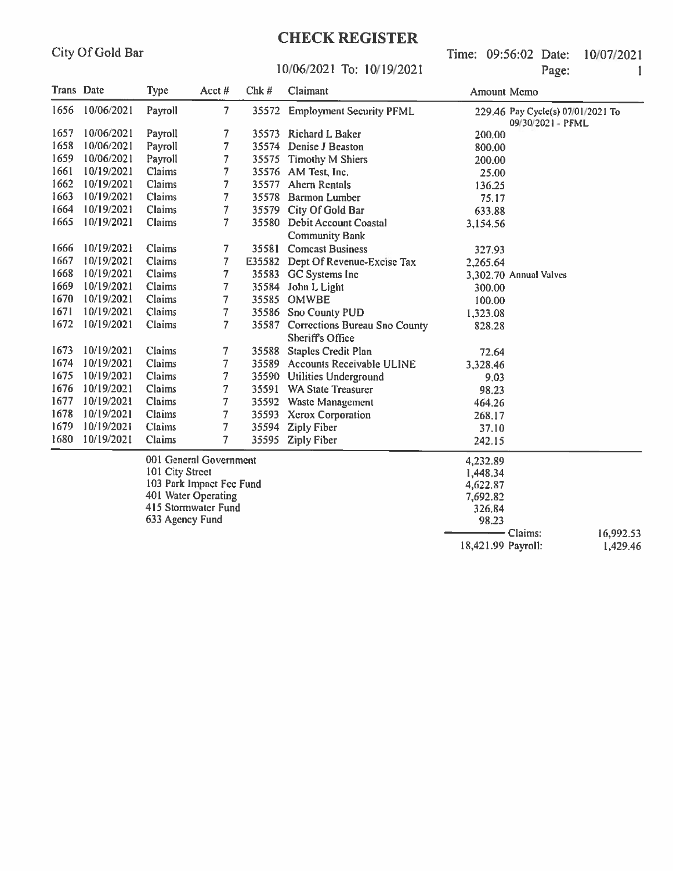### **CHECK REGISTER**

Time: 09:56:02 Date: 10/07/2021 Page:  $\mathbf{1}$ 

#### 10/06/2021 To: 10/19/2021

| Trans Date |                          | Type    | Acct#                  | Chk#   | Claimant                                                       | Amount Memo |                                                        |
|------------|--------------------------|---------|------------------------|--------|----------------------------------------------------------------|-------------|--------------------------------------------------------|
| 1656       | 10/06/2021               | Payroll | $\overline{7}$         | 35572  | <b>Employment Security PFML</b>                                |             | 229.46 Pay Cycle(s) 07/01/2021 To<br>09/30/2021 - PFML |
| 1657       | 10/06/2021               | Payroll | 7                      |        | 35573 Richard L Baker                                          | 200.00      |                                                        |
| 1658       | 10/06/2021               | Payroll | 7                      |        | 35574 Denise J Beaston<br>800.00                               |             |                                                        |
| 1659       | 10/06/2021               | Payroll | 7                      | 35575  | Timothy M Shiers                                               | 200.00      |                                                        |
| 1661       | 10/19/2021               | Claims  |                        |        | 35576 AM Test, Inc.                                            | 25.00       |                                                        |
| 1662       | 10/19/2021               | Claims  | 7                      | 35577  | <b>Ahern Rentals</b>                                           | 136.25      |                                                        |
| 1663       | 10/19/2021               | Claims  | 7                      | 35578  | <b>Barmon Lumber</b>                                           | 75.17       |                                                        |
| 1664       | 10/19/2021               | Claims  | 7                      | 35579  | City Of Gold Bar                                               | 633.88      |                                                        |
| 1665       | 10/19/2021               | Claims  | 7                      | 35580  | <b>Debit Account Coastal</b><br><b>Community Bank</b>          | 3,154.56    |                                                        |
| 1666       | 10/19/2021               | Claims  | 7                      | 35581  | <b>Comcast Business</b>                                        | 327.93      |                                                        |
| 1667       | 10/19/2021               | Claims  | 7                      | E35582 | Dept Of Revenue-Excise Tax                                     | 2,265.64    |                                                        |
| 1668       | 10/19/2021               | Claims  | 7                      | 35583  | GC Systems Inc                                                 |             | 3,302.70 Annual Valves                                 |
| 1669       | 10/19/2021               | Claims  | 7                      | 35584  | John L Light                                                   | 300.00      |                                                        |
| 1670       | 10/19/2021               | Claims  | 7                      | 35585  | <b>OMWBE</b>                                                   | 100.00      |                                                        |
| 1671       | 10/19/2021               | Claims  | 7                      |        | 35586 Sno County PUD                                           | 1,323.08    |                                                        |
| 1672       | 10/19/2021               | Claims  | 7                      |        | 35587 Corrections Bureau Sno County<br><b>Sheriff's Office</b> | 828.28      |                                                        |
| 1673       | 10/19/2021               | Claims  | 7                      | 35588  | <b>Staples Credit Plan</b>                                     | 72.64       |                                                        |
| 1674       | 10/19/2021               | Claims  | 7                      | 35589  | Accounts Receivable ULINE                                      | 3,328.46    |                                                        |
| 1675       | 10/19/2021               | Claims  | 7                      | 35590  | <b>Utilities Underground</b>                                   | 9.03        |                                                        |
| 1676       | 10/19/2021               | Claims  | 7                      | 35591  | <b>WA State Treasurer</b>                                      | 98.23       |                                                        |
| 1677       | 10/19/2021               | Claims  | 7                      |        | 35592 Waste Management                                         | 464.26      |                                                        |
| 1678       | 10/19/2021               | Claims  | 7                      |        | 35593 Xerox Corporation                                        | 268.17      |                                                        |
| 1679       | 10/19/2021               | Claims  | 7                      | 35594  | <b>Ziply Fiber</b>                                             | 37.10       |                                                        |
| 1680       | 10/19/2021               | Claims  | 7                      | 35595  | <b>Ziply Fiber</b>                                             | 242.15      |                                                        |
|            |                          |         | 001 General Government |        |                                                                | 4,232.89    |                                                        |
|            | 101 City Street          |         |                        |        |                                                                | 1,448.34    |                                                        |
|            | 103 Park Impact Fee Fund |         |                        |        | 4,622.87                                                       |             |                                                        |
|            |                          |         | 401 Water Operating    |        |                                                                | 7,692.82    |                                                        |

401 Water Operating

415 Stormwater Fund 633 Agency Fund

 $-$  Claims: 16,992.53 18,421.99 Payroll:

326.84

98.23

1,429.46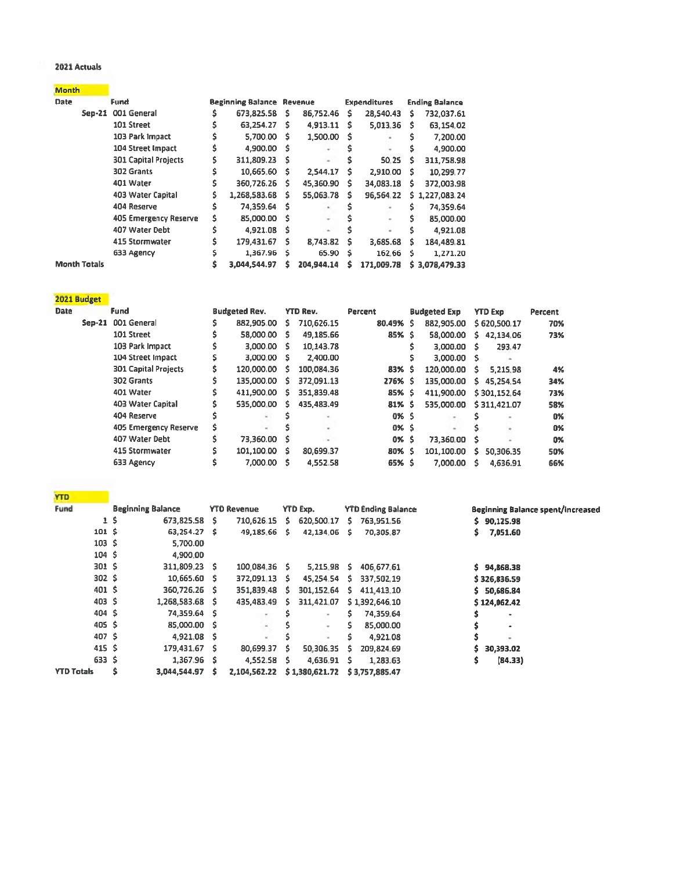#### 2021 Actuals

| Month |  |
|-------|--|
|       |  |

| <b>Date</b>         | Fund                        |   | <b>Beginning Balance Revenue</b> |      |            |   | <b>Expenditures</b> |   | <b>Ending Balance</b> |
|---------------------|-----------------------------|---|----------------------------------|------|------------|---|---------------------|---|-----------------------|
|                     | 001 General<br>Sep-21       | Ś | 673,825.58                       | s.   | 86,752,46  | s | 28.540.43           | s | 732,037.61            |
|                     | 101 Street                  | s | 63,254.27                        | s.   | 4,913.11   | s | 5,013.36            | s | 63,154.02             |
|                     | 103 Park Impact             |   | 5.700.00                         | s    | 1,500.00   | s |                     | S | 7,200.00              |
|                     | 104 Street Impact           | Ś | 4,900.00                         | - S  | ÷          |   | $\sim$              | s | 4,900.00              |
|                     | <b>301 Capital Projects</b> | Ś | 311,809.23                       | -S   | $\sim$     |   | 50.25               | s | 311,758.98            |
|                     | 302 Grants                  |   | 10,665.60                        | s    | 2.544.17   | s | 2.910.00            | s | 10,299.77             |
|                     | 401 Water                   | Ś | 360,726.26                       | Ŝ.   | 45,360.90  | S | 34,083.18           | s | 372,003.98            |
|                     | 403 Water Capital           | s | 1,268,583.68                     | s.   | 55,063.78  | Ŝ | 96.564.22           |   | \$1,227,083,24        |
|                     | 404 Reserve                 | S | 74,359.64                        | - \$ |            |   |                     | S | 74,359.64             |
|                     | 405 Emergency Reserve       | s | 85,000.00                        | - \$ |            |   | ÷                   | s | 85,000.00             |
|                     | 407 Water Debt              | Ś | 4,921.08                         | Ŝ    | $\sim$     |   | ٠                   | s | 4,921.08              |
|                     | 415 Stormwater              |   | 179,431.67                       | s    | 8,743.82   | s | 3.685.68            | s | 184,489.81            |
|                     | 633 Agency                  | s | 1,367.96                         | \$   | 65.90      | Ś | 162.66              | s | 1,271.20              |
| <b>Month Totals</b> |                             | Ŝ | 3,044,544.97                     | s    | 204,944.14 |   | 171,009.78          |   | \$3,078,479.33        |

| 2021 Budget |
|-------------|

| <b>Date</b> |          | Fund                        |   | <b>Budgeted Rev.</b> |    | <b>YTD Rev.</b> | Percent   | <b>Budgeted Exp</b> |    | <b>YTD Exp</b> | Percent |
|-------------|----------|-----------------------------|---|----------------------|----|-----------------|-----------|---------------------|----|----------------|---------|
|             | $Sep-21$ | 001 General                 |   | 882,905.00           | s. | 710,626.15      | 80.49% \$ | 882,905.00          |    | \$620,500.17   | 70%     |
|             |          | 101 Street                  |   | 58,000.00            | S. | 49,185.66       | 85% \$    | 58,000.00           | S. | 42,134.06      | 73%     |
|             |          | 103 Park Impact             |   | 3,000.00 \$          |    | 10,143.78       |           | 3,000.00            | s  | 293.47         |         |
|             |          | 104 Street Impact           |   | 3,000.00 \$          |    | 2,400.00        |           | 3,000.00 \$         |    |                |         |
|             |          | <b>301 Capital Projects</b> |   | 120,000,00           | S. | 100.084.36      | 83% \$    | 120,000.00          | s  | 5.215.98       | 4%      |
|             |          | 302 Grants                  |   | 135,000.00           | s  | 372,091.13      | 276% S    | 135,000.00          | s. | 45.254.54      | 34%     |
|             |          | 401 Water                   | Ś | 411,900.00           | s  | 351,839.48      | 85% \$    | 411.900.00          |    | \$301,152.64   | 73%     |
|             |          | 403 Water Capital           |   | 535,000.00           | s. | 435.483.49      | $81%$ \$  | 535,000.00          |    | \$311,421.07   | 58%     |
|             |          | 404 Reserve                 |   |                      |    |                 | 0% \$     | ٠                   |    | $\sim$         | 0%      |
|             |          | 405 Emergency Reserve       | s |                      |    | $\sim$          | 0% S      | $\sim$              |    | ٠              | 0%      |
|             |          | 407 Water Debt              |   | 73,360.00 \$         |    | ٠               | 0% S      | 73.360.00           | s  |                | 0%      |
|             |          | 415 Stormwater              | Ś | 101,100.00 \$        |    | 80,699.37       | 80% \$    | 101,100.00          | s. | 50,306.35      | 50%     |
|             |          | 633 Agency                  |   | 7,000.00             | s  | 4.552.58        | 65% S     | 7,000.00            | s  | 4.636.91       | 66%     |

| <b>YTD</b>        |          |                          |     |                    |    |                 |    |                           |                                   |
|-------------------|----------|--------------------------|-----|--------------------|----|-----------------|----|---------------------------|-----------------------------------|
| Fund              |          | <b>Beginning Balance</b> |     | <b>YTD Revenue</b> |    | <b>YTD Exp.</b> |    | <b>YTD Ending Balance</b> | Beginning Balance spent/increased |
|                   | $1\,$ \$ | 673,825.58               | s   | 710,626.15         | s. | 620,500.17      | s. | 763,951,56                | \$90,125.98                       |
| 101 <sub>5</sub>  |          | 63,254.27                | - S | 49,185.66          | s  | 42,134.06       | s  | 70,305.87                 | 7,051.60<br>s                     |
| 103S              |          | 5.700.00                 |     |                    |    |                 |    |                           |                                   |
| 104S              |          | 4,900.00                 |     |                    |    |                 |    |                           |                                   |
| 301S              |          | 311,809.23 S             |     | 100.084.36 \$      |    | 5.215.98        | s. | 406,677.61                | \$94.868.38                       |
| 302S              |          | 10,665.60 \$             |     | 372,091.13 \$      |    | 45,254.54       | s. | 337.502.19                | \$326,836.59                      |
| 401S              |          | 360,726.26 \$            |     | 351,839.48         | s. | 301.152.64      | s. | 411,413.10                | \$5,686.84                        |
| 403S              |          | 1,268,583.68 \$          |     | 435,483.49         | s. | 311,421.07      |    | \$1,392,646.10            | \$124,062.42                      |
| 404S              |          | 74,359.64 \$             |     | $\sim$             |    | $\sim$          | Ś. | 74,359.64                 | ٠                                 |
| 405 <sup>5</sup>  |          | 85,000.00 \$             |     | ٠                  |    | $\sim$          | Ś  | 85,000.00                 | ٠                                 |
| 407 \$            |          | 4,921.08 \$              |     |                    |    | $\blacksquare$  | Ś. | 4,921.08                  | ٠                                 |
| 415 <sup>5</sup>  |          | 179,431.67               | s   | 80,699.37          | s. | 50,306.35       | s  | 209.824.69                | 30,393.02<br>s                    |
| 633 \$            |          | 1,367.96 \$              |     | 4,552.58           | s  | 4,636.91        | s  | 1,283.63                  | \$<br>(84.33)                     |
| <b>YTD Totals</b> | Ś        | 3,044,544.97             |     | 2,104,562.22       |    | \$1,380,621.72  |    | \$3,757,885.47            |                                   |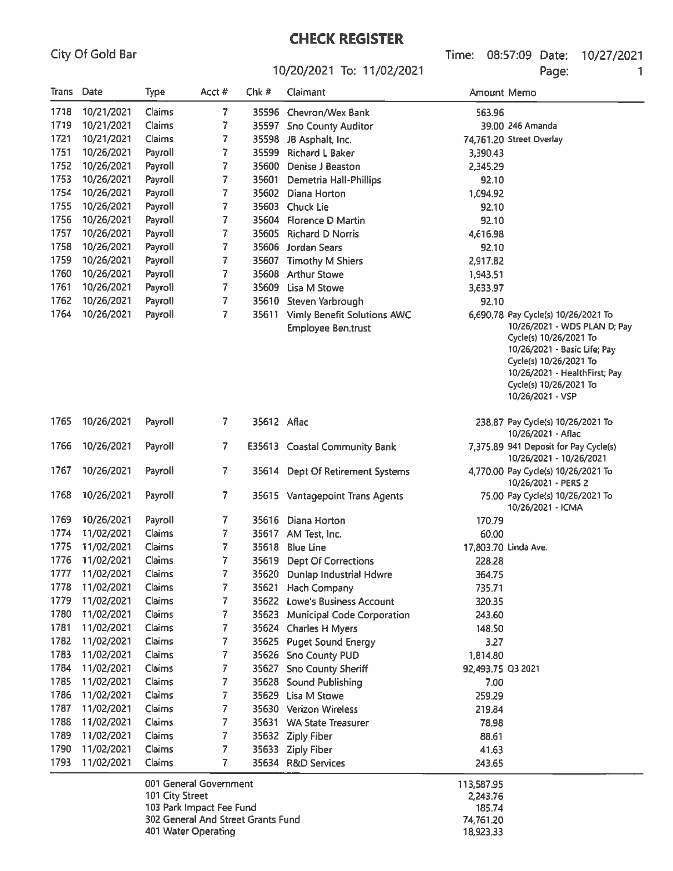City Of Gold Bar

# 10/20/2021 To: 11/02/2021

Time: 08:57:09 Date: 10/27/2021 Page:  $\mathbf{1}$ 

| Trans | Date       | Type            | Acct #                 | Chk #       | Claimant                                                       | <b>Amount Memo</b>   |                                                                                                                                                                                                                                        |
|-------|------------|-----------------|------------------------|-------------|----------------------------------------------------------------|----------------------|----------------------------------------------------------------------------------------------------------------------------------------------------------------------------------------------------------------------------------------|
| 1718  | 10/21/2021 | Claims          | 7                      |             | 35596 Chevron/Wex Bank                                         | 563.96               |                                                                                                                                                                                                                                        |
| 1719  | 10/21/2021 | Claims          | 7                      |             | 35597 Sno County Auditor                                       |                      | 39.00 246 Amanda                                                                                                                                                                                                                       |
| 1721  | 10/21/2021 | Claims          | 7                      | 35598       | JB Asphalt, Inc.                                               |                      | 74,761.20 Street Overlay                                                                                                                                                                                                               |
| 1751  | 10/26/2021 | Payroll         | 7                      | 35599       | <b>Richard L Baker</b>                                         | 3,390.43             |                                                                                                                                                                                                                                        |
| 1752  | 10/26/2021 | Payroll         | 7                      | 35600       | Denise J Beaston                                               | 2,345.29             |                                                                                                                                                                                                                                        |
| 1753  | 10/26/2021 | Payroll         | 7                      | 35601       | Demetria Hall-Phillips                                         | 92.10                |                                                                                                                                                                                                                                        |
| 1754  | 10/26/2021 | Payroll         | 7                      | 35602       | Diana Horton                                                   | 1,094.92             |                                                                                                                                                                                                                                        |
| 1755  | 10/26/2021 | Payroll         | 7                      | 35603       | <b>Chuck Lie</b>                                               | 92.10                |                                                                                                                                                                                                                                        |
| 1756  | 10/26/2021 | Payroll         | 7                      | 35604       | <b>Florence D Martin</b>                                       | 92.10                |                                                                                                                                                                                                                                        |
| 1757  | 10/26/2021 | Payroll         | 7                      | 35605       | <b>Richard D Norris</b>                                        | 4,616.98             |                                                                                                                                                                                                                                        |
| 1758  | 10/26/2021 | Payroll         | 7                      | 35606       | Jordan Sears                                                   | 92.10                |                                                                                                                                                                                                                                        |
| 1759  | 10/26/2021 | Payroll         | 7                      | 35607       | <b>Timothy M Shiers</b>                                        | 2,917.82             |                                                                                                                                                                                                                                        |
| 1760  | 10/26/2021 | Payroll         | 7                      | 35608       | <b>Arthur Stowe</b>                                            | 1,943.51             |                                                                                                                                                                                                                                        |
| 1761  | 10/26/2021 | Payroll         | 7                      | 35609       | Lisa M Stowe                                                   | 3,633.97             |                                                                                                                                                                                                                                        |
| 1762  | 10/26/2021 | Payroll         | 7                      | 35610       | Steven Yarbrough                                               | 92.10                |                                                                                                                                                                                                                                        |
| 1764  | 10/26/2021 | Payroll         | 7                      |             | 35611 Vimly Benefit Solutions AWC<br><b>Employee Ben.trust</b> |                      | 6,690.78 Pay Cycle(s) 10/26/2021 To<br>10/26/2021 - WDS PLAN D; Pay<br>Cycle(s) 10/26/2021 To<br>10/26/2021 - Basic Life; Pay<br>Cycle(s) 10/26/2021 To<br>10/26/2021 - HealthFirst; Pay<br>Cycle(s) 10/26/2021 To<br>10/26/2021 - VSP |
| 1765  | 10/26/2021 | Payroll         | 7.                     | 35612 Aflac |                                                                |                      | 238.87 Pay Cycle(s) 10/26/2021 To<br>10/26/2021 - Aflac                                                                                                                                                                                |
| 1766  | 10/26/2021 | Payroll         | 7                      |             | E35613 Coastal Community Bank                                  |                      | 7,375.89 941 Deposit for Pay Cycle(s)<br>10/26/2021 - 10/26/2021                                                                                                                                                                       |
| 1767  | 10/26/2021 | Payroll         | 7.                     |             | 35614 Dept Of Retirement Systems                               |                      | 4,770.00 Pay Cycle(s) 10/26/2021 To<br>10/26/2021 - PERS 2                                                                                                                                                                             |
| 1768  | 10/26/2021 | Payroll         | 7                      |             | 35615 Vantagepoint Trans Agents                                |                      | 75.00 Pay Cycle(s) 10/26/2021 To<br>10/26/2021 - ICMA                                                                                                                                                                                  |
| 1769  | 10/26/2021 | Payroll         | 7                      | 35616       | Diana Horton                                                   | 170.79               |                                                                                                                                                                                                                                        |
| 1774  | 11/02/2021 | Claims          | 7                      | 35617       | AM Test, Inc.                                                  | 60.00                |                                                                                                                                                                                                                                        |
| 1775  | 11/02/2021 | Claims          | 7                      | 35618       | <b>Blue Line</b>                                               | 17,803.70 Linda Ave. |                                                                                                                                                                                                                                        |
| 1776  | 11/02/2021 | Claims          | 7                      | 35619       | <b>Dept Of Corrections</b>                                     | 228.28               |                                                                                                                                                                                                                                        |
| 1777  | 11/02/2021 | Claims          | 7                      | 35620       | <b>Dunlap Industrial Hdwre</b>                                 | 364.75               |                                                                                                                                                                                                                                        |
| 1778  | 11/02/2021 | Claims          | 7                      |             | 35621 Hach Company                                             | 735.71               |                                                                                                                                                                                                                                        |
| 1779  | 11/02/2021 | Claims          | 7                      |             | 35622 Lowe's Business Account                                  | 320.35               |                                                                                                                                                                                                                                        |
| 1780  | 11/02/2021 | Claims          | 7                      | 35623       | <b>Municipal Code Corporation</b>                              | 243.60               |                                                                                                                                                                                                                                        |
| 1781  | 11/02/2021 | Claims          | 7                      |             | 35624 Charles H Myers                                          | 148.50               |                                                                                                                                                                                                                                        |
| 1782  | 11/02/2021 | Claims          | 7                      |             | 35625 Puget Sound Energy                                       | 3.27                 |                                                                                                                                                                                                                                        |
| 1783  | 11/02/2021 | Claims          | 7                      |             | 35626 Sno County PUD                                           | 1,814.80             |                                                                                                                                                                                                                                        |
| 1784  | 11/02/2021 | Claims          | 7                      | 35627       | <b>Sno County Sheriff</b>                                      | 92,493.75 Q3 2021    |                                                                                                                                                                                                                                        |
| 1785  | 11/02/2021 | Claims          | 7                      |             | 35628 Sound Publishing                                         | 7.00                 |                                                                                                                                                                                                                                        |
| 1786  | 11/02/2021 | Claims          | 7                      | 35629       | Lisa M Stowe                                                   | 259.29               |                                                                                                                                                                                                                                        |
| 1787  | 11/02/2021 | Claims          | 7                      |             | 35630 Verizon Wireless                                         | 219.84               |                                                                                                                                                                                                                                        |
| 1788  | 11/02/2021 | Claims          | 7                      |             | 35631 WA State Treasurer                                       | 78.98                |                                                                                                                                                                                                                                        |
| 1789  | 11/02/2021 | Claims          | 7                      |             | 35632 Ziply Fiber                                              | 88.61                |                                                                                                                                                                                                                                        |
| 1790  | 11/02/2021 | Claims          | 7                      |             | 35633 Ziply Fiber                                              | 41.63                |                                                                                                                                                                                                                                        |
| 1793  | 11/02/2021 | Claims          | 7                      |             | 35634 R&D Services                                             | 243.65               |                                                                                                                                                                                                                                        |
|       |            | 101 City Street | 001 General Government |             |                                                                | 113,587.95<br>774376 |                                                                                                                                                                                                                                        |

| 001 General Government             | 113,587.95 |
|------------------------------------|------------|
| 101 City Street                    | 2.243.76   |
| 103 Park Impact Fee Fund           | 185.74     |
| 302 General And Street Grants Fund | 74.761.20  |
| 401 Water Operating                | 18,923.33  |
|                                    |            |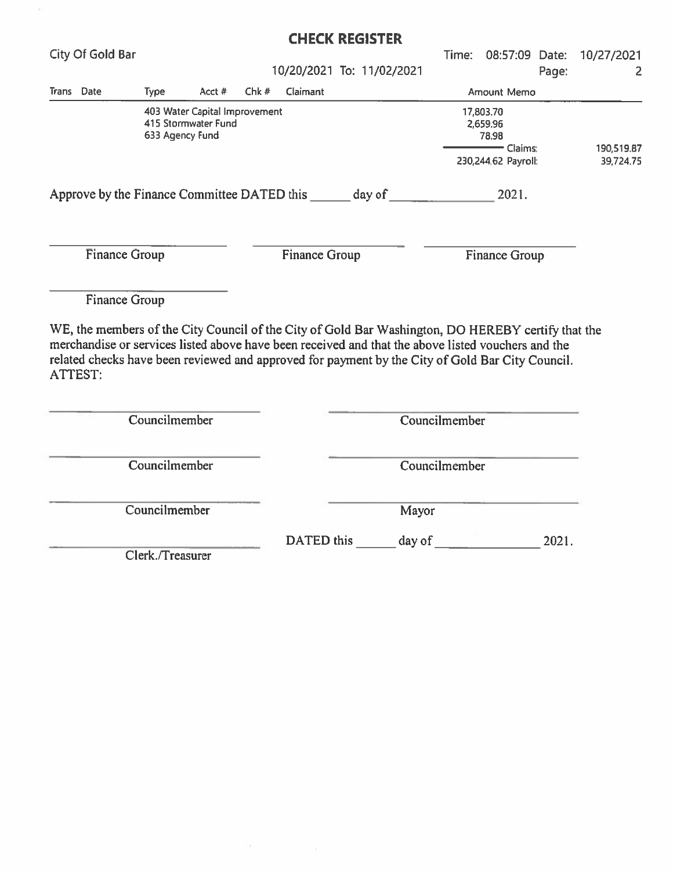|                                             |                                                                         |        |      |               | <b>CHECK REGISTER</b>     |                                                                  |                      |                         |                           |
|---------------------------------------------|-------------------------------------------------------------------------|--------|------|---------------|---------------------------|------------------------------------------------------------------|----------------------|-------------------------|---------------------------|
| <b>City Of Gold Bar</b>                     |                                                                         |        |      |               |                           | Time:                                                            |                      |                         | 08:57:09 Date: 10/27/2021 |
|                                             |                                                                         |        |      |               | 10/20/2021 To: 11/02/2021 |                                                                  |                      | Page:                   | 2                         |
| Trans Date                                  | <b>Type</b>                                                             | Acct # | Chk# | Claimant      |                           |                                                                  | Amount Memo          |                         |                           |
|                                             | 403 Water Capital Improvement<br>415 Stormwater Fund<br>633 Agency Fund |        |      |               |                           | 17,803.70<br>2,659.96<br>78.98<br>Claims:<br>230,244.62 Payroll: |                      | 190,519.87<br>39,724.75 |                           |
| Approve by the Finance Committee DATED this |                                                                         |        |      |               | day of                    |                                                                  | 2021.                |                         |                           |
| <b>Finance Group</b>                        |                                                                         |        |      | Finance Group |                           |                                                                  | <b>Finance Group</b> |                         |                           |
| <b>Finance Group</b>                        |                                                                         |        |      |               |                           |                                                                  |                      |                         |                           |

WE, the members of the City Council of the City of Gold Bar Washington, DO HEREBY certify that the merchandise or services listed above have been received and that the above listed vouchers and the related checks have been reviewed and approved for payment by the City of Gold Bar City Council. ATTEST:

| Councilmember    |                   | Councilmember   |
|------------------|-------------------|-----------------|
| Councilmember    |                   | Councilmember   |
| Councilmember    |                   | Mayor           |
| Clerk./Treasurer | <b>DATED</b> this | day of<br>2021. |

W.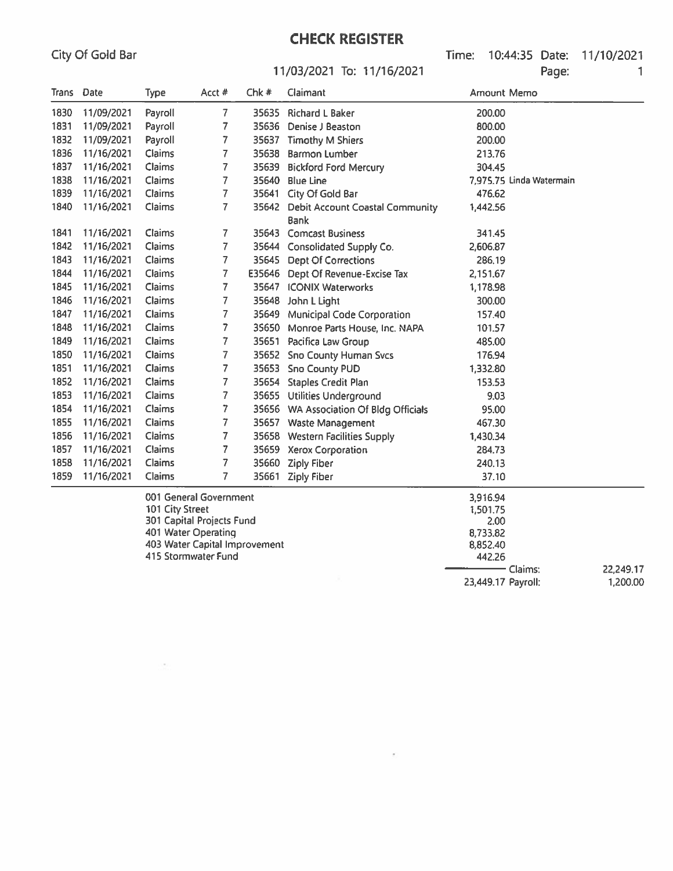$\mathcal{O}(\mathcal{E})$ 

## **CHECK REGISTER**

Time: 10:44:35 Date: 11/10/2021 Page: 1

#### 11/03/2021 To: 11/16/2021

| Trans Date |            | <b>Type</b>   | Acct #                 | Chk#  | Claimant                                      | Amount Memo                    |  |
|------------|------------|---------------|------------------------|-------|-----------------------------------------------|--------------------------------|--|
| 1830       | 11/09/2021 | Payroll       | $\overline{7}$         | 35635 | <b>Richard L Baker</b>                        | 200.00                         |  |
| 1831       | 11/09/2021 | Payroll       | 7                      | 35636 | Denise J Beaston                              | 800.00                         |  |
| 1832       | 11/09/2021 | Payroll       | 7                      | 35637 | <b>Timothy M Shiers</b>                       | 200.00                         |  |
| 1836       | 11/16/2021 | Claims        | 7                      | 35638 | <b>Barmon Lumber</b>                          | 213.76                         |  |
| 1837       | 11/16/2021 | Claims        | 7                      | 35639 | <b>Bickford Ford Mercury</b>                  | 304.45                         |  |
| 1838       | 11/16/2021 | Claims        | 7                      | 35640 | <b>Blue Line</b>                              | 7,975.75 Linda Watermain       |  |
| 1839       | 11/16/2021 | Claims        | 7                      | 35641 | City Of Gold Bar                              | 476.62                         |  |
| 1840       | 11/16/2021 | Claims        | $\overline{7}$         |       | 35642 Debit Account Coastal Community<br>Bank | 1,442.56                       |  |
| 1841       | 11/16/2021 | Claims        | 7                      |       | 35643 Comcast Business                        | 341.45                         |  |
| 1842       | 11/16/2021 | Claims        | 7                      |       | 35644 Consolidated Supply Co.                 | 2,606.87                       |  |
| 1843       | 11/16/2021 | Claims        | 7                      |       | 35645 Dept Of Corrections                     | 286.19                         |  |
| 1844       | 11/16/2021 | Claims        | 7                      |       | E35646 Dept Of Revenue-Excise Tax             | 2,151.67                       |  |
| 1845       | 11/16/2021 | Claims        | 7                      |       | 35647 ICONIX Waterworks                       | 1,178.98                       |  |
| 1846       | 11/16/2021 | Claims        | 7                      | 35648 | John L Light                                  | 300.00                         |  |
| 1847       | 11/16/2021 | Claims        | 7                      |       | 35649 Municipal Code Corporation              | 157.40                         |  |
| 1848       | 11/16/2021 | Claims        | 7                      | 35650 | Monroe Parts House, Inc. NAPA                 | 101.57                         |  |
| 1849       | 11/16/2021 | Claims        | 7                      |       | 35651 Pacifica Law Group                      | 485.00                         |  |
| 1850       | 11/16/2021 | Claims        | 7                      |       | 35652 Sno County Human Svcs                   | 176.94                         |  |
| 1851       | 11/16/2021 | Claims        | 7                      |       | 35653 Sno County PUD                          | 1,332.80                       |  |
| 1852       | 11/16/2021 | Claims        | 7                      | 35654 | <b>Staples Credit Plan</b>                    | 153.53                         |  |
| 1853       | 11/16/2021 | Claims        | 7                      |       | 35655 Utilities Underground                   | 9.03                           |  |
| 1854       | 11/16/2021 | Claims        | 7                      |       | 35656 WA Association Of Bldg Officials        | 95.00                          |  |
| 1855       | 11/16/2021 | Claims        | 7                      |       | 35657 Waste Management                        | 467.30                         |  |
| 1856       | 11/16/2021 | Claims        | 7                      |       | 35658 Western Facilities Supply               | 1,430.34                       |  |
| 1857       | 11/16/2021 | Claims        | 7                      |       | 35659 Xerox Corporation                       | 284.73                         |  |
| 1858       | 11/16/2021 | Claims        | 7                      | 35660 | <b>Ziply Fiber</b>                            | 240.13                         |  |
| 1859       | 11/16/2021 | Claims        | 7.                     |       | 35661 Ziply Fiber                             | 37.10                          |  |
|            |            | イバイ アジャンディーエム | 001 General Government |       |                                               | 3,916.94<br>$\sim$ case $\sim$ |  |

| 101 City Street               | 1.501.75           |           |
|-------------------------------|--------------------|-----------|
| 301 Capital Projects Fund     | 2.00               |           |
| 401 Water Operating           | 8.733.82           |           |
| 403 Water Capital Improvement | 8.852.40           |           |
| 415 Stormwater Fund           | 442.26             |           |
|                               | Claims:            | 22,249.17 |
|                               | 23,449.17 Payroll: | 1,200.00  |

 $\bar{a}$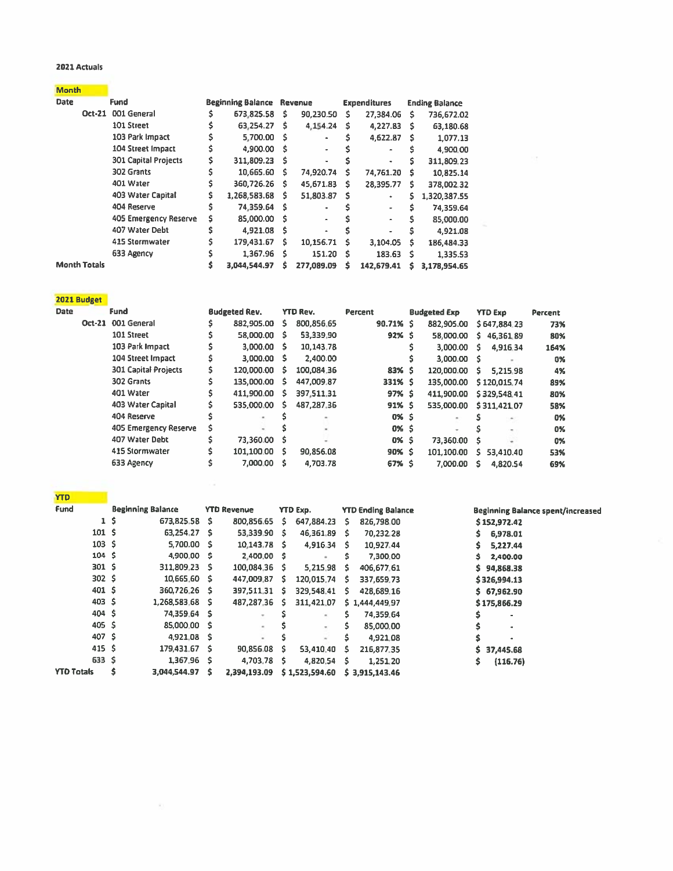#### 2021 Actuals

| <b>Month</b> |  |  |  |
|--------------|--|--|--|

| <b>Date</b>         | Fund                        |    | <b>Beginning Balance Revenue</b> |   |            |   | <b>Expenditures</b> | <b>Ending Balance</b> |              |
|---------------------|-----------------------------|----|----------------------------------|---|------------|---|---------------------|-----------------------|--------------|
| Oct-21              | 001 General                 |    | 673,825.58                       | s | 90,230.50  | s | 27,384.06           | Ŝ.                    | 736,672.02   |
|                     | 101 Street                  | s  | 63,254.27                        | s | 4.154.24   | s | 4,227.83            | s                     | 63,180.68    |
|                     | 103 Park Impact             |    | 5,700.00                         | s |            |   | 4,622.87            | s                     | 1.077.13     |
|                     | 104 Street Impact           | S  | 4,900.00                         | s |            |   | ۰                   |                       | 4,900.00     |
|                     | <b>301 Capital Projects</b> | s. | 311,809.23                       | s |            |   | ٠                   |                       | 311,809.23   |
|                     | 302 Grants                  | s  | 10,665.60                        | s | 74,920.74  | s | 74.761.20           | s                     | 10,825.14    |
|                     | 401 Water                   |    | 360,726.26                       | Ŝ | 45,671.83  | Ŝ | 28,395.77           | s.                    | 378,002.32   |
|                     | 403 Water Capital           | s  | 1,268,583.68                     | s | 51,803.87  | s | ٠                   | s.                    | 1,320,387.55 |
|                     | 404 Reserve                 | Ś  | 74,359.64                        | s | ٠          | S | ۰                   | Ś                     | 74,359.64    |
|                     | 405 Emergency Reserve       | s  | 85,000.00                        | s |            |   | $\hat{\phantom{a}}$ |                       | 85,000.00    |
|                     | 407 Water Debt              | Ś  | 4.921.08                         | s |            | s | ٠                   | Ŝ                     | 4.921.08     |
|                     | 415 Stormwater              |    | 179,431.67                       | S | 10.156.71  | s | 3,104.05            | s                     | 186.484.33   |
|                     | 633 Agency                  |    | 1,367.96                         | s | 151.20     | s | 183.63              | -Ś                    | 1,335.53     |
| <b>Month Totals</b> |                             |    | 3,044,544.97                     | s | 277,089.09 | s | 142,679.41          | s                     | 3,178,954.65 |

| ۲ |  |  |
|---|--|--|

 $\langle \hat{a}_1 \rangle$ 

| <b>Fund</b><br><b>Date</b> |  |                             |    | <b>Budgeted Rev.</b> |   | <b>YTD Rev.</b> | <b>Percent</b> |  | <b>Budgeted Exp</b> | <b>YTD Exp</b> |              | Percent |  |
|----------------------------|--|-----------------------------|----|----------------------|---|-----------------|----------------|--|---------------------|----------------|--------------|---------|--|
|                            |  | Oct-21 001 General          | s  | 882,905.00           | s | 800.856.65      | $90.71%$ \$    |  | 882,905.00          |                | \$647,884.23 | 73%     |  |
|                            |  | 101 Street                  | \$ | 58,000.00            | s | 53.339.90       | $92%$ \$       |  | 58.000.00           | s.             | 46,361.89    | 80%     |  |
|                            |  | 103 Park Impact             | S  | 3.000.00             | s | 10,143.78       |                |  | 3,000.00            | s              | 4.916.34     | 164%    |  |
|                            |  | 104 Street Impact           | 5  | 3,000.00             | s | 2,400.00        |                |  | 3,000.00            | - S            |              | 0%      |  |
|                            |  | <b>301 Capital Projects</b> | \$ | 120,000.00           | 5 | 100,084.36      | 83% \$         |  | 120,000.00          | s              | 5,215.98     | 4%      |  |
|                            |  | 302 Grants                  | \$ | 135,000.00           | s | 447,009.87      | 331% \$        |  | 135,000.00          |                | \$120,015.74 | 89%     |  |
|                            |  | 401 Water                   | \$ | 411,900.00           | s | 397.511.31      | 97% S          |  | 411,900.00          |                | \$329,548.41 | 80%     |  |
|                            |  | 403 Water Capital           | Ŝ  | 535,000.00           | s | 487,287.36      | 91% \$         |  | 535,000.00          |                | \$311,421.07 | 58%     |  |
|                            |  | 404 Reserve                 |    |                      |   |                 | 0% \$          |  |                     |                |              | 0%      |  |
|                            |  | 405 Emergency Reserve       | s  |                      |   |                 | $0\%$ \$       |  |                     |                |              | 0%      |  |
|                            |  | 407 Water Debt              | Ś  | 73,360.00            |   |                 | 0% \$          |  | 73,360.00           | s              |              | 0%      |  |
|                            |  | 415 Stormwater              | Ŝ  | 101.100.00           | s | 90,856.08       | 90% S          |  | 101,100.00          | s.             | 53,410.40    | 53%     |  |
|                            |  | 633 Agency                  |    | 7,000.00             | s | 4,703.78        | 67% \$         |  | 7,000.00            | s              | 4.820.54     | 69%     |  |

 $\mathcal{F}(\mathcal{R})$ 

| TIU               |                |                          |    |                    |    |                |      |                           |                                          |
|-------------------|----------------|--------------------------|----|--------------------|----|----------------|------|---------------------------|------------------------------------------|
| <b>Fund</b>       |                | <b>Beginning Balance</b> |    | <b>YTD Revenue</b> |    | YTD Exp.       |      | <b>YTD Ending Balance</b> | <b>Beginning Balance spent/increased</b> |
|                   | 1 <sub>5</sub> | 673,825.58               | s  | 800.856.65         | s. | 647,884.23     | - S  | 826,798.00                | \$152,972.42                             |
| 101 <sub>5</sub>  |                | 63.254.27 \$             |    | 53,339.90          | s  | 46,361.89      | -S.  | 70,232.28                 | 6,978.01<br>s                            |
| $103 \frac{1}{2}$ |                | 5,700.00 \$              |    | $10.143.78$ \$     |    | 4,916.34       | - \$ | 10,927.44                 | 5,227.44<br>s                            |
| 104 <sub>5</sub>  |                | 4,900.00 \$              |    | 2,400.00 \$        |    |                | s    | 7,300.00                  | Ŝ<br>2,400.00                            |
| 301 <sub>5</sub>  |                | 311,809.23               | s  | 100,084.36         | s  | 5,215.98       | - S  | 406,677.61                | s<br>94,868.38                           |
| 302 <sub>5</sub>  |                | 10,665.60 \$             |    | 447,009.87 \$      |    | 120,015.74     | - S  | 337,659.73                | \$326,994.13                             |
| 401 \$            |                | 360,726.26               | s. | 397,511.31 \$      |    | 329.548.41 \$  |      | 428,689.16                | \$67,962.90                              |
| 403 <sup>5</sup>  |                | $1.268.583.68$ \$        |    | 487,287.36         | s  | 311,421.07     |      | \$1,444,449.97            | \$175,866.29                             |
| 404, 5            |                | 74,359.64 \$             |    | ÷.                 |    | $\sim$         | s    | 74,359.64                 |                                          |
| $405 \pm$         |                | 85,000.00 \$             |    | ÷                  |    |                | s    | 85,000.00                 | ۰                                        |
| 407 \$            |                | 4.921.08 \$              |    | $\sim$             |    |                | Ś    | 4,921.08                  | ۰                                        |
| 415S              |                | 179.431.67 \$            |    | 90,856.08          | s  | 53,410.40      | -S   | 216,877.35                | s<br>37,445.68                           |
| $633 \quad $$     |                | 1,367.96 \$              |    | 4,703.78           | s  | 4,820.54       | S.   | 1,251.20                  | \$<br>(116.76)                           |
| <b>YTD Totals</b> |                | 3,044,544.97             | s  | 2,394,193.09       |    | \$1,523,594.60 |      | 53,915,143.46             |                                          |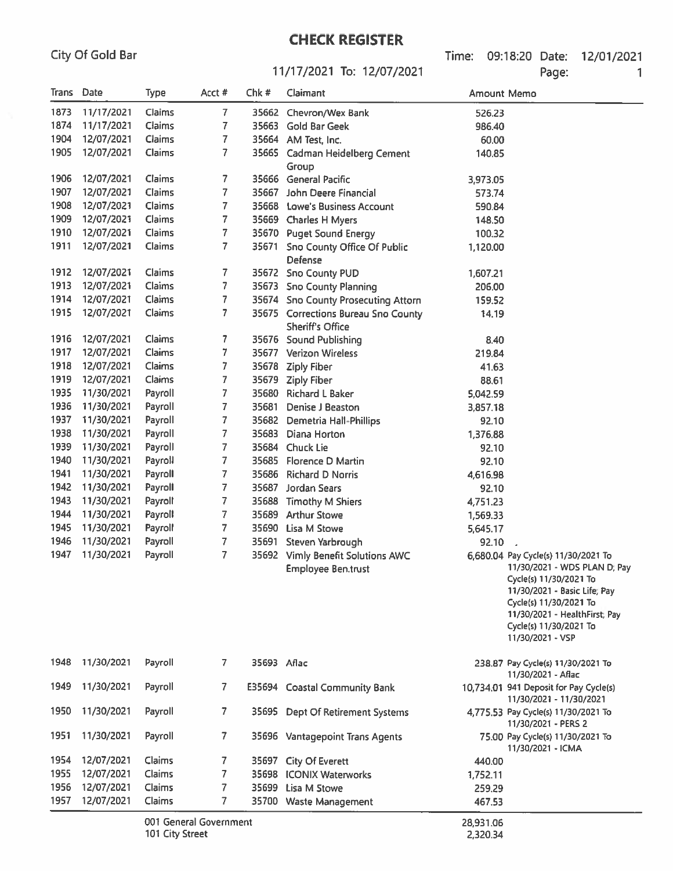Time: 09:18:20 Date: 12/01/2021 Page: 1

#### 11/17/2021 To: 12/07/2021

| Trans Date |            | <b>Type</b> | Acct #                 | Chk#                                | Claimant                                                       | Amount Memo |                                                                                                                                                                                                                                        |
|------------|------------|-------------|------------------------|-------------------------------------|----------------------------------------------------------------|-------------|----------------------------------------------------------------------------------------------------------------------------------------------------------------------------------------------------------------------------------------|
| 1873       | 11/17/2021 | Claims      | 7                      |                                     | 35662 Chevron/Wex Bank                                         | 526.23      |                                                                                                                                                                                                                                        |
| 1874       | 11/17/2021 | Claims      | 7                      |                                     | 35663 Gold Bar Geek                                            | 986.40      |                                                                                                                                                                                                                                        |
| 1904       | 12/07/2021 | Claims      | 7                      |                                     | 35664 AM Test, Inc.                                            | 60.00       |                                                                                                                                                                                                                                        |
| 1905       | 12/07/2021 | Claims      | 7                      |                                     | 35665 Cadman Heidelberg Cement<br>Group                        | 140.85      |                                                                                                                                                                                                                                        |
| 1906       | 12/07/2021 | Claims      | 7                      |                                     | 35666 General Pacific                                          | 3,973.05    |                                                                                                                                                                                                                                        |
| 1907       | 12/07/2021 | Claims      | 7                      | 35667                               | John Deere Financial                                           | 573.74      |                                                                                                                                                                                                                                        |
| 1908       | 12/07/2021 | Claims      | 7                      | 35668                               | <b>Lowe's Business Account</b>                                 | 590.84      |                                                                                                                                                                                                                                        |
| 1909       | 12/07/2021 | Claims      | 7                      |                                     | 35669 Charles H Myers                                          | 148.50      |                                                                                                                                                                                                                                        |
| 1910       | 12/07/2021 | Claims      | 7                      |                                     | 35670 Puget Sound Energy                                       | 100.32      |                                                                                                                                                                                                                                        |
| 1911       | 12/07/2021 | Claims      | 7                      | 35671                               | <b>Sno County Office Of Public</b><br>Defense                  | 1,120.00    |                                                                                                                                                                                                                                        |
| 1912       | 12/07/2021 | Claims      | 7                      |                                     | 35672 Sno County PUD                                           | 1,607.21    |                                                                                                                                                                                                                                        |
| 1913       | 12/07/2021 | Claims      | 7                      |                                     | 35673 Sno County Planning                                      | 206,00      |                                                                                                                                                                                                                                        |
| 1914       | 12/07/2021 | Claims      | $\overline{7}$         |                                     | 35674 Sno County Prosecuting Attorn                            | 159.52      |                                                                                                                                                                                                                                        |
| 1915       | 12/07/2021 | Claims      | 7                      |                                     | 35675 Corrections Bureau Sno County<br><b>Sheriff's Office</b> | 14.19       |                                                                                                                                                                                                                                        |
| 1916       | 12/07/2021 | Claims      | 7.                     |                                     | 35676 Sound Publishing                                         | 8.40        |                                                                                                                                                                                                                                        |
| 1917       | 12/07/2021 | Claims      | 7                      | 35677                               | <b>Verizon Wireless</b>                                        | 219.84      |                                                                                                                                                                                                                                        |
| 1918       | 12/07/2021 | Claims      | 7                      | 35678                               | <b>Ziply Fiber</b>                                             | 41.63       |                                                                                                                                                                                                                                        |
| 1919       | 12/07/2021 | Claims      | 7                      | 35679                               | <b>Ziply Fiber</b>                                             | 88.61       |                                                                                                                                                                                                                                        |
| 1935       | 11/30/2021 | Payroll     | 7                      | 35680                               | <b>Richard L Baker</b>                                         | 5,042.59    |                                                                                                                                                                                                                                        |
| 1936       | 11/30/2021 | Payroll     | 7                      | 35681                               | Denise J Beaston                                               | 3,857.18    |                                                                                                                                                                                                                                        |
| 1937       | 11/30/2021 | Payroll     | 7                      | 35682                               | Demetria Hall-Phillips                                         | 92.10       |                                                                                                                                                                                                                                        |
| 1938       | 11/30/2021 | Payroll     | 7                      | 35683                               | Diana Horton                                                   | 1,376.88    |                                                                                                                                                                                                                                        |
| 1939       | 11/30/2021 | Payroll     | 7                      | 35684                               | <b>Chuck Lie</b>                                               | 92.10       |                                                                                                                                                                                                                                        |
| 1940       | 11/30/2021 | Payroll     | $\overline{7}$         | 35685                               | Florence D Martin                                              | 92.10       |                                                                                                                                                                                                                                        |
| 1941       | 11/30/2021 | Payroll     | 7                      | 35686                               | <b>Richard D Norris</b>                                        | 4,616.98    |                                                                                                                                                                                                                                        |
| 1942       | 11/30/2021 | Payroll     | 7                      |                                     | 35687 Jordan Sears                                             | 92.10       |                                                                                                                                                                                                                                        |
| 1943       | 11/30/2021 | Payroll     | 7                      | 35688                               | <b>Timothy M Shiers</b>                                        | 4,751.23    |                                                                                                                                                                                                                                        |
| 1944       | 11/30/2021 | Payroll     | $\overline{7}$         |                                     | 35689 Arthur Stowe                                             | 1,569.33    |                                                                                                                                                                                                                                        |
| 1945       | 11/30/2021 | Payroll     | 7                      |                                     | 35690 Lisa M Stowe                                             | 5,645.17    |                                                                                                                                                                                                                                        |
| 1946       | 11/30/2021 | Payroll     | $\overline{7}$         | 35691                               | Steven Yarbrough                                               | 92.10       |                                                                                                                                                                                                                                        |
| 1947       | 11/30/2021 | Payroll     | $\overline{7}$         | 35692                               | Vimly Benefit Solutions AWC<br><b>Employee Ben.trust</b>       |             | 6,680.04 Pay Cycle(s) 11/30/2021 To<br>11/30/2021 - WDS PLAN D; Pay<br>Cycle(s) 11/30/2021 To<br>11/30/2021 - Basic Life; Pay<br>Cycle(s) 11/30/2021 To<br>11/30/2021 - HealthFirst; Pay<br>Cycle(s) 11/30/2021 To<br>11/30/2021 - VSP |
| 1948       | 11/30/2021 | Payroll     | $\mathbf{7}$           | 35693 Aflac                         |                                                                |             | 238.87 Pay Cycle(s) 11/30/2021 To<br>11/30/2021 - Aflac                                                                                                                                                                                |
| 1949       | 11/30/2021 | Payroll     | $\overline{7}$         |                                     | E35694 Coastal Community Bank                                  |             | 10,734.01 941 Deposit for Pay Cycle(s)<br>11/30/2021 - 11/30/2021                                                                                                                                                                      |
| 1950       | 11/30/2021 | Payroll     | $\overline{7}$         |                                     | 35695 Dept Of Retirement Systems                               |             | 4,775.53 Pay Cycle(s) 11/30/2021 To<br>11/30/2021 - PERS 2                                                                                                                                                                             |
| 1951       | 11/30/2021 | Payroll     | $\overline{7}$         |                                     | 35696 Vantagepoint Trans Agents                                |             | 75.00 Pay Cycle(s) 11/30/2021 To<br>11/30/2021 - ICMA                                                                                                                                                                                  |
| 1954       | 12/07/2021 | Claims      | 7                      |                                     | 35697 City Of Everett<br>440.00                                |             |                                                                                                                                                                                                                                        |
| 1955       | 12/07/2021 | Claims      | 7                      | 35698 ICONIX Waterworks<br>1,752.11 |                                                                |             |                                                                                                                                                                                                                                        |
| 1956       | 12/07/2021 | Claims      | 7                      |                                     | 35699 Lisa M Stowe                                             | 259.29      |                                                                                                                                                                                                                                        |
| 1957       | 12/07/2021 | Claims      | 7.                     |                                     | 35700 Waste Management                                         | 467.53      |                                                                                                                                                                                                                                        |
|            |            |             | 001 General Government |                                     |                                                                | 28,931.06   |                                                                                                                                                                                                                                        |

2,320.34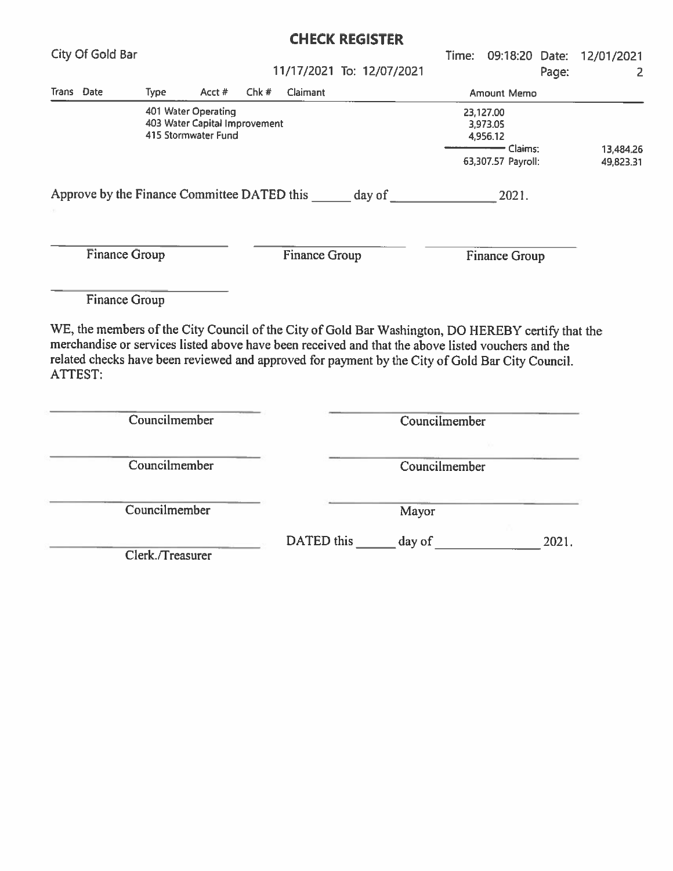|                                                    |             |                                                                             |                      |          | <b>CHECK REGISTER</b>                                                                                                                                             |       |                                                                    |       |                        |
|----------------------------------------------------|-------------|-----------------------------------------------------------------------------|----------------------|----------|-------------------------------------------------------------------------------------------------------------------------------------------------------------------|-------|--------------------------------------------------------------------|-------|------------------------|
| City Of Gold Bar                                   |             |                                                                             |                      |          |                                                                                                                                                                   | Time: | 09:18:20 Date:                                                     |       | 12/01/2021             |
|                                                    |             |                                                                             |                      |          | 11/17/2021 To: 12/07/2021                                                                                                                                         |       |                                                                    | Page: | 2                      |
| Trans Date                                         | <b>Type</b> | Acct #                                                                      | Chk#                 | Claimant |                                                                                                                                                                   |       | Amount Memo                                                        |       |                        |
|                                                    |             | 401 Water Operating<br>403 Water Capital Improvement<br>415 Stormwater Fund |                      |          |                                                                                                                                                                   |       | 23,127.00<br>3,973.05<br>4,956.12<br>Claims:<br>63,307.57 Payroll: |       | 13,484.26<br>49,823.31 |
| Approve by the Finance Committee DATED this day of |             |                                                                             |                      |          |                                                                                                                                                                   |       | 2021.                                                              |       |                        |
| <b>Finance Group</b>                               |             |                                                                             | <b>Finance Group</b> |          |                                                                                                                                                                   |       | <b>Finance Group</b>                                               |       |                        |
| <b>Finance Group</b>                               |             |                                                                             |                      |          |                                                                                                                                                                   |       |                                                                    |       |                        |
|                                                    |             |                                                                             |                      |          | $\overline{\text{ME}}$ the members of the City Council of the City of Cold Dep $W_{\text{eff}}(t_1, t_2, \ldots, \overline{\text{DA}})$ if $\overline{\text{DP}}$ |       |                                                                    |       |                        |

WE, the members of the City Council of the City of Gold Bar Washington, DO HEREBY certify that the merchandise or services listed above have been received and that the above listed vouchers and the related checks have been reviewed and approved for payment by the City of Gold Bar City Council. ATTEST:

| Councilmember    | Councilmember                 |
|------------------|-------------------------------|
| Councilmember    | Councilmember                 |
| Councilmember    | Mayor                         |
| Clerk./Treasurer | DATED this<br>day of<br>2021. |